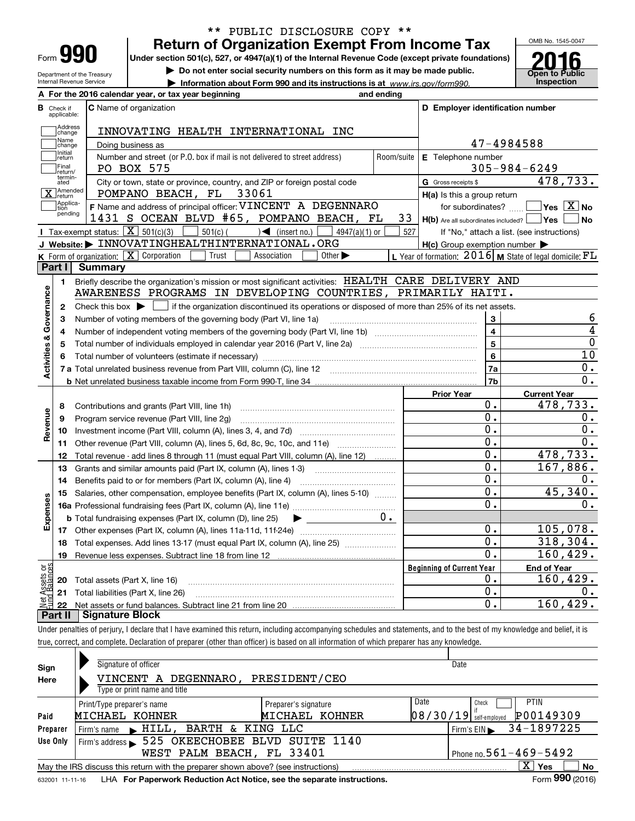| Form |  |
|------|--|

## **Return of Organization Exempt From Income Tax** \*\* PUBLIC DISCLOSURE COPY \*\*

**Under section 501(c), 527, or 4947(a)(1) of the Internal Revenue Code (except private foundations)**

Department of the Treasury Internal Revenue Service

**A**

**| Do not enter social security numbers on this form as it may be made public.**

**| Information about Form 990 and its instructions is at www.irs.gov/form990.** | Inspection



|                         |                         | A For the 2016 calendar year, or tax year beginning                                                                                         | and ending |                                                     |                                                             |
|-------------------------|-------------------------|---------------------------------------------------------------------------------------------------------------------------------------------|------------|-----------------------------------------------------|-------------------------------------------------------------|
| В                       | Check if<br>applicable: | <b>C</b> Name of organization                                                                                                               |            | D Employer identification number                    |                                                             |
|                         | Address<br>change       | INNOVATING HEALTH INTERNATIONAL INC                                                                                                         |            |                                                     |                                                             |
|                         | Name<br>change          | Doing business as                                                                                                                           |            |                                                     | 47-4984588                                                  |
|                         | Initial<br>return       | Number and street (or P.O. box if mail is not delivered to street address)                                                                  | Room/suite | E Telephone number                                  |                                                             |
|                         | Final<br>return/        | PO BOX 575                                                                                                                                  |            |                                                     | $305 - 984 - 6249$                                          |
|                         | termin-<br>ated         | City or town, state or province, country, and ZIP or foreign postal code                                                                    |            | G Gross receipts \$                                 | 478,733.                                                    |
|                         | Amended<br>return       | POMPANO BEACH, FL 33061                                                                                                                     |            | H(a) Is this a group return                         |                                                             |
|                         | Applica-<br>tion        | F Name and address of principal officer: VINCENT A DEGENNARO                                                                                |            |                                                     | for subordinates? $\Box$ Yes $\boxed{X}$ No                 |
|                         | pending                 | 1431 S OCEAN BLVD #65, POMPANO BEACH, FL                                                                                                    | 33         | $H(b)$ Are all subordinates included? $\Box$ Yes    | ∣No                                                         |
|                         |                         | <b>I</b> Tax-exempt status: $\overline{\mathbf{X}}$ 501(c)(3)<br>$501(c)$ $\left( \qquad \qquad \right)$ (insert no.) [<br>$4947(a)(1)$ or  | 527        |                                                     | If "No," attach a list. (see instructions)                  |
|                         |                         | J Website: > INNOVATINGHEALTHINTERNATIONAL.ORG                                                                                              |            | $H(c)$ Group exemption number $\blacktriangleright$ |                                                             |
|                         |                         | K Form of organization: X Corporation<br>Trust<br>Association<br>Other $\blacktriangleright$                                                |            |                                                     | L Year of formation: $2016$ M State of legal domicile: $FL$ |
|                         | Part I                  | <b>Summary</b>                                                                                                                              |            |                                                     |                                                             |
|                         | 1.                      | Briefly describe the organization's mission or most significant activities: HEALTH CARE DELIVERY AND                                        |            |                                                     |                                                             |
|                         |                         | AWARENESS PROGRAMS IN DEVELOPING COUNTRIES, PRIMARILY HAITI.                                                                                |            |                                                     |                                                             |
|                         | $\mathbf{2}$            | Check this box $\blacktriangleright$ $\Box$ if the organization discontinued its operations or disposed of more than 25% of its net assets. |            |                                                     |                                                             |
|                         | 3                       | Number of voting members of the governing body (Part VI, line 1a)                                                                           |            | 3                                                   | 6                                                           |
|                         | 4                       |                                                                                                                                             |            | $\overline{\mathbf{4}}$                             | 4                                                           |
|                         | 5                       |                                                                                                                                             |            | $\overline{5}$                                      | $\overline{0}$                                              |
| Activities & Governance | 6                       |                                                                                                                                             |            | 6                                                   | 10                                                          |
|                         |                         |                                                                                                                                             |            | 7a                                                  | 0.                                                          |
|                         |                         |                                                                                                                                             |            | 7b                                                  | 0.                                                          |
|                         |                         |                                                                                                                                             |            | <b>Prior Year</b>                                   | <b>Current Year</b>                                         |
|                         | 8                       | Contributions and grants (Part VIII, line 1h)                                                                                               |            | 0.                                                  | 478,733.                                                    |
| Revenue                 | 9                       | Program service revenue (Part VIII, line 2g)                                                                                                |            | $\overline{0}$ .                                    | 0.                                                          |
|                         | 10                      |                                                                                                                                             |            | $\overline{0}$ .                                    | 0.                                                          |
|                         | 11                      | Other revenue (Part VIII, column (A), lines 5, 6d, 8c, 9c, 10c, and 11e)                                                                    |            | 0.                                                  | 0.                                                          |
|                         | 12                      | Total revenue - add lines 8 through 11 (must equal Part VIII, column (A), line 12)                                                          |            | 0.                                                  | 478,733.                                                    |
|                         | 13                      | Grants and similar amounts paid (Part IX, column (A), lines 1-3)                                                                            |            | 0.                                                  | $\overline{167}$ , 886.                                     |
|                         | 14                      |                                                                                                                                             |            | 0.                                                  | О.                                                          |
|                         | 15                      | Salaries, other compensation, employee benefits (Part IX, column (A), lines 5-10)                                                           |            | $\overline{0}$ .                                    | 45,340.                                                     |
|                         |                         |                                                                                                                                             |            | $\overline{0}$ .                                    | О.                                                          |
| Expenses                |                         | <b>b</b> Total fundraising expenses (Part IX, column (D), line 25)<br>$\blacktriangleright$ and $\blacktriangleright$                       | $0 -$      |                                                     |                                                             |
|                         |                         |                                                                                                                                             |            | 0.                                                  | 105,078.                                                    |
|                         | 18                      | Total expenses. Add lines 13-17 (must equal Part IX, column (A), line 25)                                                                   |            | $\mathbf 0$ .                                       | 318,304.                                                    |
|                         | 19                      |                                                                                                                                             |            | $\overline{0}$ .                                    | 160, 429.                                                   |
| äš                      |                         |                                                                                                                                             |            | <b>Beginning of Current Year</b>                    | <b>End of Year</b>                                          |
|                         |                         | <b>20</b> Total assets (Part X, line 16)                                                                                                    |            | 0.<br>0.                                            | 160, 429.                                                   |
|                         |                         | 21 Total liabilities (Part X, line 26)                                                                                                      |            |                                                     | 0.                                                          |
| ssets<br>Palanc         | 22                      |                                                                                                                                             |            | 0.                                                  | 160,429.                                                    |

Under penalties of perjury, I declare that I have examined this return, including accompanying schedules and statements, and to the best of my knowledge and belief, it is true, correct, and complete. Declaration of preparer (other than officer) is based on all information of which preparer has any knowledge.

| Sign            | Signature of officer                                                              |                              |      | Date                                  |
|-----------------|-----------------------------------------------------------------------------------|------------------------------|------|---------------------------------------|
| Here            | VINCENT A DEGENNARO,                                                              | PRESIDENT/CEO                |      |                                       |
|                 | Type or print name and title                                                      |                              |      |                                       |
|                 | Print/Type preparer's name                                                        | Preparer's signature         | Date | <b>PTIN</b><br>Check                  |
| Paid            | MICHAEL KOHNER                                                                    | MICHAEL KOHNER               |      | P00149309<br>$08/30/19$ self-employed |
| Preparer        | Firm's name FillL, BARTH & KING LLC                                               |                              |      | Firm's EIN $\rightarrow$ 34-1897225   |
| Use Only        | 525 OKEECHOBEE BLVD SUITE 1140<br>Firm's address                                  |                              |      |                                       |
|                 | WEST PALM BEACH, FL 33401                                                         | Phone no. $561 - 469 - 5492$ |      |                                       |
|                 | May the IRS discuss this return with the preparer shown above? (see instructions) |                              |      | $\mathbf{x}$<br><b>No</b><br>Yes      |
| 632001 11-11-16 | LHA For Paperwork Reduction Act Notice, see the separate instructions.            |                              |      | Form 990 (2016)                       |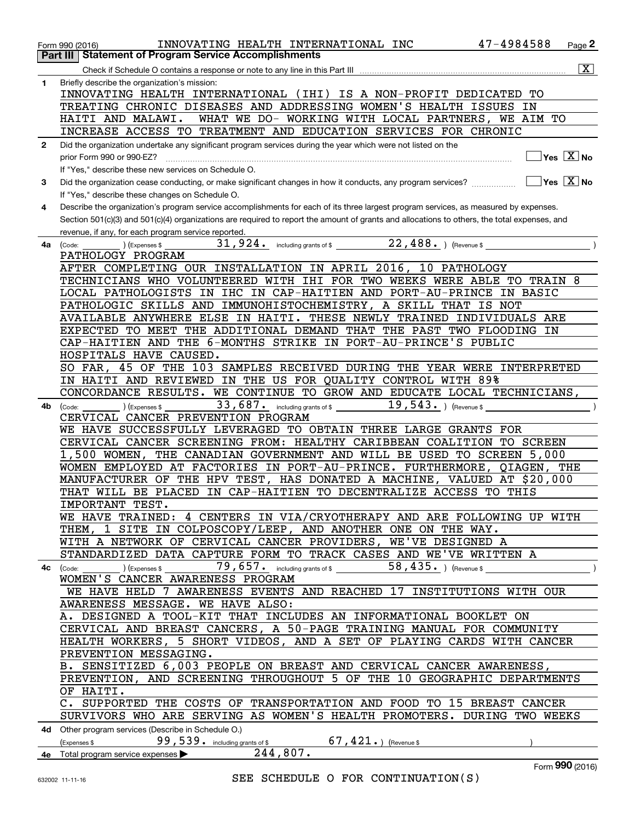|              | INNOVATING HEALTH INTERNATIONAL INC<br>Form 990 (2016)                                                                                       | 47-4984588<br>Page 2                      |
|--------------|----------------------------------------------------------------------------------------------------------------------------------------------|-------------------------------------------|
|              | <b>Statement of Program Service Accomplishments</b><br>Part III                                                                              |                                           |
|              |                                                                                                                                              | $\boxed{\textbf{X}}$                      |
| $\mathbf{1}$ | Briefly describe the organization's mission:                                                                                                 |                                           |
|              | INNOVATING HEALTH INTERNATIONAL (IHI) IS A NON-PROFIT DEDICATED TO                                                                           |                                           |
|              | TREATING CHRONIC DISEASES AND ADDRESSING WOMEN'S HEALTH ISSUES IN                                                                            |                                           |
|              | HAITI AND MALAWI.<br>WHAT WE DO- WORKING WITH LOCAL PARTNERS, WE AIM TO                                                                      |                                           |
|              |                                                                                                                                              |                                           |
|              | INCREASE ACCESS TO TREATMENT AND EDUCATION SERVICES FOR CHRONIC                                                                              |                                           |
| $\mathbf{2}$ | Did the organization undertake any significant program services during the year which were not listed on the                                 |                                           |
|              | prior Form 990 or 990-EZ?                                                                                                                    | $\overline{\ }$ Yes $\overline{\rm X}$ No |
|              | If "Yes," describe these new services on Schedule O.                                                                                         |                                           |
| 3            | Did the organization cease conducting, or make significant changes in how it conducts, any program services?                                 | $\Box$ Yes $\Box$ No                      |
|              | If "Yes," describe these changes on Schedule O.                                                                                              |                                           |
| 4            | Describe the organization's program service accomplishments for each of its three largest program services, as measured by expenses.         |                                           |
|              | Section 501(c)(3) and 501(c)(4) organizations are required to report the amount of grants and allocations to others, the total expenses, and |                                           |
|              | revenue, if any, for each program service reported.                                                                                          |                                           |
| 4a           | 31,924. including grants of \$22,488. (Revenue \$<br>) (Expenses \$<br>(Code:                                                                |                                           |
|              | PATHOLOGY PROGRAM                                                                                                                            |                                           |
|              | AFTER COMPLETING OUR INSTALLATION IN APRIL 2016, 10 PATHOLOGY                                                                                |                                           |
|              | TECHNICIANS WHO VOLUNTEERED WITH IHI FOR TWO WEEKS WERE ABLE TO TRAIN 8                                                                      |                                           |
|              | LOCAL PATHOLOGISTS IN IHC IN CAP-HAITIEN AND PORT-AU-PRINCE IN BASIC                                                                         |                                           |
|              |                                                                                                                                              |                                           |
|              | PATHOLOGIC SKILLS AND IMMUNOHISTOCHEMISTRY, A SKILL THAT IS NOT                                                                              |                                           |
|              | AVAILABLE ANYWHERE ELSE IN HAITI. THESE NEWLY TRAINED INDIVIDUALS ARE                                                                        |                                           |
|              | EXPECTED TO MEET THE ADDITIONAL DEMAND THAT THE PAST TWO FLOODING IN                                                                         |                                           |
|              | CAP-HAITIEN AND THE 6-MONTHS STRIKE IN PORT-AU-PRINCE'S PUBLIC                                                                               |                                           |
|              | HOSPITALS HAVE CAUSED.                                                                                                                       |                                           |
|              | SO FAR, 45 OF THE 103 SAMPLES RECEIVED DURING THE YEAR WERE INTERPRETED                                                                      |                                           |
|              | IN HAITI AND REVIEWED IN THE US FOR QUALITY CONTROL WITH 89%                                                                                 |                                           |
|              | CONCORDANCE RESULTS. WE CONTINUE TO GROW AND EDUCATE LOCAL TECHNICIANS,                                                                      |                                           |
| 4b           | $19,543.$ (Revenue \$<br>$33,687$ and including grants of \$<br>(Expenses \$<br>(Code:                                                       |                                           |
|              | CERVICAL CANCER PREVENTION PROGRAM                                                                                                           |                                           |
|              | WE HAVE SUCCESSFULLY LEVERAGED TO OBTAIN THREE LARGE GRANTS FOR                                                                              |                                           |
|              | CERVICAL CANCER SCREENING FROM: HEALTHY CARIBBEAN COALITION TO SCREEN                                                                        |                                           |
|              | 1,500 WOMEN, THE CANADIAN GOVERNMENT AND WILL BE USED TO SCREEN 5,000                                                                        |                                           |
|              | WOMEN EMPLOYED AT FACTORIES IN PORT-AU-PRINCE. FURTHERMORE, QIAGEN, THE                                                                      |                                           |
|              | MANUFACTURER OF THE HPV TEST, HAS DONATED A MACHINE, VALUED AT \$20,000                                                                      |                                           |
|              | THAT WILL BE PLACED IN CAP-HAITIEN TO DECENTRALIZE ACCESS TO THIS                                                                            |                                           |
|              | IMPORTANT TEST.                                                                                                                              |                                           |
|              | WE HAVE TRAINED: 4 CENTERS IN VIA/CRYOTHERAPY AND ARE FOLLOWING UP WITH                                                                      |                                           |
|              |                                                                                                                                              |                                           |
|              | THEM, 1 SITE IN COLPOSCOPY/LEEP, AND ANOTHER ONE ON THE WAY.                                                                                 |                                           |
|              | WITH A NETWORK OF CERVICAL CANCER PROVIDERS, WE'VE DESIGNED A                                                                                |                                           |
|              | STANDARDIZED DATA CAPTURE FORM TO TRACK CASES AND WE'VE WRITTEN A                                                                            |                                           |
|              | $79,657$ including grants of \$ 58,435. ) (Revenue \$<br>(Expenses \$<br>4c (Code:                                                           |                                           |
|              | WOMEN'S CANCER AWARENESS PROGRAM                                                                                                             |                                           |
|              | WE HAVE HELD 7 AWARENESS EVENTS AND REACHED 17 INSTITUTIONS WITH OUR                                                                         |                                           |
|              | AWARENESS MESSAGE. WE HAVE ALSO:                                                                                                             |                                           |
|              | A. DESIGNED A TOOL-KIT THAT INCLUDES AN INFORMATIONAL BOOKLET ON                                                                             |                                           |
|              | CERVICAL AND BREAST CANCERS, A 50-PAGE TRAINING MANUAL FOR COMMUNITY                                                                         |                                           |
|              | HEALTH WORKERS, 5 SHORT VIDEOS, AND A SET OF PLAYING CARDS WITH CANCER                                                                       |                                           |
|              | PREVENTION MESSAGING.                                                                                                                        |                                           |
|              | B. SENSITIZED 6,003 PEOPLE ON BREAST AND CERVICAL CANCER AWARENESS,                                                                          |                                           |
|              | PREVENTION, AND SCREENING THROUGHOUT 5 OF THE 10 GEOGRAPHIC DEPARTMENTS                                                                      |                                           |
|              | OF HAITI.                                                                                                                                    |                                           |
|              | C. SUPPORTED THE COSTS OF TRANSPORTATION AND FOOD TO 15 BREAST CANCER                                                                        |                                           |
|              |                                                                                                                                              |                                           |
|              | SURVIVORS WHO ARE SERVING AS WOMEN'S HEALTH PROMOTERS. DURING TWO WEEKS                                                                      |                                           |
|              | 4d Other program services (Describe in Schedule O.)                                                                                          |                                           |
|              | 99,539. including grants of \$<br>$67$ , $421$ $\ldots$ (Revenue \$<br>(Expenses \$                                                          |                                           |
|              | 244, 807.<br>4e Total program service expenses >                                                                                             |                                           |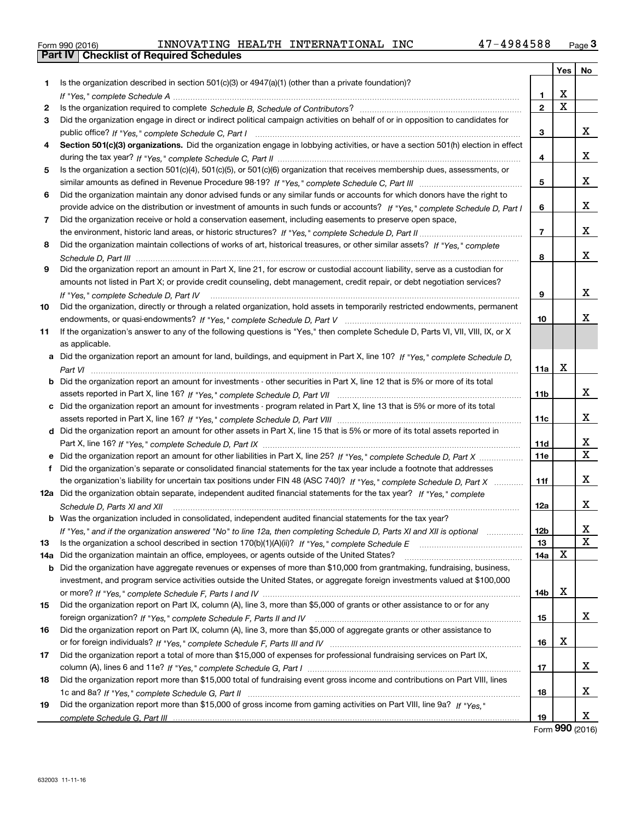| Form 990 (2016) |  |  |
|-----------------|--|--|

|    |                                                                                                                                                                                                                                                                |                | <b>Yes</b> | No.          |
|----|----------------------------------------------------------------------------------------------------------------------------------------------------------------------------------------------------------------------------------------------------------------|----------------|------------|--------------|
| 1  | Is the organization described in section $501(c)(3)$ or $4947(a)(1)$ (other than a private foundation)?                                                                                                                                                        |                |            |              |
|    |                                                                                                                                                                                                                                                                | 1              | X          |              |
| 2  |                                                                                                                                                                                                                                                                | $\overline{2}$ | X          |              |
| 3  | Did the organization engage in direct or indirect political campaign activities on behalf of or in opposition to candidates for                                                                                                                                |                |            |              |
|    |                                                                                                                                                                                                                                                                | З              |            | x            |
| 4  | Section 501(c)(3) organizations. Did the organization engage in lobbying activities, or have a section 501(h) election in effect                                                                                                                               |                |            |              |
|    |                                                                                                                                                                                                                                                                | 4              |            | x            |
| 5  | Is the organization a section 501(c)(4), 501(c)(5), or 501(c)(6) organization that receives membership dues, assessments, or                                                                                                                                   |                |            |              |
|    |                                                                                                                                                                                                                                                                | 5              |            | х            |
| 6  | Did the organization maintain any donor advised funds or any similar funds or accounts for which donors have the right to                                                                                                                                      |                |            |              |
|    | provide advice on the distribution or investment of amounts in such funds or accounts? If "Yes," complete Schedule D, Part I                                                                                                                                   | 6              |            | х            |
| 7  | Did the organization receive or hold a conservation easement, including easements to preserve open space,                                                                                                                                                      |                |            |              |
|    |                                                                                                                                                                                                                                                                | 7              |            | х            |
| 8  | Did the organization maintain collections of works of art, historical treasures, or other similar assets? If "Yes," complete                                                                                                                                   |                |            |              |
|    |                                                                                                                                                                                                                                                                | 8              |            | x            |
| 9  | Did the organization report an amount in Part X, line 21, for escrow or custodial account liability, serve as a custodian for                                                                                                                                  |                |            |              |
|    | amounts not listed in Part X; or provide credit counseling, debt management, credit repair, or debt negotiation services?                                                                                                                                      |                |            |              |
|    | If "Yes." complete Schedule D. Part IV                                                                                                                                                                                                                         | 9              |            | х            |
| 10 | Did the organization, directly or through a related organization, hold assets in temporarily restricted endowments, permanent                                                                                                                                  |                |            |              |
|    |                                                                                                                                                                                                                                                                | 10             |            | х            |
| 11 | If the organization's answer to any of the following questions is "Yes," then complete Schedule D, Parts VI, VII, VIII, IX, or X                                                                                                                               |                |            |              |
|    | as applicable.                                                                                                                                                                                                                                                 |                |            |              |
|    | a Did the organization report an amount for land, buildings, and equipment in Part X, line 10? If "Yes," complete Schedule D,                                                                                                                                  |                |            |              |
|    |                                                                                                                                                                                                                                                                | 11a            | X          |              |
|    | <b>b</b> Did the organization report an amount for investments - other securities in Part X, line 12 that is 5% or more of its total                                                                                                                           |                |            |              |
|    |                                                                                                                                                                                                                                                                | 11b            |            | x            |
|    | c Did the organization report an amount for investments - program related in Part X, line 13 that is 5% or more of its total                                                                                                                                   |                |            |              |
|    |                                                                                                                                                                                                                                                                | 11c            |            | х            |
|    | d Did the organization report an amount for other assets in Part X, line 15 that is 5% or more of its total assets reported in                                                                                                                                 |                |            |              |
|    |                                                                                                                                                                                                                                                                | 11d            |            | х            |
|    | e Did the organization report an amount for other liabilities in Part X, line 25? If "Yes," complete Schedule D, Part X                                                                                                                                        | 11e            |            | $\mathbf{x}$ |
| f  | Did the organization's separate or consolidated financial statements for the tax year include a footnote that addresses                                                                                                                                        |                |            |              |
|    | the organization's liability for uncertain tax positions under FIN 48 (ASC 740)? If "Yes," complete Schedule D, Part X                                                                                                                                         | 11f            |            | x            |
|    | 12a Did the organization obtain separate, independent audited financial statements for the tax year? If "Yes," complete                                                                                                                                        |                |            |              |
|    | Schedule D, Parts XI and XII                                                                                                                                                                                                                                   | 12a            |            | х            |
|    | <b>b</b> Was the organization included in consolidated, independent audited financial statements for the tax year?                                                                                                                                             |                |            |              |
|    | If "Yes," and if the organization answered "No" to line 12a, then completing Schedule D, Parts XI and XII is optional manum                                                                                                                                    | 12b            |            | x<br>X       |
| 13 |                                                                                                                                                                                                                                                                | 13             | Χ          |              |
|    | 14a Did the organization maintain an office, employees, or agents outside of the United States?                                                                                                                                                                | 14a            |            |              |
|    | <b>b</b> Did the organization have aggregate revenues or expenses of more than \$10,000 from grantmaking, fundraising, business,<br>investment, and program service activities outside the United States, or aggregate foreign investments valued at \$100,000 |                |            |              |
|    |                                                                                                                                                                                                                                                                | 14b            | х          |              |
| 15 | Did the organization report on Part IX, column (A), line 3, more than \$5,000 of grants or other assistance to or for any                                                                                                                                      |                |            |              |
|    |                                                                                                                                                                                                                                                                | 15             |            | x            |
| 16 | Did the organization report on Part IX, column (A), line 3, more than \$5,000 of aggregate grants or other assistance to                                                                                                                                       |                |            |              |
|    |                                                                                                                                                                                                                                                                | 16             | X          |              |
| 17 | Did the organization report a total of more than \$15,000 of expenses for professional fundraising services on Part IX,                                                                                                                                        |                |            |              |
|    |                                                                                                                                                                                                                                                                | 17             |            | x            |
| 18 | Did the organization report more than \$15,000 total of fundraising event gross income and contributions on Part VIII, lines                                                                                                                                   |                |            |              |
|    |                                                                                                                                                                                                                                                                | 18             |            | х            |
| 19 | Did the organization report more than \$15,000 of gross income from gaming activities on Part VIII, line 9a? If "Yes."                                                                                                                                         |                |            |              |
|    |                                                                                                                                                                                                                                                                | 19             |            | х            |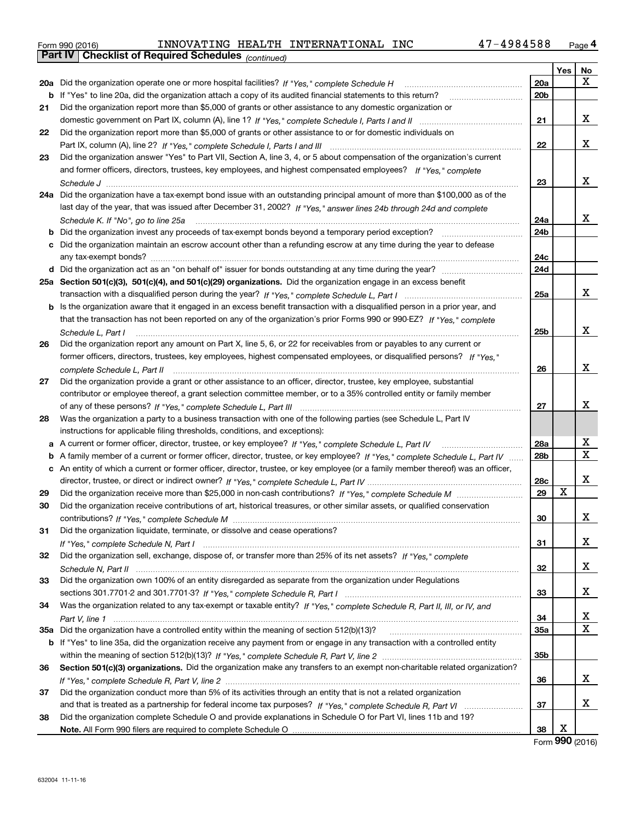| Form 990 (2016) |                                                              |  | INNOVATING HEALTH INTERNATIONAL INC | 47-4984588 | Page 4 |
|-----------------|--------------------------------------------------------------|--|-------------------------------------|------------|--------|
|                 | <b>Part IV   Checklist of Required Schedules</b> (continued) |  |                                     |            |        |

|    | Pall IV  <br>Critical Continued Scribberry (continued)                                                                            |     |            |        |
|----|-----------------------------------------------------------------------------------------------------------------------------------|-----|------------|--------|
|    |                                                                                                                                   |     | <b>Yes</b> | No     |
|    | 20a Did the organization operate one or more hospital facilities? If "Yes," complete Schedule H                                   | 20a |            | х      |
|    | <b>b</b> If "Yes" to line 20a, did the organization attach a copy of its audited financial statements to this return?             | 20b |            |        |
| 21 | Did the organization report more than \$5,000 of grants or other assistance to any domestic organization or                       |     |            |        |
|    |                                                                                                                                   | 21  |            | x      |
| 22 | Did the organization report more than \$5,000 of grants or other assistance to or for domestic individuals on                     |     |            |        |
|    |                                                                                                                                   | 22  |            | х      |
| 23 | Did the organization answer "Yes" to Part VII, Section A, line 3, 4, or 5 about compensation of the organization's current        |     |            |        |
|    | and former officers, directors, trustees, key employees, and highest compensated employees? If "Yes," complete                    |     |            |        |
|    |                                                                                                                                   | 23  |            | х      |
|    | 24a Did the organization have a tax-exempt bond issue with an outstanding principal amount of more than \$100,000 as of the       |     |            |        |
|    | last day of the year, that was issued after December 31, 2002? If "Yes," answer lines 24b through 24d and complete                |     |            |        |
|    | Schedule K. If "No", go to line 25a                                                                                               | 24a |            | х      |
|    | <b>b</b> Did the organization invest any proceeds of tax-exempt bonds beyond a temporary period exception?                        | 24b |            |        |
|    | c Did the organization maintain an escrow account other than a refunding escrow at any time during the year to defease            |     |            |        |
|    |                                                                                                                                   | 24с |            |        |
|    |                                                                                                                                   | 24d |            |        |
|    | 25a Section 501(c)(3), 501(c)(4), and 501(c)(29) organizations. Did the organization engage in an excess benefit                  |     |            |        |
|    |                                                                                                                                   | 25a |            | х      |
|    | b Is the organization aware that it engaged in an excess benefit transaction with a disqualified person in a prior year, and      |     |            |        |
|    | that the transaction has not been reported on any of the organization's prior Forms 990 or 990-EZ? If "Yes," complete             |     |            |        |
|    | Schedule L, Part I                                                                                                                | 25b |            | х      |
| 26 | Did the organization report any amount on Part X, line 5, 6, or 22 for receivables from or payables to any current or             |     |            |        |
|    | former officers, directors, trustees, key employees, highest compensated employees, or disqualified persons? If "Yes."            |     |            |        |
|    |                                                                                                                                   | 26  |            | х      |
| 27 | Did the organization provide a grant or other assistance to an officer, director, trustee, key employee, substantial              |     |            |        |
|    | contributor or employee thereof, a grant selection committee member, or to a 35% controlled entity or family member               |     |            |        |
|    |                                                                                                                                   |     |            | x      |
|    |                                                                                                                                   | 27  |            |        |
| 28 | Was the organization a party to a business transaction with one of the following parties (see Schedule L, Part IV                 |     |            |        |
|    | instructions for applicable filing thresholds, conditions, and exceptions):                                                       |     |            |        |
|    | a A current or former officer, director, trustee, or key employee? If "Yes," complete Schedule L, Part IV                         | 28a |            | х<br>х |
|    | b A family member of a current or former officer, director, trustee, or key employee? If "Yes," complete Schedule L, Part IV      | 28b |            |        |
|    | c An entity of which a current or former officer, director, trustee, or key employee (or a family member thereof) was an officer, |     |            |        |
|    |                                                                                                                                   | 28c |            | x      |
| 29 |                                                                                                                                   | 29  | x          |        |
| 30 | Did the organization receive contributions of art, historical treasures, or other similar assets, or qualified conservation       |     |            |        |
|    |                                                                                                                                   | 30  |            | x      |
| 31 | Did the organization liquidate, terminate, or dissolve and cease operations?                                                      |     |            |        |
|    |                                                                                                                                   | 31  |            | x      |
| 32 | Did the organization sell, exchange, dispose of, or transfer more than 25% of its net assets? If "Yes," complete                  |     |            |        |
|    |                                                                                                                                   | 32  |            | x      |
| 33 | Did the organization own 100% of an entity disregarded as separate from the organization under Regulations                        |     |            |        |
|    |                                                                                                                                   | 33  |            | х      |
| 34 | Was the organization related to any tax-exempt or taxable entity? If "Yes," complete Schedule R, Part II, III, or IV, and         |     |            |        |
|    |                                                                                                                                   | 34  |            | х      |
|    | 35a Did the organization have a controlled entity within the meaning of section 512(b)(13)?                                       | 35a |            | X      |
|    | b If "Yes" to line 35a, did the organization receive any payment from or engage in any transaction with a controlled entity       |     |            |        |
|    |                                                                                                                                   | 35b |            |        |
| 36 | Section 501(c)(3) organizations. Did the organization make any transfers to an exempt non-charitable related organization?        |     |            |        |
|    |                                                                                                                                   | 36  |            | х      |
| 37 | Did the organization conduct more than 5% of its activities through an entity that is not a related organization                  |     |            |        |
|    |                                                                                                                                   | 37  |            | х      |
| 38 | Did the organization complete Schedule O and provide explanations in Schedule O for Part VI, lines 11b and 19?                    |     |            |        |
|    |                                                                                                                                   | 38  | Х          |        |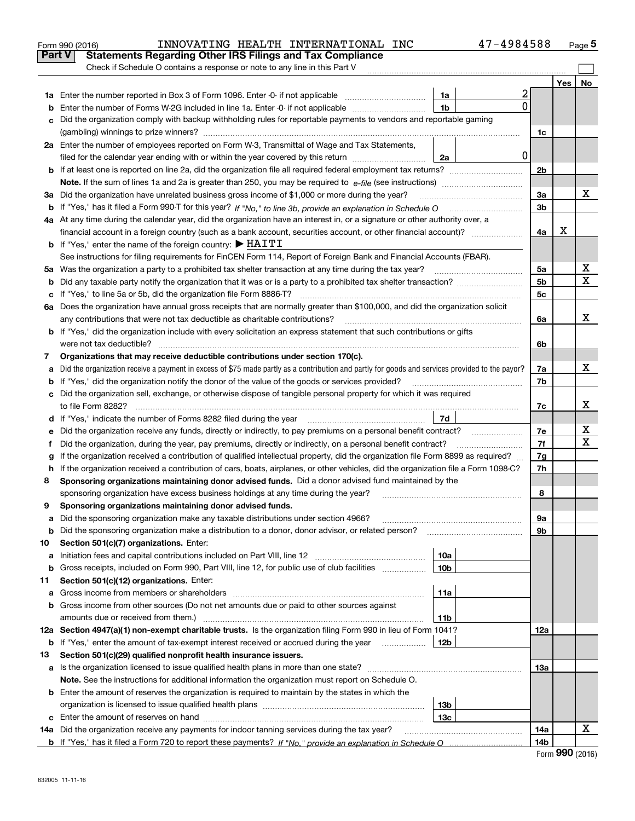|    | 47-4984588<br>INNOVATING HEALTH INTERNATIONAL INC<br>Form 990 (2016)                                                                            |                |     | Page 5 |
|----|-------------------------------------------------------------------------------------------------------------------------------------------------|----------------|-----|--------|
|    | <b>Part V</b><br><b>Statements Regarding Other IRS Filings and Tax Compliance</b>                                                               |                |     |        |
|    | Check if Schedule O contains a response or note to any line in this Part V                                                                      |                |     |        |
|    |                                                                                                                                                 |                | Yes | No     |
|    | 2<br>1a                                                                                                                                         |                |     |        |
| b  | 0<br>1 <sub>b</sub><br>Enter the number of Forms W-2G included in line 1a. Enter -0- if not applicable                                          |                |     |        |
| c  | Did the organization comply with backup withholding rules for reportable payments to vendors and reportable gaming                              |                |     |        |
|    |                                                                                                                                                 | 1c             |     |        |
|    | 2a Enter the number of employees reported on Form W-3, Transmittal of Wage and Tax Statements,                                                  |                |     |        |
|    | 0 <br>filed for the calendar year ending with or within the year covered by this return<br>2a                                                   |                |     |        |
|    |                                                                                                                                                 | 2b             |     |        |
|    |                                                                                                                                                 |                |     |        |
|    | 3a Did the organization have unrelated business gross income of \$1,000 or more during the year?                                                | 3a             |     | х      |
|    |                                                                                                                                                 | 3 <sub>b</sub> |     |        |
|    | 4a At any time during the calendar year, did the organization have an interest in, or a signature or other authority over, a                    |                |     |        |
|    | financial account in a foreign country (such as a bank account, securities account, or other financial account)?                                | 4a             | х   |        |
|    | <b>b</b> If "Yes," enter the name of the foreign country: $\blacktriangleright$ HAITI                                                           |                |     |        |
|    | See instructions for filing requirements for FinCEN Form 114, Report of Foreign Bank and Financial Accounts (FBAR).                             |                |     |        |
|    | 5a Was the organization a party to a prohibited tax shelter transaction at any time during the tax year?                                        | 5a             |     | X      |
| b  |                                                                                                                                                 | 5 <sub>b</sub> |     | X      |
|    | c If "Yes," to line 5a or 5b, did the organization file Form 8886-T?                                                                            | 5c             |     |        |
|    | 6a Does the organization have annual gross receipts that are normally greater than \$100,000, and did the organization solicit                  |                |     |        |
|    | any contributions that were not tax deductible as charitable contributions?                                                                     | 6a             |     | х      |
|    | <b>b</b> If "Yes," did the organization include with every solicitation an express statement that such contributions or gifts                   |                |     |        |
|    |                                                                                                                                                 | 6b             |     |        |
| 7  | Organizations that may receive deductible contributions under section 170(c).                                                                   |                |     |        |
| a  | Did the organization receive a payment in excess of \$75 made partly as a contribution and partly for goods and services provided to the payor? | 7a             |     | х      |
|    | <b>b</b> If "Yes," did the organization notify the donor of the value of the goods or services provided?                                        | 7b             |     |        |
|    | c Did the organization sell, exchange, or otherwise dispose of tangible personal property for which it was required                             |                |     |        |
|    |                                                                                                                                                 | 7c             |     | х      |
|    | 7d                                                                                                                                              |                |     |        |
| е  |                                                                                                                                                 | 7e             |     | х      |
| f  | Did the organization, during the year, pay premiums, directly or indirectly, on a personal benefit contract?                                    | 7f             |     | х      |
| g  | If the organization received a contribution of qualified intellectual property, did the organization file Form 8899 as required?                | 7g             |     |        |
|    | h If the organization received a contribution of cars, boats, airplanes, or other vehicles, did the organization file a Form 1098-C?            | 7h             |     |        |
| 8  | Sponsoring organizations maintaining donor advised funds. Did a donor advised fund maintained by the                                            |                |     |        |
|    | sponsoring organization have excess business holdings at any time during the year?                                                              | 8              |     |        |
|    | Sponsoring organizations maintaining donor advised funds.                                                                                       |                |     |        |
| a  | Did the sponsoring organization make any taxable distributions under section 4966?                                                              | 9а             |     |        |
| b  | Did the sponsoring organization make a distribution to a donor, donor advisor, or related person?                                               | 9b             |     |        |
| 10 | Section 501(c)(7) organizations. Enter:                                                                                                         |                |     |        |
| а  | Initiation fees and capital contributions included on Part VIII, line 12 <i>manuarrouus</i> manuations of the late<br>10a                       |                |     |        |
| b  | Gross receipts, included on Form 990, Part VIII, line 12, for public use of club facilities<br>10 <sub>b</sub>                                  |                |     |        |
| 11 | Section 501(c)(12) organizations. Enter:                                                                                                        |                |     |        |
| a  | Gross income from members or shareholders<br>11a                                                                                                |                |     |        |
|    | b Gross income from other sources (Do not net amounts due or paid to other sources against                                                      |                |     |        |
|    | amounts due or received from them.)<br>11b                                                                                                      |                |     |        |
|    | 12a Section 4947(a)(1) non-exempt charitable trusts. Is the organization filing Form 990 in lieu of Form 1041?                                  | 12a            |     |        |
|    | <b>b</b> If "Yes," enter the amount of tax-exempt interest received or accrued during the year <i>manument</i> of<br>12b                        |                |     |        |
| 13 | Section 501(c)(29) qualified nonprofit health insurance issuers.                                                                                |                |     |        |
| a  | Is the organization licensed to issue qualified health plans in more than one state?                                                            | 13a            |     |        |
|    | Note. See the instructions for additional information the organization must report on Schedule O.                                               |                |     |        |
|    | <b>b</b> Enter the amount of reserves the organization is required to maintain by the states in which the                                       |                |     |        |
|    | 13b                                                                                                                                             |                |     |        |
|    | 13 <sub>c</sub>                                                                                                                                 |                |     |        |
|    | 14a Did the organization receive any payments for indoor tanning services during the tax year?                                                  | 14a            |     | х      |
|    |                                                                                                                                                 | 14b            |     |        |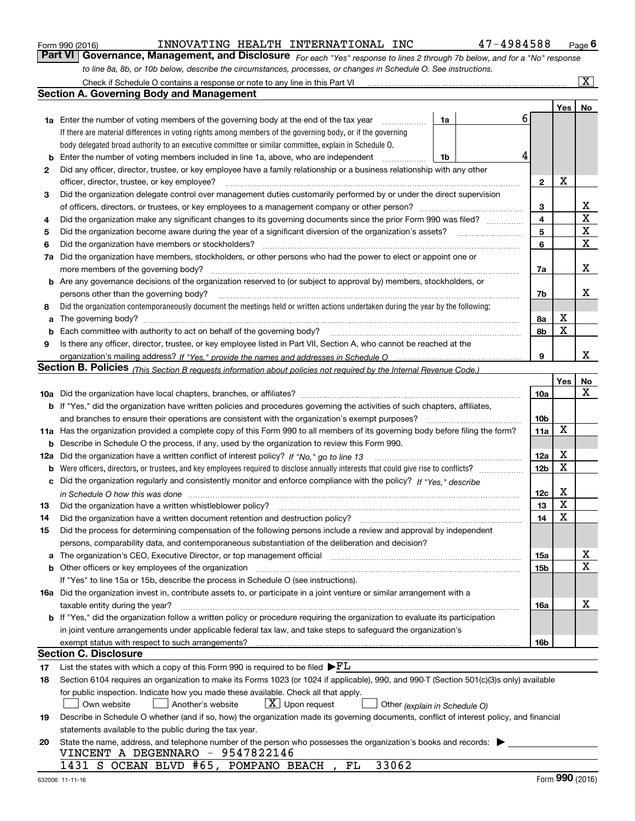|     | to line 8a, 8b, or 10b below, describe the circumstances, processes, or changes in Schedule O. See instructions.                                                                                                                                          |    |   |                 |     |                         |
|-----|-----------------------------------------------------------------------------------------------------------------------------------------------------------------------------------------------------------------------------------------------------------|----|---|-----------------|-----|-------------------------|
|     | Check if Schedule O contains a response or note to any line in this Part VI                                                                                                                                                                               |    |   |                 |     | $\overline{\mathbf{x}}$ |
|     | <b>Section A. Governing Body and Management</b>                                                                                                                                                                                                           |    |   |                 |     |                         |
|     |                                                                                                                                                                                                                                                           |    |   |                 | Yes | No                      |
|     | 1a Enter the number of voting members of the governing body at the end of the tax year                                                                                                                                                                    | 1a | 6 |                 |     |                         |
|     | If there are material differences in voting rights among members of the governing body, or if the governing                                                                                                                                               |    |   |                 |     |                         |
|     | body delegated broad authority to an executive committee or similar committee, explain in Schedule O.                                                                                                                                                     |    |   |                 |     |                         |
| b   | Enter the number of voting members included in line 1a, above, who are independent                                                                                                                                                                        | 1b | 4 |                 |     |                         |
| 2   | Did any officer, director, trustee, or key employee have a family relationship or a business relationship with any other                                                                                                                                  |    |   |                 |     |                         |
|     | officer, director, trustee, or key employee?                                                                                                                                                                                                              |    |   | $\mathbf{2}$    | х   |                         |
| 3   | Did the organization delegate control over management duties customarily performed by or under the direct supervision                                                                                                                                     |    |   |                 |     |                         |
|     |                                                                                                                                                                                                                                                           |    |   | 3               |     | x                       |
| 4   | Did the organization make any significant changes to its governing documents since the prior Form 990 was filed?                                                                                                                                          |    |   | 4               |     | X                       |
| 5   |                                                                                                                                                                                                                                                           |    |   | 5               |     | X                       |
| 6   | Did the organization have members or stockholders?                                                                                                                                                                                                        |    |   | 6               |     | X                       |
| 7a  | Did the organization have members, stockholders, or other persons who had the power to elect or appoint one or                                                                                                                                            |    |   |                 |     |                         |
|     | more members of the governing body?                                                                                                                                                                                                                       |    |   | 7а              |     | x                       |
|     | <b>b</b> Are any governance decisions of the organization reserved to (or subject to approval by) members, stockholders, or                                                                                                                               |    |   |                 |     |                         |
|     | persons other than the governing body?                                                                                                                                                                                                                    |    |   | 7b              |     | х                       |
| 8   | Did the organization contemporaneously document the meetings held or written actions undertaken during the year by the following:                                                                                                                         |    |   |                 |     |                         |
| a   | The governing body?                                                                                                                                                                                                                                       |    |   | 8а              | X   |                         |
| b   | Each committee with authority to act on behalf of the governing body?                                                                                                                                                                                     |    |   | 8b              | X   |                         |
| 9   | Is there any officer, director, trustee, or key employee listed in Part VII, Section A, who cannot be reached at the                                                                                                                                      |    |   |                 |     |                         |
|     |                                                                                                                                                                                                                                                           |    |   | 9               |     | х                       |
|     | Section B. Policies <sub>(This</sub> Section B requests information about policies not required by the Internal Revenue Code.)                                                                                                                            |    |   |                 |     |                         |
|     |                                                                                                                                                                                                                                                           |    |   |                 | Yes | No<br>х                 |
|     |                                                                                                                                                                                                                                                           |    |   | 10a             |     |                         |
|     | b If "Yes," did the organization have written policies and procedures governing the activities of such chapters, affiliates,                                                                                                                              |    |   |                 |     |                         |
|     | and branches to ensure their operations are consistent with the organization's exempt purposes?<br>Has the organization provided a complete copy of this Form 990 to all members of its governing body before filing the form?                            |    |   | 10 <sub>b</sub> | х   |                         |
| 11a |                                                                                                                                                                                                                                                           |    |   | 11a             |     |                         |
| b   | Describe in Schedule O the process, if any, used by the organization to review this Form 990.                                                                                                                                                             |    |   |                 | х   |                         |
| 12a | Did the organization have a written conflict of interest policy? If "No," go to line 13                                                                                                                                                                   |    |   | 12a             | х   |                         |
| b   | Were officers, directors, or trustees, and key employees required to disclose annually interests that could give rise to conflicts?<br>Did the organization regularly and consistently monitor and enforce compliance with the policy? If "Yes." describe |    |   | <b>12b</b>      |     |                         |
| c   | in Schedule O how this was done manufactured and contact the state of the state of the state of the state of the state of the state of the state of the state of the state of the state of the state of the state of the state                            |    |   | 12c             | X   |                         |
| 13  |                                                                                                                                                                                                                                                           |    |   | 13              | X   |                         |
| 14  |                                                                                                                                                                                                                                                           |    |   | 14              | х   |                         |
| 15  | Did the process for determining compensation of the following persons include a review and approval by independent                                                                                                                                        |    |   |                 |     |                         |
|     | persons, comparability data, and contemporaneous substantiation of the deliberation and decision?                                                                                                                                                         |    |   |                 |     |                         |
|     | a The organization's CEO, Executive Director, or top management official manufactured content content of the organization's content of the content of the content of the content of the content of the content of the content                             |    |   | 15a             |     | X                       |
|     |                                                                                                                                                                                                                                                           |    |   | 15b             |     | X                       |
|     | If "Yes" to line 15a or 15b, describe the process in Schedule O (see instructions).                                                                                                                                                                       |    |   |                 |     |                         |
|     | 16a Did the organization invest in, contribute assets to, or participate in a joint venture or similar arrangement with a                                                                                                                                 |    |   |                 |     |                         |
|     | taxable entity during the year?                                                                                                                                                                                                                           |    |   | 16a             |     | X                       |
|     | <b>b</b> If "Yes," did the organization follow a written policy or procedure requiring the organization to evaluate its participation                                                                                                                     |    |   |                 |     |                         |
|     | in joint venture arrangements under applicable federal tax law, and take steps to safeguard the organization's                                                                                                                                            |    |   |                 |     |                         |
|     | exempt status with respect to such arrangements?                                                                                                                                                                                                          |    |   | 16b             |     |                         |
|     | <b>Section C. Disclosure</b>                                                                                                                                                                                                                              |    |   |                 |     |                         |
| 17  | List the states with which a copy of this Form 990 is required to be filed $\blacktriangleright$ $FL$                                                                                                                                                     |    |   |                 |     |                         |
| 18  | Section 6104 requires an organization to make its Forms 1023 (or 1024 if applicable), 990, and 990-T (Section 501(c)(3)s only) available                                                                                                                  |    |   |                 |     |                         |
|     | for public inspection. Indicate how you made these available. Check all that apply.                                                                                                                                                                       |    |   |                 |     |                         |
|     | $X$ Upon request<br>Own website<br>Another's website<br>Other (explain in Schedule O)                                                                                                                                                                     |    |   |                 |     |                         |
| 19  | Describe in Schedule O whether (and if so, how) the organization made its governing documents, conflict of interest policy, and financial                                                                                                                 |    |   |                 |     |                         |
|     | statements available to the public during the tax year.                                                                                                                                                                                                   |    |   |                 |     |                         |
| 20  | State the name, address, and telephone number of the person who possesses the organization's books and records:                                                                                                                                           |    |   |                 |     |                         |
|     | VINCENT A DEGENNARO - 9547822146                                                                                                                                                                                                                          |    |   |                 |     |                         |
|     | 1431 S OCEAN BLVD #65, POMPANO BEACH, FL<br>33062                                                                                                                                                                                                         |    |   |                 |     |                         |

Form 990 (2016) Page INNOVATING HEALTH INTERNATIONAL INC 47-4984588

orm 990 (2016) **1998 COVERT INTOVATING HEALTH INTERNATIONAL INC** 47 – 4984588 Page **6**<br>**Part VI | Governance, Management, and Disclosure** *For each "Yes" response to lines 2 through 7b below, and for a "No" response* 

*For each "Yes" response to lines 2 through 7b below, and for a "No" response*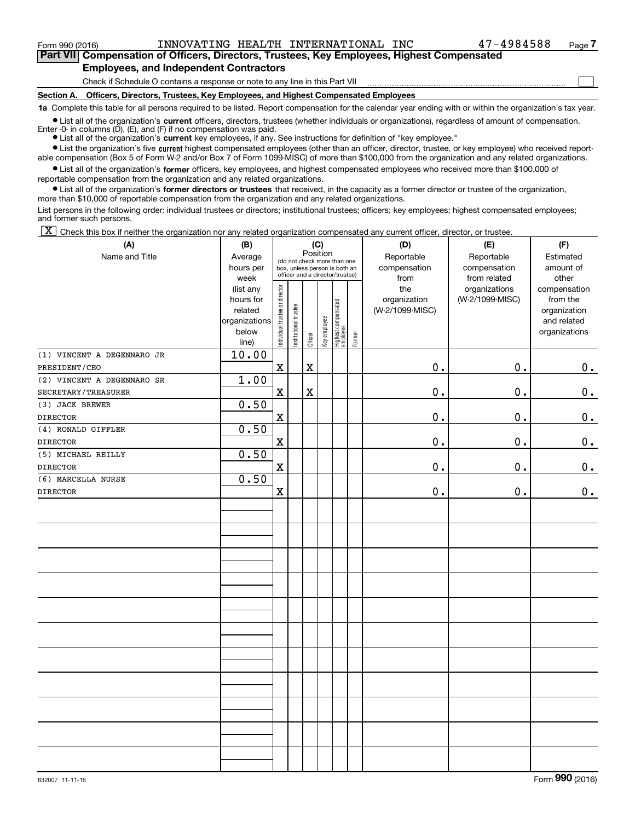Form 990 (2016) Page INNOVATING HEALTH INTERNATIONAL INC 47-4984588

 $\mathcal{L}^{\text{max}}$ 

**7Part VII Compensation of Officers, Directors, Trustees, Key Employees, Highest Compensated Employees, and Independent Contractors**

Check if Schedule O contains a response or note to any line in this Part VII

**Section A. Officers, Directors, Trustees, Key Employees, and Highest Compensated Employees**

**1a**  Complete this table for all persons required to be listed. Report compensation for the calendar year ending with or within the organization's tax year.

**•** List all of the organization's current officers, directors, trustees (whether individuals or organizations), regardless of amount of compensation. Enter -0- in columns  $(D)$ ,  $(E)$ , and  $(F)$  if no compensation was paid.

● List all of the organization's **current** key employees, if any. See instructions for definition of "key employee."

**•** List the organization's five current highest compensated employees (other than an officer, director, trustee, or key employee) who received report-

 $\bullet$  List all of the organization's **former** officers, key employees, and highest compensated employees who received more than \$100,000 of able compensation (Box 5 of Form W-2 and/or Box 7 of Form 1099-MISC) of more than \$100,000 from the organization and any related organizations. reportable compensation from the organization and any related organizations.

**•** List all of the organization's former directors or trustees that received, in the capacity as a former director or trustee of the organization, more than \$10,000 of reportable compensation from the organization and any related organizations.

List persons in the following order: individual trustees or directors; institutional trustees; officers; key employees; highest compensated employees; and former such persons.

 $\boxed{\textbf{X}}$  Check this box if neither the organization nor any related organization compensated any current officer, director, or trustee.

| (A)                        | (B)            |                                |                                                                  |             | (C)          |                                 |        | (D)             | (E)             | (F)           |
|----------------------------|----------------|--------------------------------|------------------------------------------------------------------|-------------|--------------|---------------------------------|--------|-----------------|-----------------|---------------|
| Name and Title             | Average        |                                | Position<br>(do not check more than one                          |             |              |                                 |        | Reportable      | Reportable      | Estimated     |
|                            | hours per      |                                | box, unless person is both an<br>officer and a director/trustee) |             |              |                                 |        | compensation    | compensation    | amount of     |
|                            | week           |                                |                                                                  |             |              |                                 |        | from            | from related    | other         |
|                            | (list any      |                                |                                                                  |             |              |                                 |        | the             | organizations   | compensation  |
|                            | hours for      |                                |                                                                  |             |              |                                 |        | organization    | (W-2/1099-MISC) | from the      |
|                            | related        |                                |                                                                  |             |              |                                 |        | (W-2/1099-MISC) |                 | organization  |
|                            | organizations  |                                |                                                                  |             |              |                                 |        |                 |                 | and related   |
|                            | below<br>line) | Individual trustee or director | Institutional trustee                                            | Officer     | Key employee | Highest compensated<br>employee | Former |                 |                 | organizations |
| (1) VINCENT A DEGENNARO JR | 10.00          |                                |                                                                  |             |              |                                 |        |                 |                 |               |
| PRESIDENT/CEO              |                | $\mathbf X$                    |                                                                  | $\mathbf X$ |              |                                 |        | $\mathbf 0$ .   | 0.              | $0_{.}$       |
| (2) VINCENT A DEGENNARO SR | 1.00           |                                |                                                                  |             |              |                                 |        |                 |                 |               |
| SECRETARY/TREASURER        |                | $\mathbf X$                    |                                                                  | $\mathbf X$ |              |                                 |        | $\mathbf 0$ .   | 0.              | $\mathbf 0$ . |
| (3) JACK BREWER            | 0.50           |                                |                                                                  |             |              |                                 |        |                 |                 |               |
| <b>DIRECTOR</b>            |                | $\mathbf x$                    |                                                                  |             |              |                                 |        | $\mathbf 0$ .   | 0.              | $\mathbf 0$ . |
| (4) RONALD GIFFLER         | 0.50           |                                |                                                                  |             |              |                                 |        |                 |                 |               |
| <b>DIRECTOR</b>            |                | $\mathbf X$                    |                                                                  |             |              |                                 |        | $\mathbf 0$ .   | 0.              | $0_{.}$       |
| (5) MICHAEL REILLY         | 0.50           |                                |                                                                  |             |              |                                 |        |                 |                 |               |
| <b>DIRECTOR</b>            |                | $\mathbf x$                    |                                                                  |             |              |                                 |        | $\mathbf 0$ .   | 0.              | 0.            |
| (6) MARCELLA NURSE         | 0.50           |                                |                                                                  |             |              |                                 |        |                 |                 |               |
| DIRECTOR                   |                | $\mathbf X$                    |                                                                  |             |              |                                 |        | $\mathbf 0$ .   | $\mathbf 0$ .   | 0.            |
|                            |                |                                |                                                                  |             |              |                                 |        |                 |                 |               |
|                            |                |                                |                                                                  |             |              |                                 |        |                 |                 |               |
|                            |                |                                |                                                                  |             |              |                                 |        |                 |                 |               |
|                            |                |                                |                                                                  |             |              |                                 |        |                 |                 |               |
|                            |                |                                |                                                                  |             |              |                                 |        |                 |                 |               |
|                            |                |                                |                                                                  |             |              |                                 |        |                 |                 |               |
|                            |                |                                |                                                                  |             |              |                                 |        |                 |                 |               |
|                            |                |                                |                                                                  |             |              |                                 |        |                 |                 |               |
|                            |                |                                |                                                                  |             |              |                                 |        |                 |                 |               |
|                            |                |                                |                                                                  |             |              |                                 |        |                 |                 |               |
|                            |                |                                |                                                                  |             |              |                                 |        |                 |                 |               |
|                            |                |                                |                                                                  |             |              |                                 |        |                 |                 |               |
|                            |                |                                |                                                                  |             |              |                                 |        |                 |                 |               |
|                            |                |                                |                                                                  |             |              |                                 |        |                 |                 |               |
|                            |                |                                |                                                                  |             |              |                                 |        |                 |                 |               |
|                            |                |                                |                                                                  |             |              |                                 |        |                 |                 |               |
|                            |                |                                |                                                                  |             |              |                                 |        |                 |                 |               |
|                            |                |                                |                                                                  |             |              |                                 |        |                 |                 |               |
|                            |                |                                |                                                                  |             |              |                                 |        |                 |                 |               |
|                            |                |                                |                                                                  |             |              |                                 |        |                 |                 |               |
|                            |                |                                |                                                                  |             |              |                                 |        |                 |                 |               |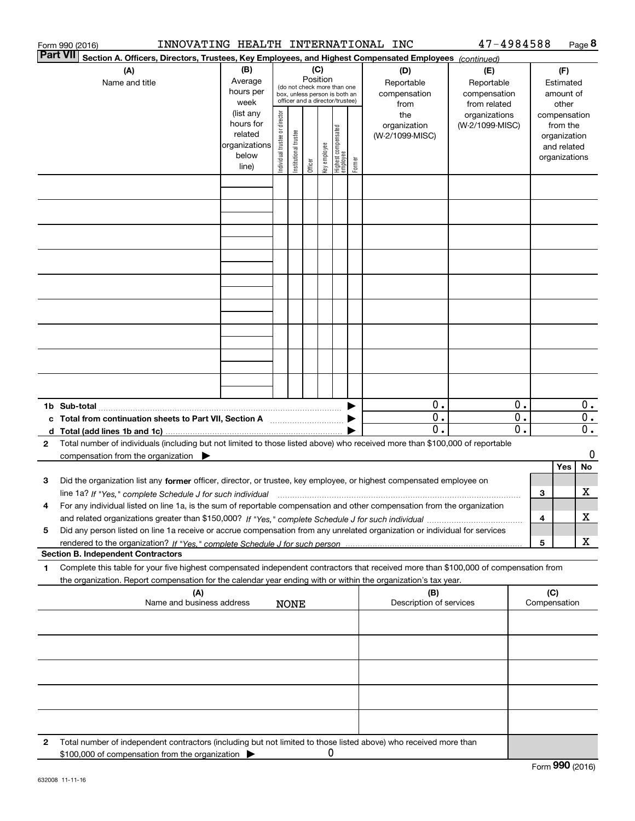|              | INNOVATING HEALTH INTERNATIONAL INC<br>Form 990 (2016)                                                                                                                                   |                                                                      |                                                                                                                    |                       |         |              |                                 |        |                                           | 47-4984588                                        |                                        |                     |                                                                          | Page 8                 |
|--------------|------------------------------------------------------------------------------------------------------------------------------------------------------------------------------------------|----------------------------------------------------------------------|--------------------------------------------------------------------------------------------------------------------|-----------------------|---------|--------------|---------------------------------|--------|-------------------------------------------|---------------------------------------------------|----------------------------------------|---------------------|--------------------------------------------------------------------------|------------------------|
|              | <b>Part VII</b><br>Section A. Officers, Directors, Trustees, Key Employees, and Highest Compensated Employees (continued)                                                                |                                                                      |                                                                                                                    |                       |         |              |                                 |        |                                           |                                                   |                                        |                     |                                                                          |                        |
|              | (A)<br>Name and title                                                                                                                                                                    | (B)<br>Average<br>hours per<br>week                                  | (C)<br>Position<br>(do not check more than one<br>box, unless person is both an<br>officer and a director/trustee) |                       |         |              |                                 |        | (D)<br>Reportable<br>compensation<br>from | (E)<br>Reportable<br>compensation<br>from related | (F)<br>Estimated<br>amount of<br>other |                     |                                                                          |                        |
|              |                                                                                                                                                                                          | (list any<br>hours for<br>related<br>organizations<br>below<br>line) | Individual trustee or director                                                                                     | Institutional trustee | Officer | Key employee | Highest compensated<br>employee | Former | the<br>organization<br>(W-2/1099-MISC)    | organizations<br>(W-2/1099-MISC)                  |                                        |                     | compensation<br>from the<br>organization<br>and related<br>organizations |                        |
|              |                                                                                                                                                                                          |                                                                      |                                                                                                                    |                       |         |              |                                 |        |                                           |                                                   |                                        |                     |                                                                          |                        |
|              |                                                                                                                                                                                          |                                                                      |                                                                                                                    |                       |         |              |                                 |        |                                           |                                                   |                                        |                     |                                                                          |                        |
|              |                                                                                                                                                                                          |                                                                      |                                                                                                                    |                       |         |              |                                 |        |                                           |                                                   |                                        |                     |                                                                          |                        |
|              |                                                                                                                                                                                          |                                                                      |                                                                                                                    |                       |         |              |                                 |        |                                           |                                                   |                                        |                     |                                                                          |                        |
|              |                                                                                                                                                                                          |                                                                      |                                                                                                                    |                       |         |              |                                 |        |                                           |                                                   |                                        |                     |                                                                          |                        |
|              |                                                                                                                                                                                          |                                                                      |                                                                                                                    |                       |         |              |                                 |        |                                           |                                                   |                                        |                     |                                                                          |                        |
|              |                                                                                                                                                                                          |                                                                      |                                                                                                                    |                       |         |              |                                 |        |                                           |                                                   |                                        |                     |                                                                          |                        |
|              |                                                                                                                                                                                          |                                                                      |                                                                                                                    |                       |         |              |                                 |        |                                           |                                                   |                                        |                     |                                                                          |                        |
|              | 1b Sub-total                                                                                                                                                                             |                                                                      |                                                                                                                    |                       |         |              |                                 |        | 0.<br>0.                                  |                                                   | 0.<br>0.                               |                     |                                                                          | 0.<br>$\overline{0}$ . |
|              | c Total from continuation sheets to Part VII, Section A [11] [12] [20] [20]                                                                                                              |                                                                      |                                                                                                                    |                       |         |              |                                 |        | $\mathbf 0$ .                             |                                                   | 0.                                     |                     |                                                                          | $0$ .                  |
| $\mathbf{2}$ | Total number of individuals (including but not limited to those listed above) who received more than \$100,000 of reportable<br>compensation from the organization $\blacktriangleright$ |                                                                      |                                                                                                                    |                       |         |              |                                 |        |                                           |                                                   |                                        |                     |                                                                          | 0                      |
|              |                                                                                                                                                                                          |                                                                      |                                                                                                                    |                       |         |              |                                 |        |                                           |                                                   |                                        |                     | Yes                                                                      | No                     |
| 3            | Did the organization list any former officer, director, or trustee, key employee, or highest compensated employee on                                                                     |                                                                      |                                                                                                                    |                       |         |              |                                 |        |                                           |                                                   |                                        | 3                   |                                                                          | х                      |
| 4            | For any individual listed on line 1a, is the sum of reportable compensation and other compensation from the organization                                                                 |                                                                      |                                                                                                                    |                       |         |              |                                 |        |                                           |                                                   |                                        |                     |                                                                          | х                      |
| 5            | Did any person listed on line 1a receive or accrue compensation from any unrelated organization or individual for services                                                               |                                                                      |                                                                                                                    |                       |         |              |                                 |        |                                           |                                                   |                                        | 4                   |                                                                          |                        |
|              |                                                                                                                                                                                          |                                                                      |                                                                                                                    |                       |         |              |                                 |        |                                           |                                                   |                                        | 5                   |                                                                          | х                      |
| 1            | <b>Section B. Independent Contractors</b><br>Complete this table for your five highest compensated independent contractors that received more than \$100,000 of compensation from        |                                                                      |                                                                                                                    |                       |         |              |                                 |        |                                           |                                                   |                                        |                     |                                                                          |                        |
|              | the organization. Report compensation for the calendar year ending with or within the organization's tax year.<br>(A)<br>Name and business address                                       |                                                                      |                                                                                                                    |                       |         |              |                                 |        | (B)<br>Description of services            |                                                   |                                        | (C)<br>Compensation |                                                                          |                        |
|              |                                                                                                                                                                                          |                                                                      |                                                                                                                    | <b>NONE</b>           |         |              |                                 |        |                                           |                                                   |                                        |                     |                                                                          |                        |
|              |                                                                                                                                                                                          |                                                                      |                                                                                                                    |                       |         |              |                                 |        |                                           |                                                   |                                        |                     |                                                                          |                        |
|              |                                                                                                                                                                                          |                                                                      |                                                                                                                    |                       |         |              |                                 |        |                                           |                                                   |                                        |                     |                                                                          |                        |
|              |                                                                                                                                                                                          |                                                                      |                                                                                                                    |                       |         |              |                                 |        |                                           |                                                   |                                        |                     |                                                                          |                        |
|              |                                                                                                                                                                                          |                                                                      |                                                                                                                    |                       |         |              |                                 |        |                                           |                                                   |                                        |                     |                                                                          |                        |
| 2            | Total number of independent contractors (including but not limited to those listed above) who received more than<br>\$100,000 of compensation from the organization                      |                                                                      |                                                                                                                    |                       |         | 0            |                                 |        |                                           |                                                   |                                        |                     |                                                                          |                        |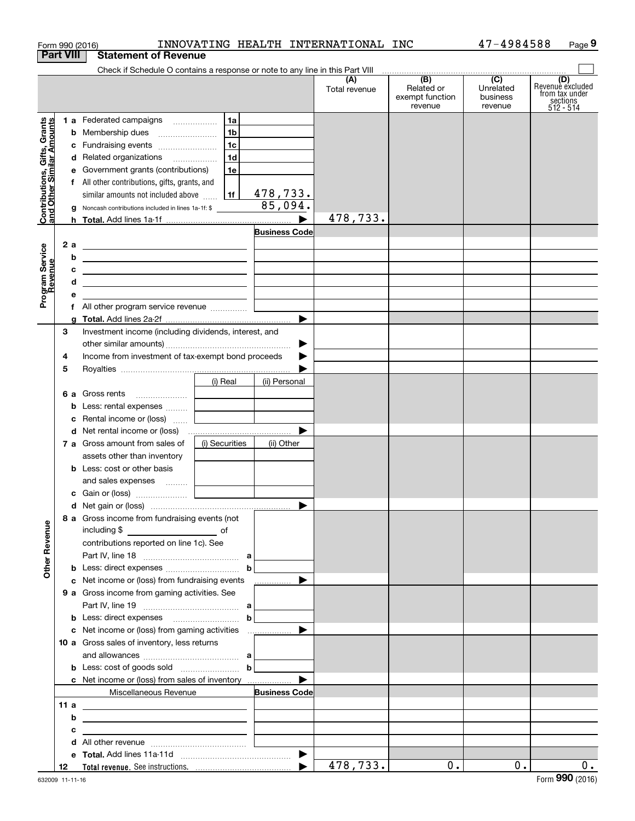|                                                           | Form 990 (2016)  |                                                                                                                       |                                                           |                      | INNOVATING HEALTH INTERNATIONAL INC |                                                              | 47-4984588                                           | Page 9                                                               |
|-----------------------------------------------------------|------------------|-----------------------------------------------------------------------------------------------------------------------|-----------------------------------------------------------|----------------------|-------------------------------------|--------------------------------------------------------------|------------------------------------------------------|----------------------------------------------------------------------|
|                                                           | <b>Part VIII</b> | <b>Statement of Revenue</b>                                                                                           |                                                           |                      |                                     |                                                              |                                                      |                                                                      |
|                                                           |                  | Check if Schedule O contains a response or note to any line in this Part VIII                                         |                                                           |                      |                                     |                                                              |                                                      |                                                                      |
|                                                           |                  |                                                                                                                       |                                                           |                      | (A)<br>Total revenue                | $\overline{(B)}$<br>Related or<br>exempt function<br>revenue | $\overline{(C)}$<br>Unrelated<br>business<br>revenue | (D)<br>Revenue excluded<br>from tax under<br>sections<br>$512 - 514$ |
|                                                           |                  | 1 a Federated campaigns                                                                                               | 1a                                                        |                      |                                     |                                                              |                                                      |                                                                      |
| Contributions, Gifts, Grants<br>and Other Similar Amounts |                  | <b>b</b> Membership dues                                                                                              | 1 <sub>b</sub>                                            |                      |                                     |                                                              |                                                      |                                                                      |
|                                                           |                  | c Fundraising events                                                                                                  | 1 <sub>c</sub>                                            |                      |                                     |                                                              |                                                      |                                                                      |
|                                                           |                  | d Related organizations                                                                                               | 1d                                                        |                      |                                     |                                                              |                                                      |                                                                      |
|                                                           |                  | e Government grants (contributions)                                                                                   | 1e                                                        |                      |                                     |                                                              |                                                      |                                                                      |
|                                                           |                  | f All other contributions, gifts, grants, and                                                                         |                                                           |                      |                                     |                                                              |                                                      |                                                                      |
|                                                           |                  | similar amounts not included above                                                                                    | 1f                                                        | 478,733.             |                                     |                                                              |                                                      |                                                                      |
|                                                           |                  | g Noncash contributions included in lines 1a-1f: \$                                                                   |                                                           | 85,094.              |                                     |                                                              |                                                      |                                                                      |
|                                                           |                  |                                                                                                                       |                                                           | ▶                    | 478,733.                            |                                                              |                                                      |                                                                      |
|                                                           |                  |                                                                                                                       |                                                           | <b>Business Code</b> |                                     |                                                              |                                                      |                                                                      |
|                                                           | 2 a              | <u> 1989 - Johann Barn, fransk politik amerikansk politik (</u>                                                       |                                                           |                      |                                     |                                                              |                                                      |                                                                      |
|                                                           | b                | <u> 1989 - Johann Harry Harry Harry Harry Harry Harry Harry Harry Harry Harry Harry Harry Harry Harry Harry Harry</u> |                                                           |                      |                                     |                                                              |                                                      |                                                                      |
|                                                           | c                |                                                                                                                       |                                                           |                      |                                     |                                                              |                                                      |                                                                      |
|                                                           | d                | <u> 1989 - Johann Harry Harry Harry Harry Harry Harry Harry Harry Harry Harry Harry Harry Harry Harry Harry Harry</u> |                                                           |                      |                                     |                                                              |                                                      |                                                                      |
| Program Service<br>Revenue                                | е                | <u> 1989 - Johann Stein, mars an de Frankryk († 1958)</u>                                                             |                                                           |                      |                                     |                                                              |                                                      |                                                                      |
|                                                           |                  | f All other program service revenue                                                                                   | <u> 1989 - Andrea Station Books, amerikansk politik (</u> |                      |                                     |                                                              |                                                      |                                                                      |
|                                                           | a                |                                                                                                                       |                                                           |                      |                                     |                                                              |                                                      |                                                                      |
|                                                           | 3                | Investment income (including dividends, interest, and                                                                 |                                                           |                      |                                     |                                                              |                                                      |                                                                      |
|                                                           |                  |                                                                                                                       |                                                           |                      |                                     |                                                              |                                                      |                                                                      |
|                                                           | 4                | Income from investment of tax-exempt bond proceeds                                                                    |                                                           |                      |                                     |                                                              |                                                      |                                                                      |
|                                                           | 5                |                                                                                                                       |                                                           |                      |                                     |                                                              |                                                      |                                                                      |
|                                                           |                  |                                                                                                                       |                                                           |                      |                                     |                                                              |                                                      |                                                                      |
|                                                           |                  |                                                                                                                       | (i) Real                                                  | (ii) Personal        |                                     |                                                              |                                                      |                                                                      |
|                                                           |                  | <b>6 a</b> Gross rents                                                                                                |                                                           |                      |                                     |                                                              |                                                      |                                                                      |
|                                                           |                  | <b>b</b> Less: rental expenses                                                                                        |                                                           |                      |                                     |                                                              |                                                      |                                                                      |
|                                                           |                  | c Rental income or (loss)                                                                                             | the contract of the contract                              |                      |                                     |                                                              |                                                      |                                                                      |
|                                                           |                  |                                                                                                                       |                                                           |                      |                                     |                                                              |                                                      |                                                                      |
|                                                           |                  | 7 a Gross amount from sales of                                                                                        | (i) Securities                                            | (ii) Other           |                                     |                                                              |                                                      |                                                                      |
|                                                           |                  | assets other than inventory                                                                                           |                                                           |                      |                                     |                                                              |                                                      |                                                                      |
|                                                           |                  | <b>b</b> Less: cost or other basis                                                                                    |                                                           |                      |                                     |                                                              |                                                      |                                                                      |
|                                                           |                  | and sales expenses                                                                                                    |                                                           |                      |                                     |                                                              |                                                      |                                                                      |
|                                                           |                  |                                                                                                                       |                                                           |                      |                                     |                                                              |                                                      |                                                                      |
|                                                           |                  |                                                                                                                       |                                                           |                      |                                     |                                                              |                                                      |                                                                      |
|                                                           |                  | 8 a Gross income from fundraising events (not                                                                         |                                                           |                      |                                     |                                                              |                                                      |                                                                      |
|                                                           |                  |                                                                                                                       |                                                           |                      |                                     |                                                              |                                                      |                                                                      |
|                                                           |                  | contributions reported on line 1c). See                                                                               |                                                           |                      |                                     |                                                              |                                                      |                                                                      |
|                                                           |                  |                                                                                                                       |                                                           |                      |                                     |                                                              |                                                      |                                                                      |
| <b>Other Revenue</b>                                      |                  |                                                                                                                       |                                                           |                      |                                     |                                                              |                                                      |                                                                      |
|                                                           |                  | c Net income or (loss) from fundraising events                                                                        |                                                           | ▶<br>.               |                                     |                                                              |                                                      |                                                                      |
|                                                           |                  | 9 a Gross income from gaming activities. See                                                                          |                                                           |                      |                                     |                                                              |                                                      |                                                                      |
|                                                           |                  |                                                                                                                       |                                                           |                      |                                     |                                                              |                                                      |                                                                      |
|                                                           |                  | <b>b</b> Less: direct expenses <b>contained b</b>                                                                     |                                                           |                      |                                     |                                                              |                                                      |                                                                      |
|                                                           |                  |                                                                                                                       |                                                           |                      |                                     |                                                              |                                                      |                                                                      |
|                                                           |                  | 10 a Gross sales of inventory, less returns                                                                           |                                                           |                      |                                     |                                                              |                                                      |                                                                      |
|                                                           |                  |                                                                                                                       |                                                           |                      |                                     |                                                              |                                                      |                                                                      |
|                                                           |                  | <b>b</b> Less: cost of goods sold $\ldots$ <b>b</b>                                                                   |                                                           |                      |                                     |                                                              |                                                      |                                                                      |
|                                                           |                  | <b>c</b> Net income or (loss) from sales of inventory                                                                 |                                                           | ▶                    |                                     |                                                              |                                                      |                                                                      |
|                                                           |                  | Miscellaneous Revenue                                                                                                 |                                                           | <b>Business Code</b> |                                     |                                                              |                                                      |                                                                      |
|                                                           | 11 a             | <u> Alexandria de la contrada de la contrada de la contrada de la contrada de la contrada de la contrada de la c</u>  |                                                           |                      |                                     |                                                              |                                                      |                                                                      |
|                                                           | b                |                                                                                                                       |                                                           |                      |                                     |                                                              |                                                      |                                                                      |
|                                                           | с                | <u> 1989 - Johann Stein, fransk politik (d. 1989)</u>                                                                 |                                                           |                      |                                     |                                                              |                                                      |                                                                      |
|                                                           |                  |                                                                                                                       |                                                           |                      |                                     |                                                              |                                                      |                                                                      |
|                                                           |                  |                                                                                                                       |                                                           |                      |                                     |                                                              |                                                      |                                                                      |
|                                                           | 12               |                                                                                                                       |                                                           |                      | 478,733.                            | 0.1                                                          | 0.                                                   | $0$ .                                                                |
|                                                           |                  |                                                                                                                       |                                                           |                      |                                     |                                                              |                                                      |                                                                      |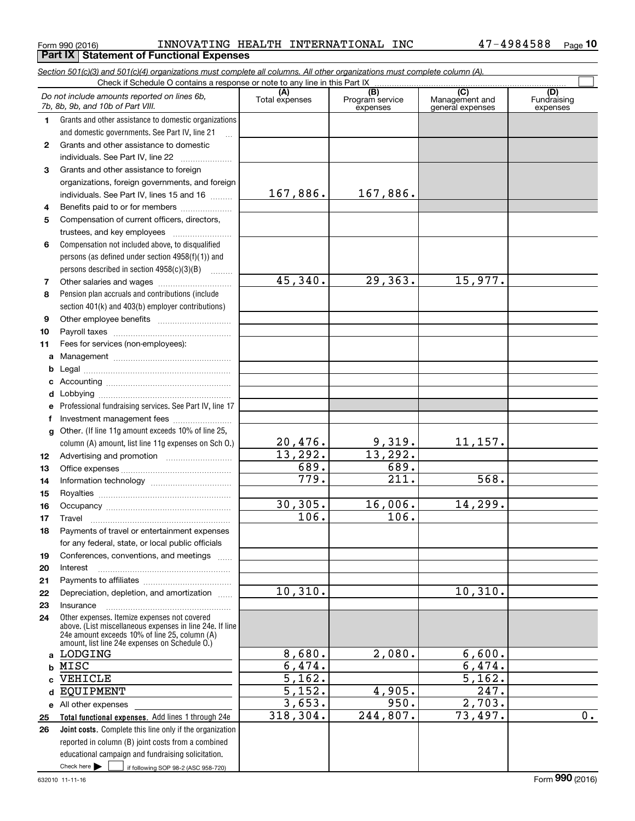#### $_{\rm Form}$   $_{990}$  (2016) <code>INNOVATING</code> <code>HEALTH</code> <code>INTERNATIONAL</code> INC  $_{\rm 47-4984588}$   $_{\rm Page}$ **Part IX Statement of Functional Expenses**

*Section 501(c)(3) and 501(c)(4) organizations must complete all columns. All other organizations must complete column (A).*

**10**

|          | Do not include amounts reported on lines 6b,<br>7b, 8b, 9b, and 10b of Part VIII.               | (A)<br>Total expenses | (B)<br>Program service<br>expenses | $\overline{C}$<br>Management and<br>general expenses | (D)<br>Fundraising<br>expenses |
|----------|-------------------------------------------------------------------------------------------------|-----------------------|------------------------------------|------------------------------------------------------|--------------------------------|
| 1        | Grants and other assistance to domestic organizations                                           |                       |                                    |                                                      |                                |
|          | and domestic governments. See Part IV, line 21                                                  |                       |                                    |                                                      |                                |
| 2        | Grants and other assistance to domestic                                                         |                       |                                    |                                                      |                                |
|          | individuals. See Part IV, line 22                                                               |                       |                                    |                                                      |                                |
| 3        | Grants and other assistance to foreign                                                          |                       |                                    |                                                      |                                |
|          | organizations, foreign governments, and foreign                                                 |                       |                                    |                                                      |                                |
|          | individuals. See Part IV, lines 15 and 16                                                       | 167,886.              | 167,886.                           |                                                      |                                |
| 4        | Benefits paid to or for members                                                                 |                       |                                    |                                                      |                                |
| 5        | Compensation of current officers, directors,                                                    |                       |                                    |                                                      |                                |
|          | trustees, and key employees                                                                     |                       |                                    |                                                      |                                |
| 6        | Compensation not included above, to disqualified                                                |                       |                                    |                                                      |                                |
|          | persons (as defined under section 4958(f)(1)) and                                               |                       |                                    |                                                      |                                |
|          | persons described in section 4958(c)(3)(B)                                                      |                       |                                    |                                                      |                                |
| 7        |                                                                                                 | 45,340.               | 29, 363.                           | 15,977.                                              |                                |
| 8        | Pension plan accruals and contributions (include                                                |                       |                                    |                                                      |                                |
|          | section 401(k) and 403(b) employer contributions)                                               |                       |                                    |                                                      |                                |
| 9        |                                                                                                 |                       |                                    |                                                      |                                |
| 10       |                                                                                                 |                       |                                    |                                                      |                                |
| 11       | Fees for services (non-employees):                                                              |                       |                                    |                                                      |                                |
| a        |                                                                                                 |                       |                                    |                                                      |                                |
| b        |                                                                                                 |                       |                                    |                                                      |                                |
| c        |                                                                                                 |                       |                                    |                                                      |                                |
| d        |                                                                                                 |                       |                                    |                                                      |                                |
| е        | Professional fundraising services. See Part IV, line 17                                         |                       |                                    |                                                      |                                |
| f        | Investment management fees                                                                      |                       |                                    |                                                      |                                |
| g        | Other. (If line 11g amount exceeds 10% of line 25,                                              |                       |                                    |                                                      |                                |
|          | column (A) amount, list line 11g expenses on Sch O.)                                            | 20,476.               | 9,319.                             | 11,157.                                              |                                |
| 12       |                                                                                                 | 13,292.               | 13,292.                            |                                                      |                                |
| 13       |                                                                                                 | 689.<br>779.          | 689.                               | 568.                                                 |                                |
| 14       |                                                                                                 |                       | 211.                               |                                                      |                                |
| 15       |                                                                                                 | 30, 305.              | 16,006.                            | 14,299.                                              |                                |
| 16       |                                                                                                 | $\overline{106}$ .    | $\overline{106}$ .                 |                                                      |                                |
| 17       | Travel                                                                                          |                       |                                    |                                                      |                                |
| 18       | Payments of travel or entertainment expenses                                                    |                       |                                    |                                                      |                                |
|          | for any federal, state, or local public officials                                               |                       |                                    |                                                      |                                |
| 19<br>20 | Conferences, conventions, and meetings<br>Interest                                              |                       |                                    |                                                      |                                |
| 21       |                                                                                                 |                       |                                    |                                                      |                                |
| 22       | Depreciation, depletion, and amortization                                                       | 10,310.               |                                    | 10, 310.                                             |                                |
| 23       | Insurance                                                                                       |                       |                                    |                                                      |                                |
| 24       | Other expenses. Itemize expenses not covered                                                    |                       |                                    |                                                      |                                |
|          | above. (List miscellaneous expenses in line 24e. If line                                        |                       |                                    |                                                      |                                |
|          | 24e amount exceeds 10% of line 25, column (A)<br>amount, list line 24e expenses on Schedule O.) |                       |                                    |                                                      |                                |
|          | a LODGING                                                                                       | 8,680.                | 2,080.                             | 6,600.                                               |                                |
| b        | MISC                                                                                            | 6,474.                |                                    | 6,474.                                               |                                |
| c.       | VEHICLE                                                                                         | $\overline{5,162.}$   |                                    | 5,162.                                               |                                |
| d        | <b>EQUIPMENT</b>                                                                                | 5,152.                | 4,905.                             | $\overline{247}$ .                                   |                                |
|          | e All other expenses                                                                            | 3,653.                | 950.                               | 2,703.                                               |                                |
| 25       | Total functional expenses. Add lines 1 through 24e                                              | 318, 304.             | 244,807.                           | 73,497.                                              | 0.                             |
| 26       | <b>Joint costs.</b> Complete this line only if the organization                                 |                       |                                    |                                                      |                                |
|          | reported in column (B) joint costs from a combined                                              |                       |                                    |                                                      |                                |
|          | educational campaign and fundraising solicitation.                                              |                       |                                    |                                                      |                                |
|          | Check here $\blacktriangleright$<br>if following SOP 98-2 (ASC 958-720)                         |                       |                                    |                                                      |                                |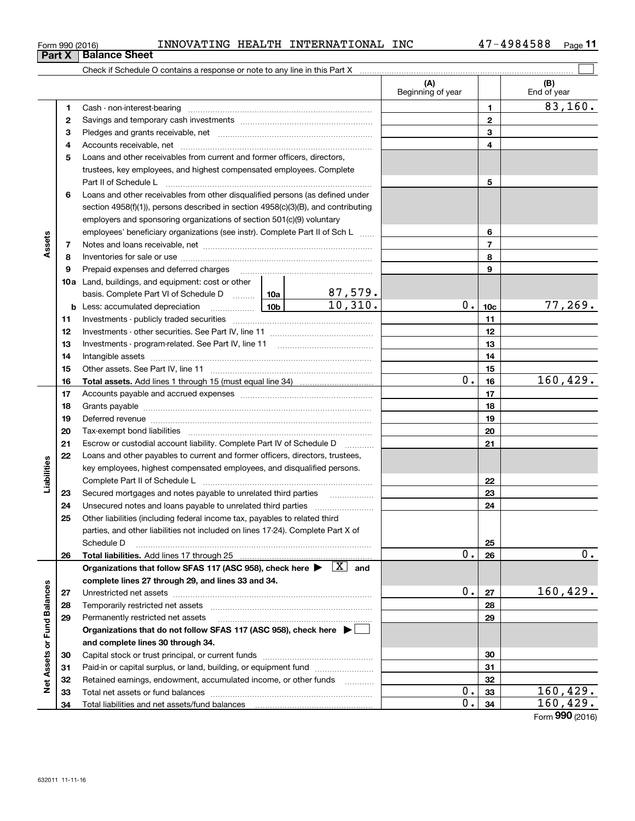| Form 990 (2016) | INNOVATING | HEALTH | INTERNATIONAL | <b>INC</b> | 4984588/ | Page |
|-----------------|------------|--------|---------------|------------|----------|------|
|-----------------|------------|--------|---------------|------------|----------|------|

**3** Pledges and grants receivable, net www.communically.communically.com

Cash - non-interest-bearing ~~~~~~~~~~~~~~~~~~~~~~~~~ Savings and temporary cash investments ~~~~~~~~~~~~~~~~~~

 $\mathcal{L}^{\text{max}}$ 

83,160.

**123**

| <b>Balance Sheet</b>                                                       |                   |             |
|----------------------------------------------------------------------------|-------------------|-------------|
| Check if Schedule O contains a response or note to any line in this Part X |                   |             |
|                                                                            |                   | End of year |
|                                                                            | Beginning of year |             |

**45**Loans and other receivables from current and former officers, directors, **6**Loans and other receivables from other disqualified persons (as defined under **78910a**Land, buildings, and equipment: cost or other **11121314151617181920212223242526272829303132333445678910c11121314151617181920212223242526b** Less: accumulated depreciation \_\_\_\_\_\_\_\_\_\_\_\_\_\_\_ Lub basis. Complete Part VI of Schedule D will aller **Total assets.**  Add lines 1 through 15 (must equal line 34) **Total liabilities.**  Add lines 17 through 25 Organizations that follow SFAS 117 (ASC 958), check here  $\blacktriangleright$   $\boxed{\text{X}}$  and **complete lines 27 through 29, and lines 33 and 34. 272829Organizations that do not follow SFAS 117 (ASC 958), check here** | **and complete lines 30 through 34. 3031323334**Accounts receivable, net ~~~~~~~~~~~~~~~~~~~~~~~~~~ trustees, key employees, and highest compensated employees. Complete Part II of Schedule L ~~~~~~~~~~~~~~~~~~~~~~~~~~~~ section 4958(f)(1)), persons described in section 4958(c)(3)(B), and contributing employers and sponsoring organizations of section 501(c)(9) voluntary employees' beneficiary organizations (see instr). Complete Part II of Sch L ...... Notes and loans receivable, net ~~~~~~~~~~~~~~~~~~~~~~~ Inventories for sale or use ~~~~~~~~~~~~~~~~~~~~~~~~~~ Prepaid expenses and deferred charges Investments - publicly traded securities ~~~~~~~~~~~~~~~~~~~ Investments - other securities. See Part IV, line 11 ~~~~~~~~~~~~~~ Investments - program-related. See Part IV, line 11 ~~~~~~~~~~~~~ Intangible assets ~~~~~~~~~~~~~~~~~~~~~~~~~~~~~~ Other assets. See Part IV, line 11 ~~~~~~~~~~~~~~~~~~~~~~ Accounts payable and accrued expenses ~~~~~~~~~~~~~~~~~~Grants payable ~~~~~~~~~~~~~~~~~~~~~~~~~~~~~~~ Deferred revenue ~~~~~~~~~~~~~~~~~~~~~~~~~~~~~~Tax-exempt bond liabilities ~~~~~~~~~~~~~~~~~~~~~~~~~ Escrow or custodial account liability. Complete Part IV of Schedule D  $\quad \, \ldots \ldots \ldots \,$ Loans and other payables to current and former officers, directors, trustees, key employees, highest compensated employees, and disqualified persons. Complete Part II of Schedule L <sub>…………………………………………………………</sub> Secured mortgages and notes payable to unrelated third parties  $\ldots$  ................. Unsecured notes and loans payable to unrelated third parties ~~~~~~~~~~~~~~~~~~~~ Other liabilities (including federal income tax, payables to related third parties, and other liabilities not included on lines 17-24). Complete Part X of Schedule D ~~~~~~~~~~~~~~~~~~~~~~~~~~~~~~~~ Unrestricted net assets ~~~~~~~~~~~~~~~~~~~~~~~~~~~ Temporarily restricted net assets ~~~~~~~~~~~~~~~~~~~~~~ Permanently restricted net assets …………………………………………………… Capital stock or trust principal, or current funds ~~~~~~~~~~~~~~~ Paid-in or capital surplus, or land, building, or equipment fund will concurred. Retained earnings, endowment, accumulated income, or other funds www.com Total net assets or fund balances ~~~~~~~~~~~~~~~~~~~~~~ Total liabilities and net assets/fund balances 87,579.  $10,310.$   $0.1_{10c}$  77,269.  $0.16$  160,429. 0.l<u>26</u> l 0.  $0. |27|$  160,429.  $0. |33| 160,429.$  $0. |34| 160,429.$ 

Form (2016) **990**

# **Part X Balar**

**12**

**Assets**

**Liabilities**

Liabilities

**Net Assets or Fund Balances**

**Net Assets or Fund Balances**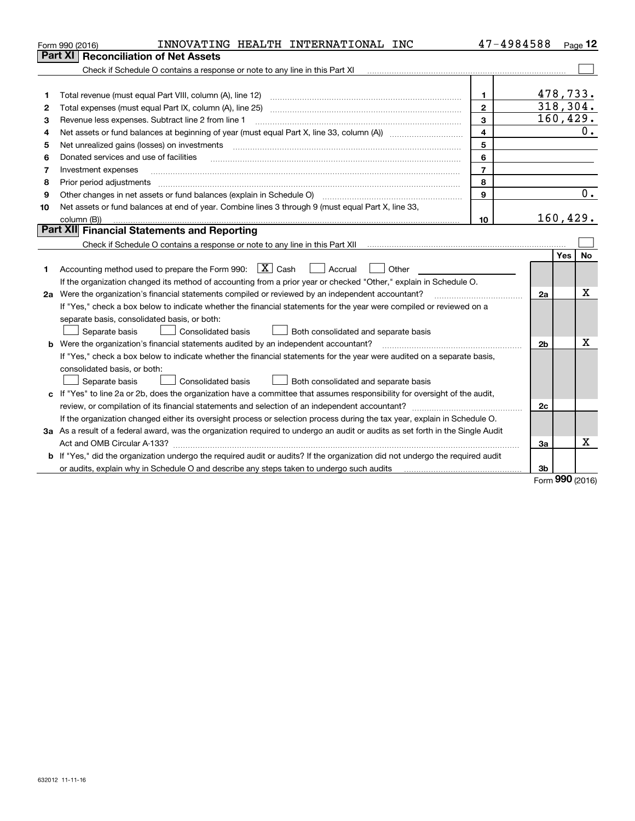|    | INNOVATING HEALTH INTERNATIONAL INC<br>Form 990 (2016)                                                                                                                                  | 47-4984588     |                |            | Page 12   |
|----|-----------------------------------------------------------------------------------------------------------------------------------------------------------------------------------------|----------------|----------------|------------|-----------|
|    | <b>Reconciliation of Net Assets</b><br>Part XI                                                                                                                                          |                |                |            |           |
|    |                                                                                                                                                                                         |                |                |            |           |
|    |                                                                                                                                                                                         |                |                |            |           |
| 1  | Total revenue (must equal Part VIII, column (A), line 12)                                                                                                                               | $\mathbf{1}$   | 478,733.       |            |           |
| 2  | Total expenses (must equal Part IX, column (A), line 25)                                                                                                                                | $\mathbf{2}$   | 318,304.       |            |           |
| з  | Revenue less expenses. Subtract line 2 from line 1                                                                                                                                      | 3              | 160, 429.      |            |           |
| 4  | Net assets or fund balances at beginning of year (must equal Part X, line 33, column (A)) <i>massets</i> or fund balances at beginning of year (must equal Part X, line 33, column (A)) | 4              |                |            | 0.        |
| 5  | Net unrealized gains (losses) on investments                                                                                                                                            | 5              |                |            |           |
| 6  | Donated services and use of facilities                                                                                                                                                  | 6              |                |            |           |
| 7  | Investment expenses                                                                                                                                                                     | $\overline{7}$ |                |            |           |
| 8  | Prior period adjustments                                                                                                                                                                | 8              |                |            |           |
| 9  | Other changes in net assets or fund balances (explain in Schedule O) [11] [12] [13] [13] [13] [13] Other changes in net assets or fund balances (explain in Schedule O)                 | 9              |                |            | 0.        |
| 10 | Net assets or fund balances at end of year. Combine lines 3 through 9 (must equal Part X, line 33,                                                                                      |                |                |            |           |
|    | column (B))                                                                                                                                                                             | 10             | 160, 429.      |            |           |
|    | Part XII Financial Statements and Reporting                                                                                                                                             |                |                |            |           |
|    |                                                                                                                                                                                         |                |                |            |           |
|    |                                                                                                                                                                                         |                |                | <b>Yes</b> | <b>No</b> |
| 1  | Accounting method used to prepare the Form 990: $\boxed{\textbf{X}}$ Cash<br>  Accrual<br>Other                                                                                         |                |                |            |           |
|    | If the organization changed its method of accounting from a prior year or checked "Other," explain in Schedule O.                                                                       |                |                |            |           |
|    | 2a Were the organization's financial statements compiled or reviewed by an independent accountant?                                                                                      |                | 2a             |            | Χ         |
|    | If "Yes," check a box below to indicate whether the financial statements for the year were compiled or reviewed on a                                                                    |                |                |            |           |
|    | separate basis, consolidated basis, or both:                                                                                                                                            |                |                |            |           |
|    | Both consolidated and separate basis<br>Separate basis<br>Consolidated basis                                                                                                            |                |                |            |           |
|    | <b>b</b> Were the organization's financial statements audited by an independent accountant?                                                                                             |                | 2 <sub>b</sub> |            | х         |
|    | If "Yes," check a box below to indicate whether the financial statements for the year were audited on a separate basis,                                                                 |                |                |            |           |
|    | consolidated basis, or both:                                                                                                                                                            |                |                |            |           |
|    | Separate basis<br><b>Consolidated basis</b><br>Both consolidated and separate basis                                                                                                     |                |                |            |           |
|    | c If "Yes" to line 2a or 2b, does the organization have a committee that assumes responsibility for oversight of the audit,                                                             |                |                |            |           |
|    |                                                                                                                                                                                         |                | 2c             |            |           |
|    | If the organization changed either its oversight process or selection process during the tax year, explain in Schedule O.                                                               |                |                |            |           |
|    | 3a As a result of a federal award, was the organization required to undergo an audit or audits as set forth in the Single Audit                                                         |                |                |            |           |
|    |                                                                                                                                                                                         |                | За             |            | x         |
|    | b If "Yes," did the organization undergo the required audit or audits? If the organization did not undergo the required audit                                                           |                |                |            |           |
|    | or audits, explain why in Schedule O and describe any steps taken to undergo such audits manufactured interman                                                                          |                | 3b             | nnn.       |           |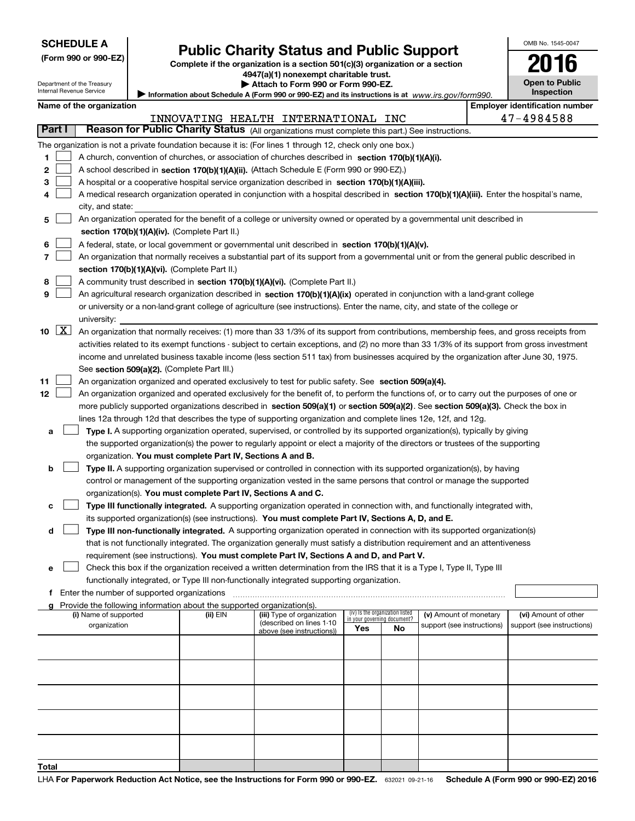| (Form 990 or 990-EZ) |  |
|----------------------|--|
|----------------------|--|

# **Public Charity Status and Public Support**

OMB No. 1545-0047

**2016**

**Complete if the organization is a section 501(c)(3) organization or a section 4947(a)(1) nonexempt charitable trust.**

| Department of the Treasury<br>Internal Revenue Service |                    |                          | $3 + i$ (a) Truncaempt chantable trast.<br>Attach to Form 990 or Form 990-EZ.                                                                 |            | <b>Open to Public</b>                 |
|--------------------------------------------------------|--------------------|--------------------------|-----------------------------------------------------------------------------------------------------------------------------------------------|------------|---------------------------------------|
|                                                        |                    |                          | Information about Schedule A (Form 990 or 990-EZ) and its instructions is at www.irs.gov/form990.                                             | Inspection |                                       |
|                                                        |                    | Name of the organization |                                                                                                                                               |            | <b>Employer identification number</b> |
|                                                        |                    |                          | INNOVATING HEALTH INTERNATIONAL INC                                                                                                           |            | 47-4984588                            |
|                                                        | Part I             |                          | Reason for Public Charity Status (All organizations must complete this part.) See instructions.                                               |            |                                       |
|                                                        |                    |                          | The organization is not a private foundation because it is: (For lines 1 through 12, check only one box.)                                     |            |                                       |
| 1.                                                     |                    |                          | A church, convention of churches, or association of churches described in section $170(b)(1)(A)(i)$ .                                         |            |                                       |
| 2                                                      |                    |                          | A school described in section 170(b)(1)(A)(ii). (Attach Schedule E (Form 990 or 990-EZ).)                                                     |            |                                       |
| з                                                      |                    |                          | A hospital or a cooperative hospital service organization described in section 170(b)(1)(A)(iii).                                             |            |                                       |
| 4                                                      |                    |                          | A medical research organization operated in conjunction with a hospital described in section 170(b)(1)(A)(iii). Enter the hospital's name,    |            |                                       |
|                                                        |                    | city, and state:         |                                                                                                                                               |            |                                       |
| 5                                                      |                    |                          | An organization operated for the benefit of a college or university owned or operated by a governmental unit described in                     |            |                                       |
|                                                        |                    |                          | section 170(b)(1)(A)(iv). (Complete Part II.)                                                                                                 |            |                                       |
| 6                                                      |                    |                          | A federal, state, or local government or governmental unit described in section 170(b)(1)(A)(v).                                              |            |                                       |
| 7                                                      |                    |                          | An organization that normally receives a substantial part of its support from a governmental unit or from the general public described in     |            |                                       |
|                                                        |                    |                          | section 170(b)(1)(A)(vi). (Complete Part II.)                                                                                                 |            |                                       |
| 8                                                      |                    |                          | A community trust described in section 170(b)(1)(A)(vi). (Complete Part II.)                                                                  |            |                                       |
| 9                                                      |                    |                          | An agricultural research organization described in <b>section 170(b)(1)(A)(ix)</b> operated in conjunction with a land-grant college          |            |                                       |
|                                                        |                    |                          | or university or a non-land-grant college of agriculture (see instructions). Enter the name, city, and state of the college or                |            |                                       |
|                                                        |                    | university:              |                                                                                                                                               |            |                                       |
| 10                                                     | $\boxed{\text{X}}$ |                          | An organization that normally receives: (1) more than 33 1/3% of its support from contributions, membership fees, and gross receipts from     |            |                                       |
|                                                        |                    |                          | activities related to its exempt functions - subject to certain exceptions, and (2) no more than 33 1/3% of its support from gross investment |            |                                       |
|                                                        |                    |                          | income and unrelated business taxable income (less section 511 tax) from businesses acquired by the organization after June 30, 1975.         |            |                                       |
|                                                        |                    |                          | See section 509(a)(2). (Complete Part III.)                                                                                                   |            |                                       |
| 11                                                     |                    |                          | An organization organized and operated exclusively to test for public safety. See section 509(a)(4).                                          |            |                                       |
| 12                                                     |                    |                          | An organization organized and operated exclusively for the benefit of, to perform the functions of, or to carry out the purposes of one or    |            |                                       |
|                                                        |                    |                          | more publicly supported organizations described in section 509(a)(1) or section 509(a)(2). See section 509(a)(3). Check the box in            |            |                                       |
|                                                        |                    |                          | lines 12a through 12d that describes the type of supporting organization and complete lines 12e, 12f, and 12g.                                |            |                                       |
| а                                                      |                    |                          | Type I. A supporting organization operated, supervised, or controlled by its supported organization(s), typically by giving                   |            |                                       |
|                                                        |                    |                          | the supported organization(s) the power to regularly appoint or elect a majority of the directors or trustees of the supporting               |            |                                       |
|                                                        |                    |                          | organization. You must complete Part IV, Sections A and B.                                                                                    |            |                                       |
| b                                                      |                    |                          | <b>Type II.</b> A supporting organization supervised or controlled in connection with its supported organization(s), by having                |            |                                       |
|                                                        |                    |                          | control or management of the supporting organization vested in the same persons that control or manage the supported                          |            |                                       |
|                                                        |                    |                          | organization(s). You must complete Part IV, Sections A and C.                                                                                 |            |                                       |
|                                                        |                    |                          | Type III functionally integrated. A supporting organization operated in connection with, and functionally integrated with,                    |            |                                       |
|                                                        |                    |                          | its supported organization(s) (see instructions). You must complete Part IV, Sections A, D, and E.                                            |            |                                       |
| d                                                      |                    |                          | Type III non-functionally integrated. A supporting organization operated in connection with its supported organization(s)                     |            |                                       |
|                                                        |                    |                          | that is not functionally integrated. The organization generally must satisfy a distribution requirement and an attentiveness                  |            |                                       |
|                                                        |                    |                          | requirement (see instructions). You must complete Part IV, Sections A and D, and Part V.                                                      |            |                                       |
| е                                                      |                    |                          | Check this box if the organization received a written determination from the IRS that it is a Type I, Type II, Type III                       |            |                                       |
|                                                        |                    |                          | functionally integrated, or Type III non-functionally integrated supporting organization.                                                     |            |                                       |
|                                                        |                    |                          | <b>f</b> Enter the number of supported organizations                                                                                          |            |                                       |

Provide the following information about the supported organization(s).

| Provide the following information about the supported organization(s). |          |                            |                                                                |    |                            |                            |
|------------------------------------------------------------------------|----------|----------------------------|----------------------------------------------------------------|----|----------------------------|----------------------------|
| (i) Name of supported                                                  | (ii) EIN | (iii) Type of organization | (iv) Is the organization listed<br>in your governing document? |    | (v) Amount of monetary     | (vi) Amount of other       |
| organization                                                           |          | (described on lines 1-10   |                                                                |    | support (see instructions) | support (see instructions) |
|                                                                        |          | above (see instructions))  | Yes                                                            | No |                            |                            |
|                                                                        |          |                            |                                                                |    |                            |                            |
|                                                                        |          |                            |                                                                |    |                            |                            |
|                                                                        |          |                            |                                                                |    |                            |                            |
|                                                                        |          |                            |                                                                |    |                            |                            |
|                                                                        |          |                            |                                                                |    |                            |                            |
|                                                                        |          |                            |                                                                |    |                            |                            |
|                                                                        |          |                            |                                                                |    |                            |                            |
|                                                                        |          |                            |                                                                |    |                            |                            |
|                                                                        |          |                            |                                                                |    |                            |                            |
|                                                                        |          |                            |                                                                |    |                            |                            |
|                                                                        |          |                            |                                                                |    |                            |                            |
|                                                                        |          |                            |                                                                |    |                            |                            |
|                                                                        |          |                            |                                                                |    |                            |                            |
|                                                                        |          |                            |                                                                |    |                            |                            |
| Total                                                                  |          |                            |                                                                |    |                            |                            |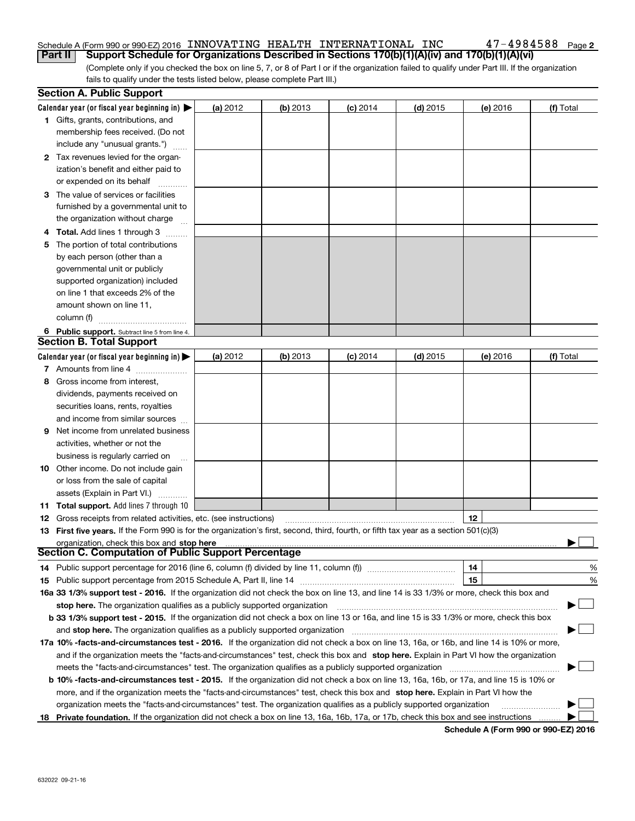#### Schedule A (Form 990 or 990-EZ) 2016  $\,$  INNOVATING  $\,$  HEALTH  $\,$  INTERNATIONAL  $\,$  INC  $\,$   $\,$   $\,$  47  $-$  4984588  $\,$   $_{\rm{Page}}$ **Part II Support Schedule for Organizations Described in Sections 170(b)(1)(A)(iv) and 170(b)(1)(A)(vi)**

**2**

(Complete only if you checked the box on line 5, 7, or 8 of Part I or if the organization failed to qualify under Part III. If the organization fails to qualify under the tests listed below, please complete Part III.)

|    | <b>Section A. Public Support</b>                                                                                                               |          |            |            |            |          |                             |
|----|------------------------------------------------------------------------------------------------------------------------------------------------|----------|------------|------------|------------|----------|-----------------------------|
|    | Calendar year (or fiscal year beginning in) $\blacktriangleright$                                                                              | (a) 2012 | $(b)$ 2013 | $(c)$ 2014 | $(d)$ 2015 | (e) 2016 | (f) Total                   |
|    | 1 Gifts, grants, contributions, and                                                                                                            |          |            |            |            |          |                             |
|    | membership fees received. (Do not                                                                                                              |          |            |            |            |          |                             |
|    | include any "unusual grants.")                                                                                                                 |          |            |            |            |          |                             |
|    | 2 Tax revenues levied for the organ-                                                                                                           |          |            |            |            |          |                             |
|    | ization's benefit and either paid to                                                                                                           |          |            |            |            |          |                             |
|    | or expended on its behalf                                                                                                                      |          |            |            |            |          |                             |
|    | 3 The value of services or facilities                                                                                                          |          |            |            |            |          |                             |
|    | furnished by a governmental unit to                                                                                                            |          |            |            |            |          |                             |
|    | the organization without charge                                                                                                                |          |            |            |            |          |                             |
|    | 4 Total. Add lines 1 through 3<br>$\sim$                                                                                                       |          |            |            |            |          |                             |
| 5. | The portion of total contributions                                                                                                             |          |            |            |            |          |                             |
|    | by each person (other than a                                                                                                                   |          |            |            |            |          |                             |
|    | governmental unit or publicly                                                                                                                  |          |            |            |            |          |                             |
|    | supported organization) included                                                                                                               |          |            |            |            |          |                             |
|    | on line 1 that exceeds 2% of the                                                                                                               |          |            |            |            |          |                             |
|    | amount shown on line 11,                                                                                                                       |          |            |            |            |          |                             |
|    | column (f)                                                                                                                                     |          |            |            |            |          |                             |
|    | 6 Public support. Subtract line 5 from line 4.                                                                                                 |          |            |            |            |          |                             |
|    | <b>Section B. Total Support</b>                                                                                                                |          |            |            |            |          |                             |
|    | Calendar year (or fiscal year beginning in) $\blacktriangleright$                                                                              | (a) 2012 | (b) 2013   | $(c)$ 2014 | $(d)$ 2015 | (e) 2016 | (f) Total                   |
|    | 7 Amounts from line 4                                                                                                                          |          |            |            |            |          |                             |
| 8  | Gross income from interest,                                                                                                                    |          |            |            |            |          |                             |
|    | dividends, payments received on                                                                                                                |          |            |            |            |          |                             |
|    | securities loans, rents, royalties                                                                                                             |          |            |            |            |          |                             |
|    | and income from similar sources                                                                                                                |          |            |            |            |          |                             |
| 9. | Net income from unrelated business                                                                                                             |          |            |            |            |          |                             |
|    | activities, whether or not the                                                                                                                 |          |            |            |            |          |                             |
|    | business is regularly carried on                                                                                                               |          |            |            |            |          |                             |
|    | <b>10</b> Other income. Do not include gain                                                                                                    |          |            |            |            |          |                             |
|    | or loss from the sale of capital                                                                                                               |          |            |            |            |          |                             |
|    | assets (Explain in Part VI.)                                                                                                                   |          |            |            |            |          |                             |
|    | <b>11 Total support.</b> Add lines 7 through 10                                                                                                |          |            |            |            |          |                             |
|    | <b>12</b> Gross receipts from related activities, etc. (see instructions)                                                                      |          |            |            |            | 12       |                             |
|    | 13 First five years. If the Form 990 is for the organization's first, second, third, fourth, or fifth tax year as a section 501(c)(3)          |          |            |            |            |          |                             |
|    | organization, check this box and stop here                                                                                                     |          |            |            |            |          |                             |
|    | Section C. Computation of Public Support Percentage                                                                                            |          |            |            |            |          |                             |
|    | 14 Public support percentage for 2016 (line 6, column (f) divided by line 11, column (f) <i>mummumumum</i>                                     |          |            |            |            | 14       | %                           |
|    |                                                                                                                                                |          |            |            |            | 15       | %                           |
|    | 16a 33 1/3% support test - 2016. If the organization did not check the box on line 13, and line 14 is 33 1/3% or more, check this box and      |          |            |            |            |          |                             |
|    | stop here. The organization qualifies as a publicly supported organization                                                                     |          |            |            |            |          | $\mathcal{L}_{\mathcal{A}}$ |
|    | b 33 1/3% support test - 2015. If the organization did not check a box on line 13 or 16a, and line 15 is 33 1/3% or more, check this box       |          |            |            |            |          |                             |
|    | and stop here. The organization qualifies as a publicly supported organization                                                                 |          |            |            |            |          |                             |
|    | 17a 10% -facts-and-circumstances test - 2016. If the organization did not check a box on line 13, 16a, or 16b, and line 14 is 10% or more,     |          |            |            |            |          |                             |
|    | and if the organization meets the "facts-and-circumstances" test, check this box and stop here. Explain in Part VI how the organization        |          |            |            |            |          |                             |
|    | meets the "facts-and-circumstances" test. The organization qualifies as a publicly supported organization                                      |          |            |            |            |          |                             |
|    | <b>b 10% -facts-and-circumstances test - 2015.</b> If the organization did not check a box on line 13, 16a, 16b, or 17a, and line 15 is 10% or |          |            |            |            |          |                             |
|    | more, and if the organization meets the "facts-and-circumstances" test, check this box and stop here. Explain in Part VI how the               |          |            |            |            |          |                             |
|    | organization meets the "facts-and-circumstances" test. The organization qualifies as a publicly supported organization                         |          |            |            |            |          |                             |
|    | 18 Private foundation. If the organization did not check a box on line 13, 16a, 16b, 17a, or 17b, check this box and see instructions          |          |            |            |            |          |                             |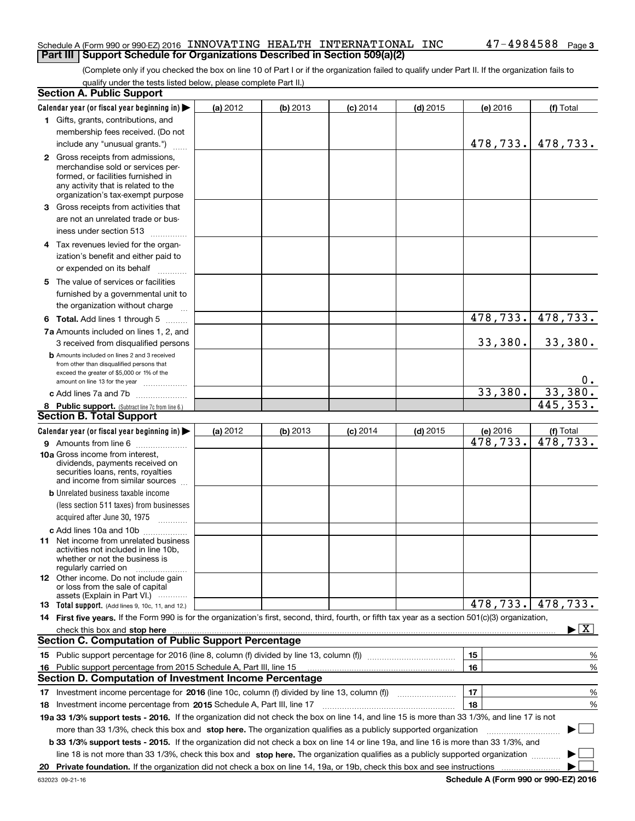### Schedule A (Form 990 or 990-EZ) 2016  $\,$  INNOVATING  $\,$  HEALTH  $\,$  INTERNATIONAL  $\,$  INC  $\,$   $\,$   $\,$  47  $-$  4984588  $\,$   $_{\rm{Page}}$ **Part III** | Support Schedule for Organizations Described in Section 509(a)(2)

(Complete only if you checked the box on line 10 of Part I or if the organization failed to qualify under Part II. If the organization fails to qualify under the tests listed below, please complete Part II.)

|    | <b>Section A. Public Support</b>                                                                                                                                                                                                   |          |          |            |            |           |                                          |
|----|------------------------------------------------------------------------------------------------------------------------------------------------------------------------------------------------------------------------------------|----------|----------|------------|------------|-----------|------------------------------------------|
|    | Calendar year (or fiscal year beginning in)                                                                                                                                                                                        | (a) 2012 | (b) 2013 | $(c)$ 2014 | $(d)$ 2015 | (e) 2016  | (f) Total                                |
|    | 1 Gifts, grants, contributions, and                                                                                                                                                                                                |          |          |            |            |           |                                          |
|    | membership fees received. (Do not                                                                                                                                                                                                  |          |          |            |            |           |                                          |
|    | include any "unusual grants.")                                                                                                                                                                                                     |          |          |            |            | 478,733.  | 478,733.                                 |
|    | 2 Gross receipts from admissions,                                                                                                                                                                                                  |          |          |            |            |           |                                          |
|    | merchandise sold or services per-                                                                                                                                                                                                  |          |          |            |            |           |                                          |
|    | formed, or facilities furnished in                                                                                                                                                                                                 |          |          |            |            |           |                                          |
|    | any activity that is related to the<br>organization's tax-exempt purpose                                                                                                                                                           |          |          |            |            |           |                                          |
|    | 3 Gross receipts from activities that                                                                                                                                                                                              |          |          |            |            |           |                                          |
|    | are not an unrelated trade or bus-                                                                                                                                                                                                 |          |          |            |            |           |                                          |
|    | iness under section 513                                                                                                                                                                                                            |          |          |            |            |           |                                          |
|    |                                                                                                                                                                                                                                    |          |          |            |            |           |                                          |
|    | 4 Tax revenues levied for the organ-                                                                                                                                                                                               |          |          |            |            |           |                                          |
|    | ization's benefit and either paid to                                                                                                                                                                                               |          |          |            |            |           |                                          |
|    | or expended on its behalf<br>لتنبيث                                                                                                                                                                                                |          |          |            |            |           |                                          |
|    | 5 The value of services or facilities                                                                                                                                                                                              |          |          |            |            |           |                                          |
|    | furnished by a governmental unit to                                                                                                                                                                                                |          |          |            |            |           |                                          |
|    | the organization without charge                                                                                                                                                                                                    |          |          |            |            |           |                                          |
|    | <b>6 Total.</b> Add lines 1 through 5                                                                                                                                                                                              |          |          |            |            | 478,733.  | 478,733.                                 |
|    | 7a Amounts included on lines 1, 2, and                                                                                                                                                                                             |          |          |            |            |           |                                          |
|    | 3 received from disqualified persons                                                                                                                                                                                               |          |          |            |            | 33,380.   | 33,380.                                  |
|    | <b>b</b> Amounts included on lines 2 and 3 received                                                                                                                                                                                |          |          |            |            |           |                                          |
|    | from other than disqualified persons that<br>exceed the greater of \$5,000 or 1% of the                                                                                                                                            |          |          |            |            |           |                                          |
|    | amount on line 13 for the year                                                                                                                                                                                                     |          |          |            |            |           | $0$ .                                    |
|    | c Add lines 7a and 7b                                                                                                                                                                                                              |          |          |            |            | 33,380.   | 33,380.                                  |
|    | 8 Public support. (Subtract line 7c from line 6.)                                                                                                                                                                                  |          |          |            |            |           | 445,353.                                 |
|    | <b>Section B. Total Support</b>                                                                                                                                                                                                    |          |          |            |            |           |                                          |
|    | Calendar year (or fiscal year beginning in)                                                                                                                                                                                        | (a) 2012 | (b) 2013 | $(c)$ 2014 | $(d)$ 2015 | (e) 2016  | (f) Total                                |
|    | 9 Amounts from line 6                                                                                                                                                                                                              |          |          |            |            | 478,733.  | $\overline{478,733}$ .                   |
|    | 10a Gross income from interest,                                                                                                                                                                                                    |          |          |            |            |           |                                          |
|    | dividends, payments received on                                                                                                                                                                                                    |          |          |            |            |           |                                          |
|    | securities loans, rents, royalties<br>and income from similar sources                                                                                                                                                              |          |          |            |            |           |                                          |
|    | <b>b</b> Unrelated business taxable income                                                                                                                                                                                         |          |          |            |            |           |                                          |
|    | (less section 511 taxes) from businesses                                                                                                                                                                                           |          |          |            |            |           |                                          |
|    |                                                                                                                                                                                                                                    |          |          |            |            |           |                                          |
|    |                                                                                                                                                                                                                                    |          |          |            |            |           |                                          |
|    | c Add lines 10a and 10b<br>11 Net income from unrelated business                                                                                                                                                                   |          |          |            |            |           |                                          |
|    | activities not included in line 10b,                                                                                                                                                                                               |          |          |            |            |           |                                          |
|    | whether or not the business is                                                                                                                                                                                                     |          |          |            |            |           |                                          |
|    | regularly carried on                                                                                                                                                                                                               |          |          |            |            |           |                                          |
|    | <b>12</b> Other income. Do not include gain<br>or loss from the sale of capital                                                                                                                                                    |          |          |            |            |           |                                          |
|    | assets (Explain in Part VI.)                                                                                                                                                                                                       |          |          |            |            |           |                                          |
|    | 13 Total support. (Add lines 9, 10c, 11, and 12.)                                                                                                                                                                                  |          |          |            |            | 478, 733. | 478,733.                                 |
|    | 14 First five years. If the Form 990 is for the organization's first, second, third, fourth, or fifth tax year as a section 501(c)(3) organization,                                                                                |          |          |            |            |           |                                          |
|    | check this box and stop here <b>with the contract of the contract of the state of the state of stop here contract of the state of the state of the state of the state of the state of the state of the state of the state of t</b> |          |          |            |            |           | $\blacktriangleright$ $\boxed{\text{X}}$ |
|    | <b>Section C. Computation of Public Support Percentage</b>                                                                                                                                                                         |          |          |            |            |           |                                          |
|    |                                                                                                                                                                                                                                    |          |          |            |            | 15        | %                                        |
|    | 16 Public support percentage from 2015 Schedule A, Part III, line 15                                                                                                                                                               |          |          |            |            | 16        | %                                        |
|    | <b>Section D. Computation of Investment Income Percentage</b>                                                                                                                                                                      |          |          |            |            |           |                                          |
|    | 17 Investment income percentage for 2016 (line 10c, column (f) divided by line 13, column (f))                                                                                                                                     |          |          |            |            | 17        | %                                        |
|    | <b>18</b> Investment income percentage from <b>2015</b> Schedule A, Part III, line 17                                                                                                                                              |          |          |            |            | 18        | %                                        |
|    | 19a 33 1/3% support tests - 2016. If the organization did not check the box on line 14, and line 15 is more than 33 1/3%, and line 17 is not                                                                                       |          |          |            |            |           |                                          |
|    | more than 33 1/3%, check this box and stop here. The organization qualifies as a publicly supported organization                                                                                                                   |          |          |            |            |           | $\Box$                                   |
|    | b 33 1/3% support tests - 2015. If the organization did not check a box on line 14 or line 19a, and line 16 is more than 33 1/3%, and                                                                                              |          |          |            |            |           |                                          |
|    | line 18 is not more than 33 1/3%, check this box and stop here. The organization qualifies as a publicly supported organization                                                                                                    |          |          |            |            |           |                                          |
| 20 |                                                                                                                                                                                                                                    |          |          |            |            |           |                                          |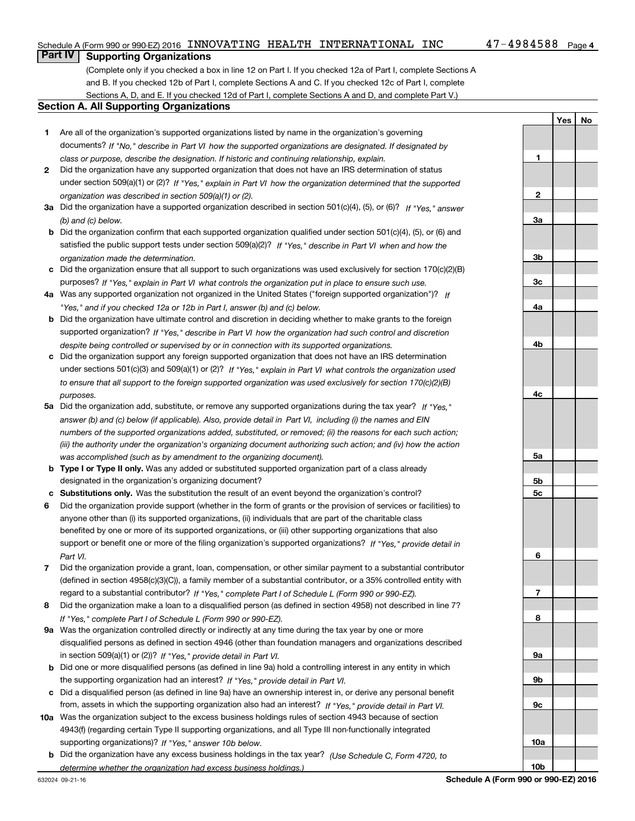### Schedule A (Form 990 or 990-EZ) 2016  $\,$  INNOVATING  $\,$  HEALTH  $\,$  INTERNATIONAL  $\,$  INC  $\,$   $\,$   $\,$  47  $-$  4984588  $\,$   $_{\rm{Page}}$

**1**

**2**

**3a**

**YesNo**

# **Part IV Supporting Organizations**

(Complete only if you checked a box in line 12 on Part I. If you checked 12a of Part I, complete Sections A and B. If you checked 12b of Part I, complete Sections A and C. If you checked 12c of Part I, complete Sections A, D, and E. If you checked 12d of Part I, complete Sections A and D, and complete Part V.)

### **Section A. All Supporting Organizations**

- **1** Are all of the organization's supported organizations listed by name in the organization's governing documents? If "No," describe in Part VI how the supported organizations are designated. If designated by *class or purpose, describe the designation. If historic and continuing relationship, explain.*
- **2** Did the organization have any supported organization that does not have an IRS determination of status under section 509(a)(1) or (2)? If "Yes," explain in Part VI how the organization determined that the supported *organization was described in section 509(a)(1) or (2).*
- **3a** Did the organization have a supported organization described in section 501(c)(4), (5), or (6)? If "Yes," answer *(b) and (c) below.*
- **b** Did the organization confirm that each supported organization qualified under section 501(c)(4), (5), or (6) and satisfied the public support tests under section 509(a)(2)? If "Yes," describe in Part VI when and how the *organization made the determination.*
- **c**Did the organization ensure that all support to such organizations was used exclusively for section 170(c)(2)(B) purposes? If "Yes," explain in Part VI what controls the organization put in place to ensure such use.
- **4a***If* Was any supported organization not organized in the United States ("foreign supported organization")? *"Yes," and if you checked 12a or 12b in Part I, answer (b) and (c) below.*
- **b** Did the organization have ultimate control and discretion in deciding whether to make grants to the foreign supported organization? If "Yes," describe in Part VI how the organization had such control and discretion *despite being controlled or supervised by or in connection with its supported organizations.*
- **c** Did the organization support any foreign supported organization that does not have an IRS determination under sections 501(c)(3) and 509(a)(1) or (2)? If "Yes," explain in Part VI what controls the organization used *to ensure that all support to the foreign supported organization was used exclusively for section 170(c)(2)(B) purposes.*
- **5a***If "Yes,"* Did the organization add, substitute, or remove any supported organizations during the tax year? answer (b) and (c) below (if applicable). Also, provide detail in Part VI, including (i) the names and EIN *numbers of the supported organizations added, substituted, or removed; (ii) the reasons for each such action; (iii) the authority under the organization's organizing document authorizing such action; and (iv) how the action was accomplished (such as by amendment to the organizing document).*
- **b** Type I or Type II only. Was any added or substituted supported organization part of a class already designated in the organization's organizing document?
- **cSubstitutions only.**  Was the substitution the result of an event beyond the organization's control?
- **6** Did the organization provide support (whether in the form of grants or the provision of services or facilities) to *If "Yes," provide detail in* support or benefit one or more of the filing organization's supported organizations? anyone other than (i) its supported organizations, (ii) individuals that are part of the charitable class benefited by one or more of its supported organizations, or (iii) other supporting organizations that also *Part VI.*
- **7**Did the organization provide a grant, loan, compensation, or other similar payment to a substantial contributor *If "Yes," complete Part I of Schedule L (Form 990 or 990-EZ).* regard to a substantial contributor? (defined in section 4958(c)(3)(C)), a family member of a substantial contributor, or a 35% controlled entity with
- **8** Did the organization make a loan to a disqualified person (as defined in section 4958) not described in line 7? *If "Yes," complete Part I of Schedule L (Form 990 or 990-EZ).*
- **9a** Was the organization controlled directly or indirectly at any time during the tax year by one or more in section 509(a)(1) or (2))? If "Yes," *provide detail in Part VI.* disqualified persons as defined in section 4946 (other than foundation managers and organizations described
- **b** Did one or more disqualified persons (as defined in line 9a) hold a controlling interest in any entity in which the supporting organization had an interest? If "Yes," provide detail in Part VI.
- **c**Did a disqualified person (as defined in line 9a) have an ownership interest in, or derive any personal benefit from, assets in which the supporting organization also had an interest? If "Yes," provide detail in Part VI.
- **10a** Was the organization subject to the excess business holdings rules of section 4943 because of section supporting organizations)? If "Yes," answer 10b below. 4943(f) (regarding certain Type II supporting organizations, and all Type III non-functionally integrated
- **b** Did the organization have any excess business holdings in the tax year? (Use Schedule C, Form 4720, to *determine whether the organization had excess business holdings.)*

**10b**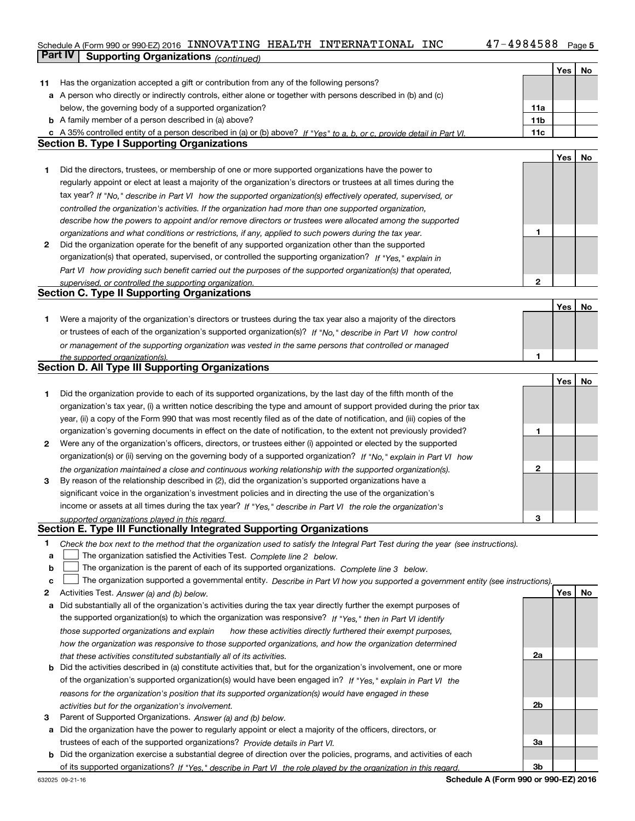# Schedule A (Form 990 or 990-EZ) 2016  $\,$  INNOVATING  $\,$  HEALTH  $\,$  INTERNATIONAL  $\,$  INC  $\,$   $\,$   $\,$  47  $-$  4984588  $\,$   $_{\rm{Page}}$ **Part IV | Supporting Organizations** *(continued)*

|    |                                                                                                                                                                                                               |              | Yes | No |
|----|---------------------------------------------------------------------------------------------------------------------------------------------------------------------------------------------------------------|--------------|-----|----|
| 11 | Has the organization accepted a gift or contribution from any of the following persons?                                                                                                                       |              |     |    |
|    | a A person who directly or indirectly controls, either alone or together with persons described in (b) and (c)                                                                                                |              |     |    |
|    | below, the governing body of a supported organization?                                                                                                                                                        | 11a          |     |    |
|    | <b>b</b> A family member of a person described in (a) above?                                                                                                                                                  | 11b          |     |    |
|    | c A 35% controlled entity of a person described in (a) or (b) above? If "Yes" to a, b, or c, provide detail in Part VI.                                                                                       | 11c          |     |    |
|    | <b>Section B. Type I Supporting Organizations</b>                                                                                                                                                             |              |     |    |
|    |                                                                                                                                                                                                               |              | Yes | No |
| 1  | Did the directors, trustees, or membership of one or more supported organizations have the power to                                                                                                           |              |     |    |
|    | regularly appoint or elect at least a majority of the organization's directors or trustees at all times during the                                                                                            |              |     |    |
|    | tax year? If "No," describe in Part VI how the supported organization(s) effectively operated, supervised, or                                                                                                 |              |     |    |
|    | controlled the organization's activities. If the organization had more than one supported organization,                                                                                                       |              |     |    |
|    |                                                                                                                                                                                                               |              |     |    |
|    | describe how the powers to appoint and/or remove directors or trustees were allocated among the supported                                                                                                     | 1            |     |    |
| 2  | organizations and what conditions or restrictions, if any, applied to such powers during the tax year.<br>Did the organization operate for the benefit of any supported organization other than the supported |              |     |    |
|    |                                                                                                                                                                                                               |              |     |    |
|    | organization(s) that operated, supervised, or controlled the supporting organization? If "Yes," explain in                                                                                                    |              |     |    |
|    | Part VI how providing such benefit carried out the purposes of the supported organization(s) that operated,                                                                                                   |              |     |    |
|    | supervised, or controlled the supporting organization.                                                                                                                                                        | $\mathbf{2}$ |     |    |
|    | <b>Section C. Type II Supporting Organizations</b>                                                                                                                                                            |              |     |    |
|    |                                                                                                                                                                                                               |              | Yes | No |
| 1  | Were a majority of the organization's directors or trustees during the tax year also a majority of the directors                                                                                              |              |     |    |
|    | or trustees of each of the organization's supported organization(s)? If "No," describe in Part VI how control                                                                                                 |              |     |    |
|    | or management of the supporting organization was vested in the same persons that controlled or managed                                                                                                        |              |     |    |
|    | the supported organization(s).                                                                                                                                                                                | 1            |     |    |
|    | Section D. All Type III Supporting Organizations                                                                                                                                                              |              |     |    |
|    |                                                                                                                                                                                                               |              | Yes | No |
| 1  | Did the organization provide to each of its supported organizations, by the last day of the fifth month of the                                                                                                |              |     |    |
|    | organization's tax year, (i) a written notice describing the type and amount of support provided during the prior tax                                                                                         |              |     |    |
|    | year, (ii) a copy of the Form 990 that was most recently filed as of the date of notification, and (iii) copies of the                                                                                        |              |     |    |
|    | organization's governing documents in effect on the date of notification, to the extent not previously provided?                                                                                              | 1            |     |    |
| 2  | Were any of the organization's officers, directors, or trustees either (i) appointed or elected by the supported                                                                                              |              |     |    |
|    | organization(s) or (ii) serving on the governing body of a supported organization? If "No," explain in Part VI how                                                                                            |              |     |    |
|    | the organization maintained a close and continuous working relationship with the supported organization(s).                                                                                                   | 2            |     |    |
| 3  | By reason of the relationship described in (2), did the organization's supported organizations have a                                                                                                         |              |     |    |
|    | significant voice in the organization's investment policies and in directing the use of the organization's                                                                                                    |              |     |    |
|    | income or assets at all times during the tax year? If "Yes," describe in Part VI the role the organization's                                                                                                  |              |     |    |
|    |                                                                                                                                                                                                               | 3            |     |    |
|    | supported organizations played in this regard.<br>Section E. Type III Functionally Integrated Supporting Organizations                                                                                        |              |     |    |
|    |                                                                                                                                                                                                               |              |     |    |
| 1  | Check the box next to the method that the organization used to satisfy the Integral Part Test during the year (see instructions).                                                                             |              |     |    |
| a  | The organization satisfied the Activities Test. Complete line 2 below.                                                                                                                                        |              |     |    |
| b  | The organization is the parent of each of its supported organizations. Complete line 3 below.                                                                                                                 |              |     |    |
| c  | The organization supported a governmental entity. Describe in Part VI how you supported a government entity (see instructions).                                                                               |              |     |    |
| 2  | Activities Test. Answer (a) and (b) below.                                                                                                                                                                    |              | Yes | No |
| а  | Did substantially all of the organization's activities during the tax year directly further the exempt purposes of                                                                                            |              |     |    |
|    | the supported organization(s) to which the organization was responsive? If "Yes," then in Part VI identify                                                                                                    |              |     |    |
|    | those supported organizations and explain<br>how these activities directly furthered their exempt purposes,                                                                                                   |              |     |    |
|    | how the organization was responsive to those supported organizations, and how the organization determined                                                                                                     |              |     |    |
|    | that these activities constituted substantially all of its activities.                                                                                                                                        | 2a           |     |    |
|    | Did the activities described in (a) constitute activities that, but for the organization's involvement, one or more                                                                                           |              |     |    |
|    | of the organization's supported organization(s) would have been engaged in? If "Yes," explain in Part VI the                                                                                                  |              |     |    |
|    | reasons for the organization's position that its supported organization(s) would have engaged in these                                                                                                        |              |     |    |
|    | activities but for the organization's involvement.                                                                                                                                                            | 2b           |     |    |
| З  | Parent of Supported Organizations. Answer (a) and (b) below.                                                                                                                                                  |              |     |    |
| а  | Did the organization have the power to regularly appoint or elect a majority of the officers, directors, or                                                                                                   |              |     |    |
|    | trustees of each of the supported organizations? Provide details in Part VI.                                                                                                                                  | За           |     |    |
| b  | Did the organization exercise a substantial degree of direction over the policies, programs, and activities of each                                                                                           |              |     |    |
|    | of its supported organizations? If "Yes." describe in Part VI the role played by the organization in this regard.                                                                                             | 3b           |     |    |
|    |                                                                                                                                                                                                               |              |     |    |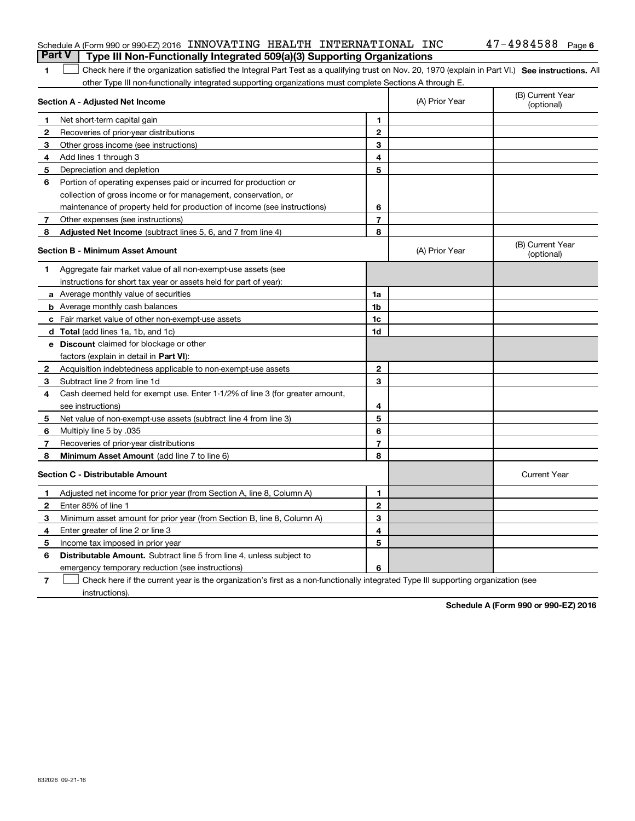|                                         | Schedule A (Form 990 or 990-EZ) 2016 INNOVATING HEALTH INTERNATIONAL INC                                                                           |                |                | $47 - 4984588$ Page 6          |
|-----------------------------------------|----------------------------------------------------------------------------------------------------------------------------------------------------|----------------|----------------|--------------------------------|
| <b>Part V</b>                           | Type III Non-Functionally Integrated 509(a)(3) Supporting Organizations                                                                            |                |                |                                |
| 1                                       | Check here if the organization satisfied the Integral Part Test as a qualifying trust on Nov. 20, 1970 (explain in Part VI.) See instructions. All |                |                |                                |
|                                         | other Type III non-functionally integrated supporting organizations must complete Sections A through E.                                            |                |                |                                |
|                                         | Section A - Adjusted Net Income                                                                                                                    |                | (A) Prior Year | (B) Current Year<br>(optional) |
| 1.                                      | Net short-term capital gain                                                                                                                        | 1              |                |                                |
| 2                                       | Recoveries of prior-year distributions                                                                                                             | $\mathbf{2}$   |                |                                |
| 3                                       | Other gross income (see instructions)                                                                                                              | 3              |                |                                |
| 4                                       | Add lines 1 through 3                                                                                                                              | 4              |                |                                |
| 5                                       | Depreciation and depletion                                                                                                                         | 5              |                |                                |
| 6                                       | Portion of operating expenses paid or incurred for production or                                                                                   |                |                |                                |
|                                         | collection of gross income or for management, conservation, or                                                                                     |                |                |                                |
|                                         | maintenance of property held for production of income (see instructions)                                                                           | 6              |                |                                |
| 7                                       | Other expenses (see instructions)                                                                                                                  | $\overline{7}$ |                |                                |
| 8                                       | Adjusted Net Income (subtract lines 5, 6, and 7 from line 4)                                                                                       | 8              |                |                                |
| <b>Section B - Minimum Asset Amount</b> |                                                                                                                                                    |                | (A) Prior Year | (B) Current Year<br>(optional) |
| 1.                                      | Aggregate fair market value of all non-exempt-use assets (see                                                                                      |                |                |                                |
|                                         | instructions for short tax year or assets held for part of year):                                                                                  |                |                |                                |
|                                         | a Average monthly value of securities                                                                                                              | 1a             |                |                                |
|                                         | <b>b</b> Average monthly cash balances                                                                                                             | 1 <sub>b</sub> |                |                                |
|                                         | c Fair market value of other non-exempt-use assets                                                                                                 | 1 <sub>c</sub> |                |                                |
|                                         | d Total (add lines 1a, 1b, and 1c)                                                                                                                 | 1d             |                |                                |
|                                         | e Discount claimed for blockage or other                                                                                                           |                |                |                                |
|                                         | factors (explain in detail in Part VI):                                                                                                            |                |                |                                |
| $\mathbf{2}$                            | Acquisition indebtedness applicable to non-exempt-use assets                                                                                       | $\mathbf{2}$   |                |                                |
| 3                                       | Subtract line 2 from line 1d                                                                                                                       | 3              |                |                                |
| 4                                       | Cash deemed held for exempt use. Enter 1-1/2% of line 3 (for greater amount,                                                                       |                |                |                                |
|                                         | see instructions)                                                                                                                                  | 4              |                |                                |
| 5                                       | Net value of non-exempt-use assets (subtract line 4 from line 3)                                                                                   | 5              |                |                                |
| 6                                       | Multiply line 5 by .035                                                                                                                            | 6              |                |                                |
| 7                                       | Recoveries of prior-year distributions                                                                                                             | $\overline{7}$ |                |                                |
| 8                                       | Minimum Asset Amount (add line 7 to line 6)                                                                                                        | 8              |                |                                |
| <b>Section C - Distributable Amount</b> |                                                                                                                                                    |                |                | <b>Current Year</b>            |
| 1.                                      | Adjusted net income for prior year (from Section A, line 8, Column A)                                                                              | 1              |                |                                |
| 2                                       | Enter 85% of line 1                                                                                                                                | $\overline{2}$ |                |                                |
| 3                                       | Minimum asset amount for prior year (from Section B, line 8, Column A)                                                                             | 3              |                |                                |
| 4                                       | Enter greater of line 2 or line 3                                                                                                                  | 4              |                |                                |
| 5                                       | Income tax imposed in prior year                                                                                                                   | 5              |                |                                |
| 6                                       | <b>Distributable Amount.</b> Subtract line 5 from line 4, unless subject to                                                                        |                |                |                                |
|                                         | emergency temporary reduction (see instructions)                                                                                                   | 6              |                |                                |

**7** Check here if the current year is the organization's first as a non-functionally integrated Type III supporting organization (see instructions).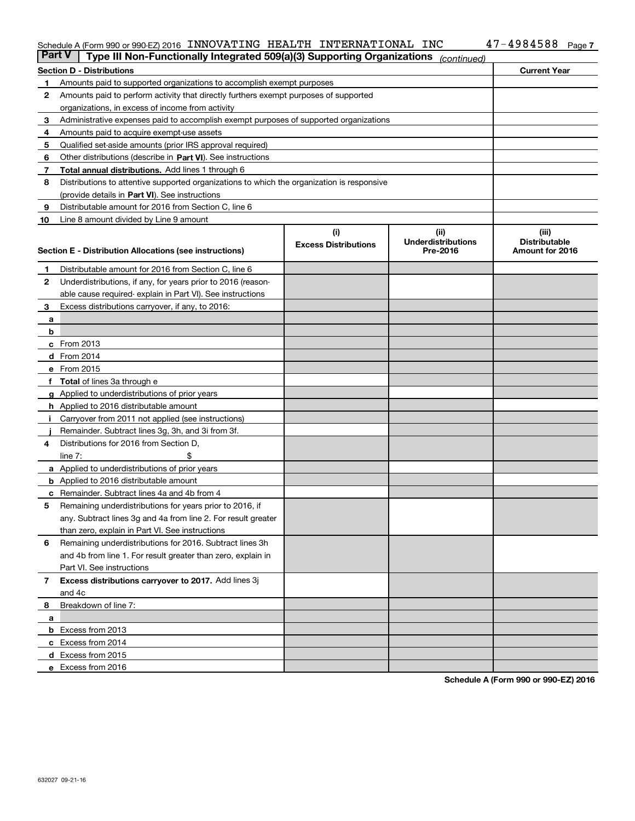#### Schedule A (Form 990 or 990-EZ) 2016 INNOVATIING HEALTH INTERNATIONAL INC 47-4ソ84588 Page INNOVATING HEALTH INTERNATIONAL INC 47-4984588

| <b>Part V</b> | Type III Non-Functionally Integrated 509(a)(3) Supporting Organizations                    |                             | (continued)               |                      |
|---------------|--------------------------------------------------------------------------------------------|-----------------------------|---------------------------|----------------------|
|               | <b>Section D - Distributions</b>                                                           |                             |                           | <b>Current Year</b>  |
| 1             | Amounts paid to supported organizations to accomplish exempt purposes                      |                             |                           |                      |
| 2             | Amounts paid to perform activity that directly furthers exempt purposes of supported       |                             |                           |                      |
|               | organizations, in excess of income from activity                                           |                             |                           |                      |
| з             | Administrative expenses paid to accomplish exempt purposes of supported organizations      |                             |                           |                      |
| 4             | Amounts paid to acquire exempt-use assets                                                  |                             |                           |                      |
| 5             | Qualified set-aside amounts (prior IRS approval required)                                  |                             |                           |                      |
| 6             | Other distributions (describe in Part VI). See instructions                                |                             |                           |                      |
| 7             | <b>Total annual distributions.</b> Add lines 1 through 6                                   |                             |                           |                      |
| 8             | Distributions to attentive supported organizations to which the organization is responsive |                             |                           |                      |
|               | (provide details in Part VI). See instructions                                             |                             |                           |                      |
| 9             | Distributable amount for 2016 from Section C, line 6                                       |                             |                           |                      |
| 10            | Line 8 amount divided by Line 9 amount                                                     |                             |                           |                      |
|               |                                                                                            | (i)                         | (iii)                     | (iii)                |
|               |                                                                                            | <b>Excess Distributions</b> | <b>Underdistributions</b> | <b>Distributable</b> |
|               | Section E - Distribution Allocations (see instructions)                                    |                             | Pre-2016                  | Amount for 2016      |
| 1             | Distributable amount for 2016 from Section C, line 6                                       |                             |                           |                      |
| 2             | Underdistributions, if any, for years prior to 2016 (reason-                               |                             |                           |                      |
|               | able cause required-explain in Part VI). See instructions                                  |                             |                           |                      |
| 3             | Excess distributions carryover, if any, to 2016:                                           |                             |                           |                      |
| а             |                                                                                            |                             |                           |                      |
| b             |                                                                                            |                             |                           |                      |
|               | c From 2013                                                                                |                             |                           |                      |
|               | d From 2014                                                                                |                             |                           |                      |
|               | e From 2015                                                                                |                             |                           |                      |
|               | Total of lines 3a through e                                                                |                             |                           |                      |
|               | <b>g</b> Applied to underdistributions of prior years                                      |                             |                           |                      |
|               | h Applied to 2016 distributable amount                                                     |                             |                           |                      |
|               | Carryover from 2011 not applied (see instructions)                                         |                             |                           |                      |
|               | Remainder. Subtract lines 3g, 3h, and 3i from 3f.                                          |                             |                           |                      |
| 4             | Distributions for 2016 from Section D,                                                     |                             |                           |                      |
|               | line $7:$                                                                                  |                             |                           |                      |
|               | a Applied to underdistributions of prior years                                             |                             |                           |                      |
|               | <b>b</b> Applied to 2016 distributable amount                                              |                             |                           |                      |
|               | Remainder. Subtract lines 4a and 4b from 4                                                 |                             |                           |                      |
| с<br>5        | Remaining underdistributions for years prior to 2016, if                                   |                             |                           |                      |
|               | any. Subtract lines 3g and 4a from line 2. For result greater                              |                             |                           |                      |
|               | than zero, explain in Part VI. See instructions                                            |                             |                           |                      |
| 6             | Remaining underdistributions for 2016. Subtract lines 3h                                   |                             |                           |                      |
|               | and 4b from line 1. For result greater than zero, explain in                               |                             |                           |                      |
|               | Part VI. See instructions                                                                  |                             |                           |                      |
|               |                                                                                            |                             |                           |                      |
| 7             | Excess distributions carryover to 2017. Add lines 3j<br>and 4c                             |                             |                           |                      |
|               |                                                                                            |                             |                           |                      |
| 8             | Breakdown of line 7:                                                                       |                             |                           |                      |
| а             |                                                                                            |                             |                           |                      |
|               | <b>b</b> Excess from 2013                                                                  |                             |                           |                      |
|               | c Excess from 2014                                                                         |                             |                           |                      |
|               | <b>d</b> Excess from 2015<br>e Excess from 2016                                            |                             |                           |                      |
|               |                                                                                            |                             |                           |                      |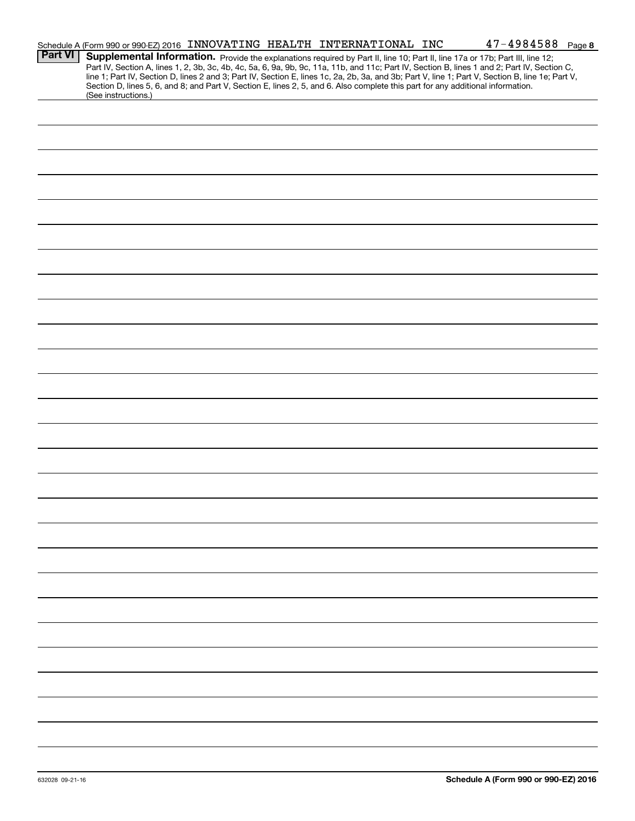|                | Schedule A (Form 990 or 990-EZ) 2016 INNOVATING HEALTH INTERNATIONAL INC                                                                                                                                                                                                                                                                                                                                                                                                                                                                                                                    |  |  | $47 - 4984588$ Page 8 |  |
|----------------|---------------------------------------------------------------------------------------------------------------------------------------------------------------------------------------------------------------------------------------------------------------------------------------------------------------------------------------------------------------------------------------------------------------------------------------------------------------------------------------------------------------------------------------------------------------------------------------------|--|--|-----------------------|--|
| <b>Part VI</b> | Supplemental Information. Provide the explanations required by Part II, line 10; Part II, line 17a or 17b; Part III, line 12;<br>Part IV, Section A, lines 1, 2, 3b, 3c, 4b, 4c, 5a, 6, 9a, 9b, 9c, 11a, 11b, and 11c; Part IV, Section B, lines 1 and 2; Part IV, Section C,<br>line 1; Part IV, Section D, lines 2 and 3; Part IV, Section E, lines 1c, 2a, 2b, 3a, and 3b; Part V, line 1; Part V, Section B, line 1e; Part V,<br>Section D, lines 5, 6, and 8; and Part V, Section E, lines 2, 5, and 6. Also complete this part for any additional information.<br>(See instructions.) |  |  |                       |  |
|                |                                                                                                                                                                                                                                                                                                                                                                                                                                                                                                                                                                                             |  |  |                       |  |
|                |                                                                                                                                                                                                                                                                                                                                                                                                                                                                                                                                                                                             |  |  |                       |  |
|                |                                                                                                                                                                                                                                                                                                                                                                                                                                                                                                                                                                                             |  |  |                       |  |
|                |                                                                                                                                                                                                                                                                                                                                                                                                                                                                                                                                                                                             |  |  |                       |  |
|                |                                                                                                                                                                                                                                                                                                                                                                                                                                                                                                                                                                                             |  |  |                       |  |
|                |                                                                                                                                                                                                                                                                                                                                                                                                                                                                                                                                                                                             |  |  |                       |  |
|                |                                                                                                                                                                                                                                                                                                                                                                                                                                                                                                                                                                                             |  |  |                       |  |
|                |                                                                                                                                                                                                                                                                                                                                                                                                                                                                                                                                                                                             |  |  |                       |  |
|                |                                                                                                                                                                                                                                                                                                                                                                                                                                                                                                                                                                                             |  |  |                       |  |
|                |                                                                                                                                                                                                                                                                                                                                                                                                                                                                                                                                                                                             |  |  |                       |  |
|                |                                                                                                                                                                                                                                                                                                                                                                                                                                                                                                                                                                                             |  |  |                       |  |
|                |                                                                                                                                                                                                                                                                                                                                                                                                                                                                                                                                                                                             |  |  |                       |  |
|                |                                                                                                                                                                                                                                                                                                                                                                                                                                                                                                                                                                                             |  |  |                       |  |
|                |                                                                                                                                                                                                                                                                                                                                                                                                                                                                                                                                                                                             |  |  |                       |  |
|                |                                                                                                                                                                                                                                                                                                                                                                                                                                                                                                                                                                                             |  |  |                       |  |
|                |                                                                                                                                                                                                                                                                                                                                                                                                                                                                                                                                                                                             |  |  |                       |  |
|                |                                                                                                                                                                                                                                                                                                                                                                                                                                                                                                                                                                                             |  |  |                       |  |
|                |                                                                                                                                                                                                                                                                                                                                                                                                                                                                                                                                                                                             |  |  |                       |  |
|                |                                                                                                                                                                                                                                                                                                                                                                                                                                                                                                                                                                                             |  |  |                       |  |
|                |                                                                                                                                                                                                                                                                                                                                                                                                                                                                                                                                                                                             |  |  |                       |  |
|                |                                                                                                                                                                                                                                                                                                                                                                                                                                                                                                                                                                                             |  |  |                       |  |
|                |                                                                                                                                                                                                                                                                                                                                                                                                                                                                                                                                                                                             |  |  |                       |  |
|                |                                                                                                                                                                                                                                                                                                                                                                                                                                                                                                                                                                                             |  |  |                       |  |
|                |                                                                                                                                                                                                                                                                                                                                                                                                                                                                                                                                                                                             |  |  |                       |  |
|                |                                                                                                                                                                                                                                                                                                                                                                                                                                                                                                                                                                                             |  |  |                       |  |
|                |                                                                                                                                                                                                                                                                                                                                                                                                                                                                                                                                                                                             |  |  |                       |  |
|                |                                                                                                                                                                                                                                                                                                                                                                                                                                                                                                                                                                                             |  |  |                       |  |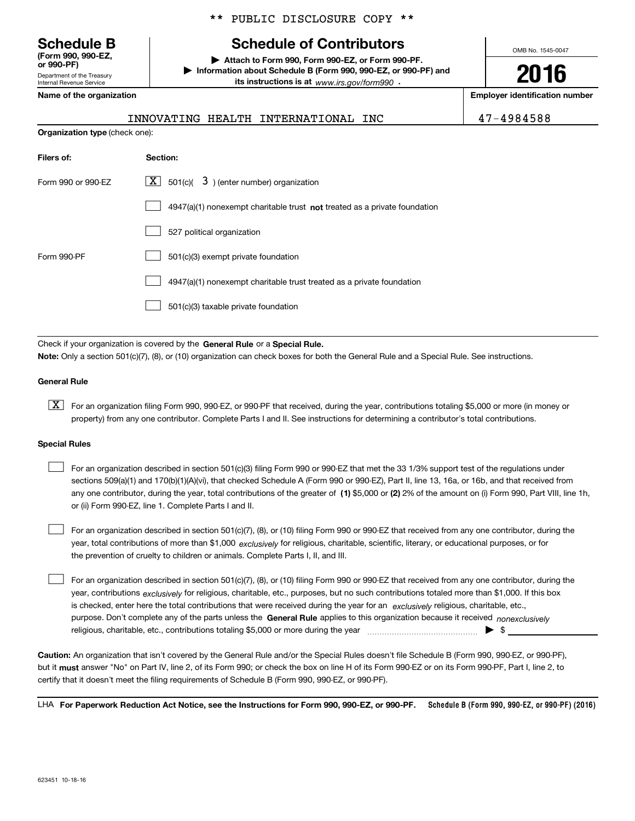Department of the Treasury **(Form 990, 990-EZ, or 990-PF)**

Internal Revenue Service

## \*\* PUBLIC DISCLOSURE COPY \*\*

# **Schedule B Schedule of Contributors**

**| Attach to Form 990, Form 990-EZ, or Form 990-PF. | Information about Schedule B (Form 990, 990-EZ, or 990-PF) and its instructions is at** www.irs.gov/form990  $\cdot$ 

**Name of the organization Employer identification number**

**Organization type** (check one):

| mployer identificati |  |
|----------------------|--|
|                      |  |

OMB No. 1545-0047

**2016**

# INNOVATING HEALTH INTERNATIONAL INC 47-4984588

| $\lfloor x \rfloor$ 501(c)( 3) (enter number) organization                  |
|-----------------------------------------------------------------------------|
| $4947(a)(1)$ nonexempt charitable trust not treated as a private foundation |
| 527 political organization                                                  |
| 501(c)(3) exempt private foundation                                         |
| 4947(a)(1) nonexempt charitable trust treated as a private foundation       |
| 501(c)(3) taxable private foundation                                        |
|                                                                             |

Check if your organization is covered by the **General Rule** or a **Special Rule. Note:**  Only a section 501(c)(7), (8), or (10) organization can check boxes for both the General Rule and a Special Rule. See instructions.

#### **General Rule**

 $\boxed{\textbf{X}}$  For an organization filing Form 990, 990-EZ, or 990-PF that received, during the year, contributions totaling \$5,000 or more (in money or property) from any one contributor. Complete Parts I and II. See instructions for determining a contributor's total contributions.

#### **Special Rules**

 $\mathcal{L}^{\text{max}}$ 

any one contributor, during the year, total contributions of the greater of  $\,$  (1) \$5,000 or (2) 2% of the amount on (i) Form 990, Part VIII, line 1h, For an organization described in section 501(c)(3) filing Form 990 or 990-EZ that met the 33 1/3% support test of the regulations under sections 509(a)(1) and 170(b)(1)(A)(vi), that checked Schedule A (Form 990 or 990-EZ), Part II, line 13, 16a, or 16b, and that received from or (ii) Form 990-EZ, line 1. Complete Parts I and II.  $\mathcal{L}^{\text{max}}$ 

year, total contributions of more than \$1,000 *exclusively* for religious, charitable, scientific, literary, or educational purposes, or for For an organization described in section 501(c)(7), (8), or (10) filing Form 990 or 990-EZ that received from any one contributor, during the the prevention of cruelty to children or animals. Complete Parts I, II, and III.  $\mathcal{L}^{\text{max}}$ 

purpose. Don't complete any of the parts unless the **General Rule** applies to this organization because it received *nonexclusively* year, contributions <sub>exclusively</sub> for religious, charitable, etc., purposes, but no such contributions totaled more than \$1,000. If this box is checked, enter here the total contributions that were received during the year for an  $\;$ exclusively religious, charitable, etc., For an organization described in section 501(c)(7), (8), or (10) filing Form 990 or 990-EZ that received from any one contributor, during the religious, charitable, etc., contributions totaling \$5,000 or more during the year  $\Box$ — $\Box$   $\Box$ 

**Caution:**  An organization that isn't covered by the General Rule and/or the Special Rules doesn't file Schedule B (Form 990, 990-EZ, or 990-PF),  **must** but it answer "No" on Part IV, line 2, of its Form 990; or check the box on line H of its Form 990-EZ or on its Form 990-PF, Part I, line 2, to certify that it doesn't meet the filing requirements of Schedule B (Form 990, 990-EZ, or 990-PF).

**Schedule B (Form 990, 990-EZ, or 990-PF) (2016) For Paperwork Reduction Act Notice, see the Instructions for Form 990, 990-EZ, or 990-PF.** LHA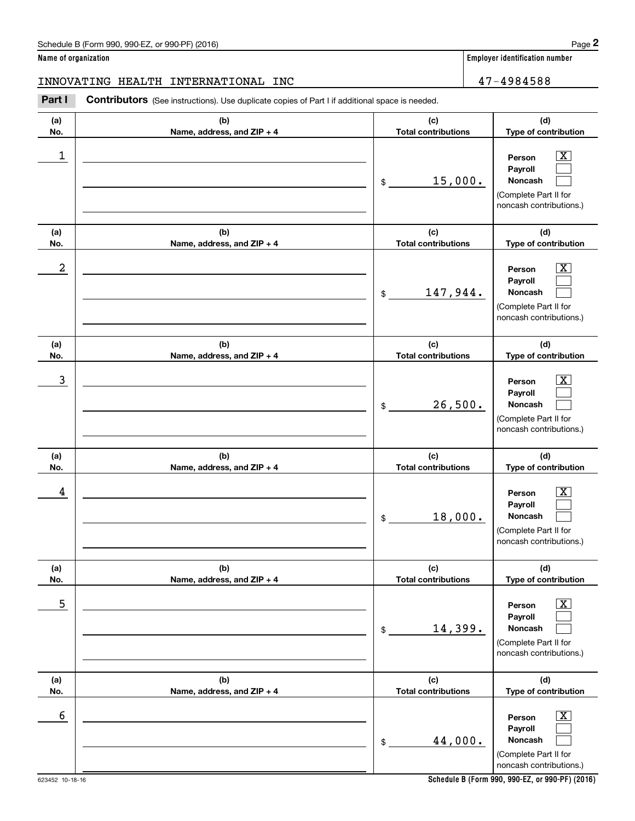|                      | Schedule B (Form 990, 990-EZ, or 990-PF) (2016)                                                       |                                   | Page 2                                                                                                      |  |  |  |  |  |
|----------------------|-------------------------------------------------------------------------------------------------------|-----------------------------------|-------------------------------------------------------------------------------------------------------------|--|--|--|--|--|
| Name of organization |                                                                                                       |                                   | <b>Employer identification number</b>                                                                       |  |  |  |  |  |
|                      | INNOVATING HEALTH INTERNATIONAL INC                                                                   |                                   | 47-4984588                                                                                                  |  |  |  |  |  |
| Part I               | <b>Contributors</b> (See instructions). Use duplicate copies of Part I if additional space is needed. |                                   |                                                                                                             |  |  |  |  |  |
| (a)<br>No.           | (b)<br>Name, address, and ZIP + 4                                                                     | (c)<br><b>Total contributions</b> | (d)<br>Type of contribution                                                                                 |  |  |  |  |  |
| 1                    |                                                                                                       | 15,000.<br>\$                     | $\overline{\mathbf{X}}$<br>Person<br>Payroll<br>Noncash<br>(Complete Part II for<br>noncash contributions.) |  |  |  |  |  |
| (a)<br>No.           | (b)<br>Name, address, and ZIP + 4                                                                     | (c)<br><b>Total contributions</b> | (d)<br>Type of contribution                                                                                 |  |  |  |  |  |
| 2                    |                                                                                                       | 147,944.<br>\$                    | $\overline{\mathbf{X}}$<br>Person<br>Payroll<br>Noncash<br>(Complete Part II for<br>noncash contributions.) |  |  |  |  |  |
| (a)<br>No.           | (b)<br>Name, address, and ZIP + 4                                                                     | (c)<br><b>Total contributions</b> | (d)<br>Type of contribution                                                                                 |  |  |  |  |  |
| 3                    |                                                                                                       | 26,500.<br>\$                     | $\overline{\mathbf{X}}$<br>Person<br>Payroll<br>Noncash<br>(Complete Part II for<br>noncash contributions.) |  |  |  |  |  |
| (a)<br>No.           | (b)<br>Name, address, and ZIP + 4                                                                     | (c)<br><b>Total contributions</b> | (d)<br>Type of contribution                                                                                 |  |  |  |  |  |
| 4                    |                                                                                                       | 18,000.<br>\$                     | $\mathbf{X}$<br>Person<br>Payroll<br>Noncash<br>(Complete Part II for<br>noncash contributions.)            |  |  |  |  |  |
| (a)<br>No.           | (b)<br>Name, address, and ZIP + 4                                                                     | (c)<br><b>Total contributions</b> | (d)<br>Type of contribution                                                                                 |  |  |  |  |  |
| 5                    |                                                                                                       | 14,399.<br>\$                     | $\boxed{\text{X}}$<br>Person<br>Payroll<br>Noncash<br>(Complete Part II for<br>noncash contributions.)      |  |  |  |  |  |
| (a)<br>No.           | (b)<br>Name, address, and ZIP + 4                                                                     | (c)<br><b>Total contributions</b> | (d)<br>Type of contribution                                                                                 |  |  |  |  |  |
| 6                    |                                                                                                       | 44,000.<br>\$                     | $\boxed{\text{X}}$<br>Person<br>Payroll<br>Noncash<br>(Complete Part II for<br>noncash contributions.)      |  |  |  |  |  |

623452 10-18-16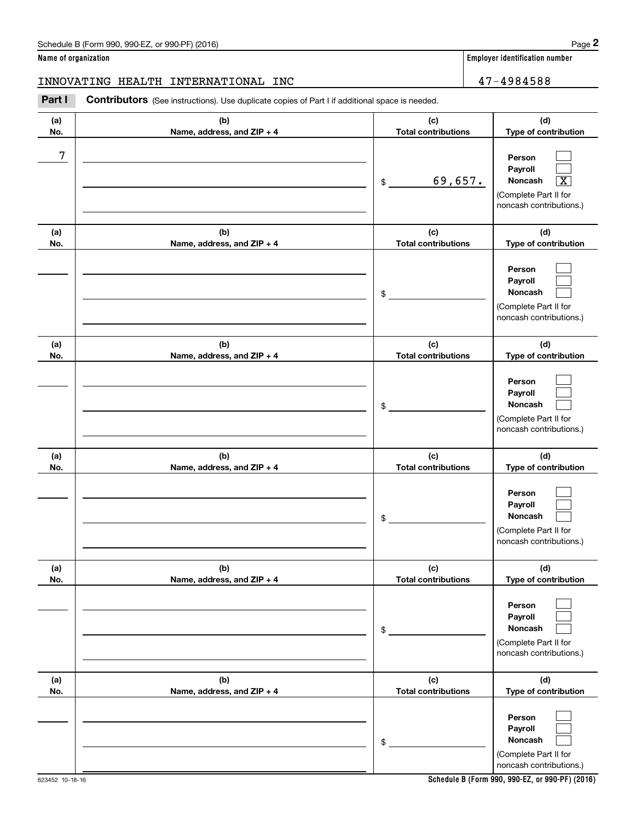### **Name of organization Employer identification number**

INNOVATING HEALTH INTERNATIONAL INC 47-4984588

Chedule B (Form 990, 990-EZ, or 990-PF) (2016)<br> **2 ame of organization**<br> **2 A 7 – 4984588**<br> **2 Part I Contributors** (See instructions). Use duplicate copies of Part I if additional space is needed.

| (a)<br>No.       | (b)<br>Name, address, and ZIP + 4 | (c)<br><b>Total contributions</b> | (d)<br>Type of contribution                                                                               |
|------------------|-----------------------------------|-----------------------------------|-----------------------------------------------------------------------------------------------------------|
| $\boldsymbol{7}$ |                                   | 69,657.<br>\$                     | Person<br>Pavroll<br>Noncash<br>$\overline{\text{X}}$<br>(Complete Part II for<br>noncash contributions.) |
| (a)<br>No.       | (b)<br>Name, address, and ZIP + 4 | (c)<br><b>Total contributions</b> | (d)<br>Type of contribution                                                                               |
|                  |                                   | \$                                | Person<br>Payroll<br><b>Noncash</b><br>(Complete Part II for<br>noncash contributions.)                   |
| (a)<br>No.       | (b)<br>Name, address, and ZIP + 4 | (c)<br><b>Total contributions</b> | (d)<br>Type of contribution                                                                               |
|                  |                                   | \$                                | Person<br>Payroll<br><b>Noncash</b><br>(Complete Part II for<br>noncash contributions.)                   |
| (a)<br>No.       | (b)<br>Name, address, and ZIP + 4 | (c)<br><b>Total contributions</b> | (d)<br>Type of contribution                                                                               |
|                  |                                   | \$                                | Person<br>Payroll<br><b>Noncash</b><br>(Complete Part II for<br>noncash contributions.)                   |
| (a)<br>No.       | (b)<br>Name, address, and ZIP + 4 | (c)<br><b>Total contributions</b> | (d)<br>Type of contribution                                                                               |
|                  |                                   | \$                                | Person<br>Payroll<br>Noncash<br>(Complete Part II for<br>noncash contributions.)                          |
| (a)<br>No.       | (b)<br>Name, address, and ZIP + 4 | (c)<br><b>Total contributions</b> | (d)<br>Type of contribution                                                                               |
|                  |                                   | \$                                | Person<br>Payroll<br>Noncash<br>(Complete Part II for<br>noncash contributions.)                          |

623452 10-18-16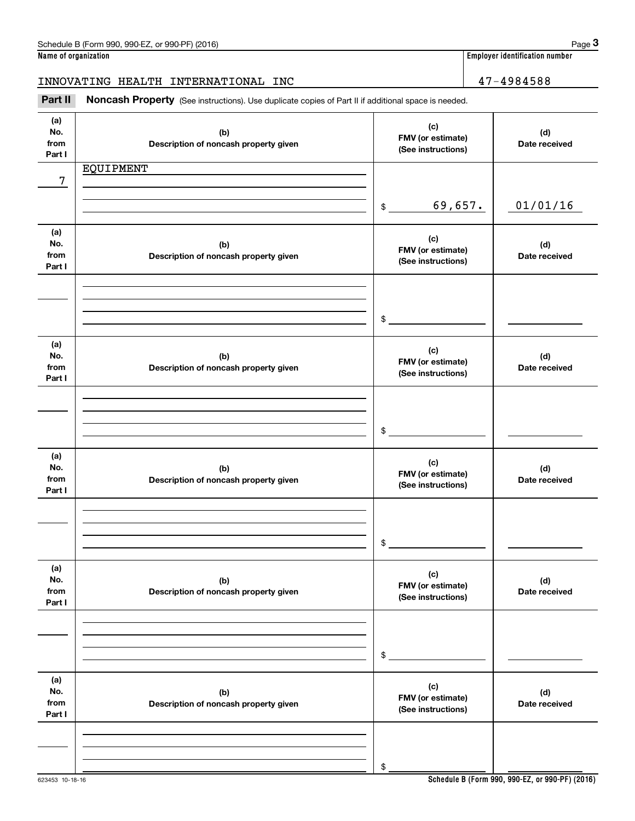**Name of organization Employer identification number**

INNOVATING HEALTH INTERNATIONAL INC 47-4984588

Employer identification number<br> **3Page 3**<br>
2Part II **Noncash Property** (See instructions). Use duplicate copies of Part II if additional space is needed.<br>
3Part II **Noncash Property** (See instructions). Use duplicate copie

| (a)<br>No.<br>from<br>Part I | (b)<br>Description of noncash property given | (c)<br>FMV (or estimate)<br>(See instructions) | (d)<br>Date received |
|------------------------------|----------------------------------------------|------------------------------------------------|----------------------|
|                              | EQUIPMENT                                    |                                                |                      |
| 7                            |                                              |                                                |                      |
|                              |                                              | 69,657.<br>$$\overline{\phantom{a}}$$          | 01/01/16             |
| (a)                          |                                              |                                                |                      |
| No.                          | (b)                                          | (c)<br>FMV (or estimate)                       | (d)                  |
| from<br>Part I               | Description of noncash property given        | (See instructions)                             | Date received        |
|                              |                                              |                                                |                      |
|                              |                                              |                                                |                      |
|                              |                                              | $\sim$                                         |                      |
|                              |                                              |                                                |                      |
| (a)<br>No.                   | (b)                                          | (c)                                            | (d)                  |
| from                         | Description of noncash property given        | FMV (or estimate)<br>(See instructions)        | Date received        |
| Part I                       |                                              |                                                |                      |
|                              |                                              |                                                |                      |
|                              |                                              |                                                |                      |
|                              |                                              | $\sim$                                         |                      |
| (a)                          |                                              | (c)                                            |                      |
| No.<br>from                  | (b)<br>Description of noncash property given | FMV (or estimate)                              | (d)<br>Date received |
| Part I                       |                                              | (See instructions)                             |                      |
|                              |                                              |                                                |                      |
|                              |                                              |                                                |                      |
|                              |                                              | $\mathfrak s$                                  |                      |
| (a)                          |                                              | (c)                                            |                      |
| No.<br>from                  | (b)<br>Description of noncash property given | FMV (or estimate)                              | (d)<br>Date received |
| Part I                       |                                              | (See instructions)                             |                      |
|                              |                                              |                                                |                      |
|                              |                                              |                                                |                      |
|                              |                                              | \$                                             |                      |
| (a)                          |                                              |                                                |                      |
| No.                          | (b)                                          | (c)<br>FMV (or estimate)                       | (d)                  |
| from<br>Part I               | Description of noncash property given        | (See instructions)                             | Date received        |
|                              |                                              |                                                |                      |
|                              |                                              |                                                |                      |
|                              |                                              | \$                                             |                      |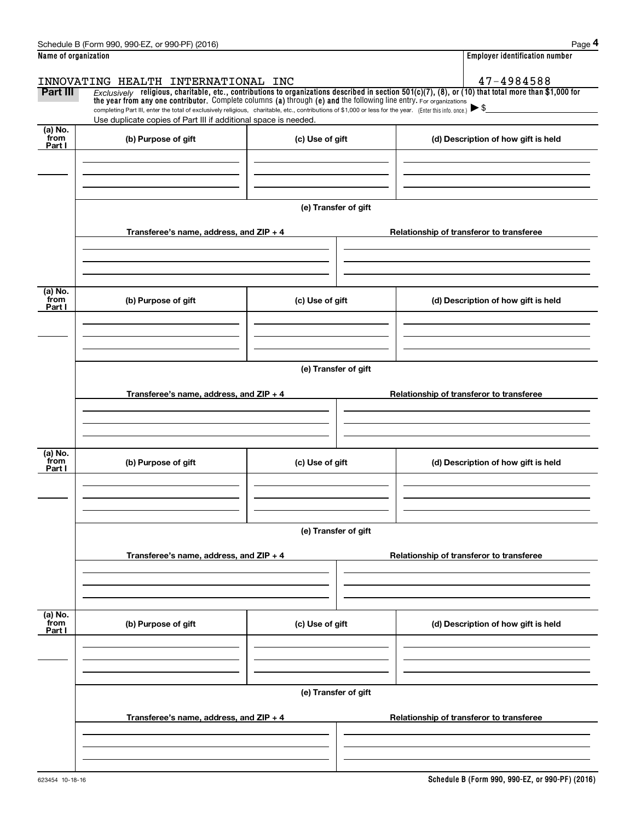|                      | Schedule B (Form 990, 990-EZ, or 990-PF) (2016)                                                                                                                                                                                                                                |                      |                                          | Page 4                                   |  |  |  |  |
|----------------------|--------------------------------------------------------------------------------------------------------------------------------------------------------------------------------------------------------------------------------------------------------------------------------|----------------------|------------------------------------------|------------------------------------------|--|--|--|--|
| Name of organization |                                                                                                                                                                                                                                                                                |                      |                                          | <b>Employer identification number</b>    |  |  |  |  |
|                      | INNOVATING HEALTH INTERNATIONAL INC                                                                                                                                                                                                                                            |                      |                                          | 47-4984588                               |  |  |  |  |
| Part III             | $Exclusively$ religious, charitable, etc., contributions to organizations described in section 501(c)(7), (8), or (10) that total more than \$1,000 for<br>the year from any one contributor. Complete columns (a) through (e) and the following line entry. For organizations |                      |                                          |                                          |  |  |  |  |
|                      | completing Part III, enter the total of exclusively religious, charitable, etc., contributions of \$1,000 or less for the year. (Enter this info. once.)                                                                                                                       |                      |                                          | $\blacktriangleright$ \$                 |  |  |  |  |
| (a) No.              | Use duplicate copies of Part III if additional space is needed.                                                                                                                                                                                                                |                      |                                          |                                          |  |  |  |  |
| from<br>Part I       | (b) Purpose of gift                                                                                                                                                                                                                                                            | (c) Use of gift      |                                          | (d) Description of how gift is held      |  |  |  |  |
|                      |                                                                                                                                                                                                                                                                                |                      |                                          |                                          |  |  |  |  |
|                      |                                                                                                                                                                                                                                                                                |                      |                                          |                                          |  |  |  |  |
|                      |                                                                                                                                                                                                                                                                                |                      |                                          |                                          |  |  |  |  |
|                      |                                                                                                                                                                                                                                                                                | (e) Transfer of gift |                                          |                                          |  |  |  |  |
|                      | Transferee's name, address, and $ZIP + 4$                                                                                                                                                                                                                                      |                      | Relationship of transferor to transferee |                                          |  |  |  |  |
|                      |                                                                                                                                                                                                                                                                                |                      |                                          |                                          |  |  |  |  |
|                      |                                                                                                                                                                                                                                                                                |                      |                                          |                                          |  |  |  |  |
|                      |                                                                                                                                                                                                                                                                                |                      |                                          |                                          |  |  |  |  |
| (a) No.<br>from      | (b) Purpose of gift                                                                                                                                                                                                                                                            | (c) Use of gift      |                                          | (d) Description of how gift is held      |  |  |  |  |
| Part I               |                                                                                                                                                                                                                                                                                |                      |                                          |                                          |  |  |  |  |
|                      |                                                                                                                                                                                                                                                                                |                      |                                          |                                          |  |  |  |  |
|                      |                                                                                                                                                                                                                                                                                |                      |                                          |                                          |  |  |  |  |
|                      | (e) Transfer of gift                                                                                                                                                                                                                                                           |                      |                                          |                                          |  |  |  |  |
|                      |                                                                                                                                                                                                                                                                                |                      |                                          |                                          |  |  |  |  |
|                      | Transferee's name, address, and ZIP + 4                                                                                                                                                                                                                                        |                      | Relationship of transferor to transferee |                                          |  |  |  |  |
|                      |                                                                                                                                                                                                                                                                                |                      |                                          |                                          |  |  |  |  |
|                      |                                                                                                                                                                                                                                                                                |                      |                                          |                                          |  |  |  |  |
| (a) No.              |                                                                                                                                                                                                                                                                                |                      |                                          |                                          |  |  |  |  |
| from<br>Part I       | (b) Purpose of gift                                                                                                                                                                                                                                                            | (c) Use of gift      |                                          | (d) Description of how gift is held      |  |  |  |  |
|                      |                                                                                                                                                                                                                                                                                |                      |                                          |                                          |  |  |  |  |
|                      |                                                                                                                                                                                                                                                                                |                      |                                          |                                          |  |  |  |  |
|                      |                                                                                                                                                                                                                                                                                |                      |                                          |                                          |  |  |  |  |
|                      | (e) Transfer of gift                                                                                                                                                                                                                                                           |                      |                                          |                                          |  |  |  |  |
|                      | Transferee's name, address, and ZIP + 4                                                                                                                                                                                                                                        |                      |                                          | Relationship of transferor to transferee |  |  |  |  |
|                      |                                                                                                                                                                                                                                                                                |                      |                                          |                                          |  |  |  |  |
|                      |                                                                                                                                                                                                                                                                                |                      |                                          |                                          |  |  |  |  |
|                      |                                                                                                                                                                                                                                                                                |                      |                                          |                                          |  |  |  |  |
| (a) No.<br>from      | (b) Purpose of gift                                                                                                                                                                                                                                                            | (c) Use of gift      |                                          | (d) Description of how gift is held      |  |  |  |  |
| Part I               |                                                                                                                                                                                                                                                                                |                      |                                          |                                          |  |  |  |  |
|                      |                                                                                                                                                                                                                                                                                |                      |                                          |                                          |  |  |  |  |
|                      |                                                                                                                                                                                                                                                                                |                      |                                          |                                          |  |  |  |  |
|                      | (e) Transfer of gift                                                                                                                                                                                                                                                           |                      |                                          |                                          |  |  |  |  |
|                      |                                                                                                                                                                                                                                                                                |                      |                                          |                                          |  |  |  |  |
|                      | Transferee's name, address, and ZIP + 4                                                                                                                                                                                                                                        |                      |                                          | Relationship of transferor to transferee |  |  |  |  |
|                      |                                                                                                                                                                                                                                                                                |                      |                                          |                                          |  |  |  |  |
|                      |                                                                                                                                                                                                                                                                                |                      |                                          |                                          |  |  |  |  |
|                      |                                                                                                                                                                                                                                                                                |                      |                                          |                                          |  |  |  |  |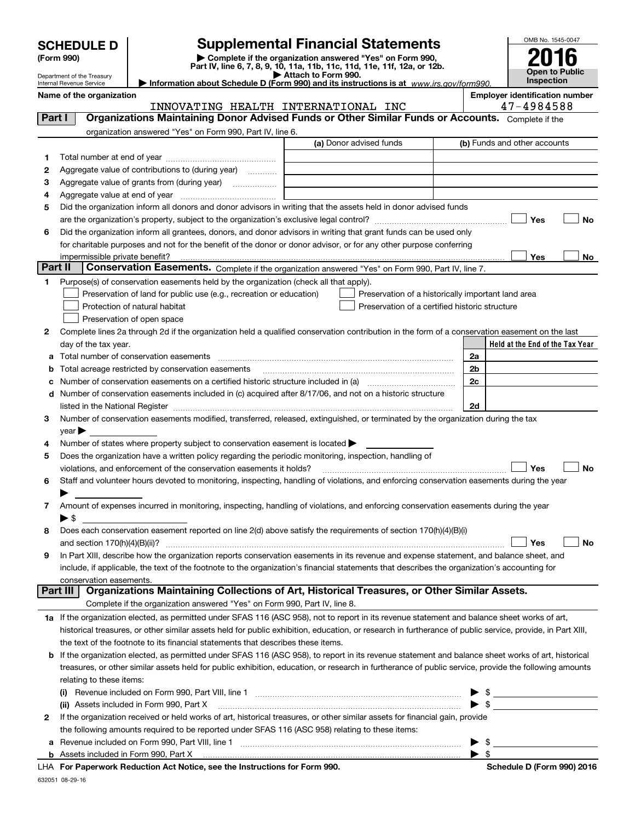Department of the Treasury Internal Revenue Service

# **SCHEDULE D Supplemental Financial Statements**

**(Form 990)** (**Form 990,**<br>Part IV, line 6, 7, 8, 9, 10, 11a, 11b, 11c, 11d, 11e, 11f, 12a, or 12b.<br>Department of the Treasury

OMB No. 1545-0047 **Open to Public Inspection2016**

| ▶ Information about Schedule D (Form 990) and its instructions is at $WWW$ |  |
|----------------------------------------------------------------------------|--|

Name of the organization<br>**INNOVATING HEALTH INTERNATIONAL INC** 47-4984588 INNOVATING HEALTH INTERNATIONAL INC 47-4984588

*www.irs.gov/form990.*

| Part I | Organizations Maintaining Donor Advised Funds or Other Similar Funds or Accounts. Complete if the                                                                                                                             |                                                    |                                 |
|--------|-------------------------------------------------------------------------------------------------------------------------------------------------------------------------------------------------------------------------------|----------------------------------------------------|---------------------------------|
|        | organization answered "Yes" on Form 990, Part IV, line 6.                                                                                                                                                                     |                                                    |                                 |
|        | (a) Donor advised funds                                                                                                                                                                                                       |                                                    | (b) Funds and other accounts    |
| 1.     |                                                                                                                                                                                                                               |                                                    |                                 |
| 2      | Aggregate value of contributions to (during year)                                                                                                                                                                             |                                                    |                                 |
| з      | Aggregate value of grants from (during year)                                                                                                                                                                                  |                                                    |                                 |
| 4      | Aggregate value at end of year                                                                                                                                                                                                |                                                    |                                 |
| 5      | Did the organization inform all donors and donor advisors in writing that the assets held in donor advised funds                                                                                                              |                                                    |                                 |
|        |                                                                                                                                                                                                                               |                                                    | Yes<br>No                       |
| 6      | Did the organization inform all grantees, donors, and donor advisors in writing that grant funds can be used only                                                                                                             |                                                    |                                 |
|        | for charitable purposes and not for the benefit of the donor or donor advisor, or for any other purpose conferring                                                                                                            |                                                    |                                 |
|        | impermissible private benefit?                                                                                                                                                                                                |                                                    | Yes<br>No                       |
|        | Part II<br>Conservation Easements. Complete if the organization answered "Yes" on Form 990, Part IV, line 7.                                                                                                                  |                                                    |                                 |
| 1.     | Purpose(s) of conservation easements held by the organization (check all that apply).                                                                                                                                         |                                                    |                                 |
|        | Preservation of land for public use (e.g., recreation or education)                                                                                                                                                           | Preservation of a historically important land area |                                 |
|        | Protection of natural habitat                                                                                                                                                                                                 | Preservation of a certified historic structure     |                                 |
|        | Preservation of open space                                                                                                                                                                                                    |                                                    |                                 |
| 2      | Complete lines 2a through 2d if the organization held a qualified conservation contribution in the form of a conservation easement on the last                                                                                |                                                    |                                 |
|        | day of the tax year.                                                                                                                                                                                                          |                                                    | Held at the End of the Tax Year |
| а      | Total number of conservation easements                                                                                                                                                                                        | 2a                                                 |                                 |
| b      | Total acreage restricted by conservation easements                                                                                                                                                                            | 2 <sub>b</sub>                                     |                                 |
|        | Number of conservation easements on a certified historic structure included in (a) manufacture included in (a)                                                                                                                | 2c                                                 |                                 |
| d      | Number of conservation easements included in (c) acquired after 8/17/06, and not on a historic structure                                                                                                                      |                                                    |                                 |
|        | listed in the National Register [11, 1200] [12] The National Register [11, 1200] [12] The National Register [11, 1200] [12] The National Register [11, 1200] [12] The National Register [11, 1200] [12] The National Register | 2d                                                 |                                 |
| З.     | Number of conservation easements modified, transferred, released, extinguished, or terminated by the organization during the tax                                                                                              |                                                    |                                 |
|        | $year \triangleright$                                                                                                                                                                                                         |                                                    |                                 |
| 4      | Number of states where property subject to conservation easement is located                                                                                                                                                   |                                                    |                                 |
| 5      | Does the organization have a written policy regarding the periodic monitoring, inspection, handling of                                                                                                                        |                                                    |                                 |
|        | violations, and enforcement of the conservation easements it holds?                                                                                                                                                           |                                                    | Yes<br>No                       |
| 6      | Staff and volunteer hours devoted to monitoring, inspecting, handling of violations, and enforcing conservation easements during the year                                                                                     |                                                    |                                 |
|        |                                                                                                                                                                                                                               |                                                    |                                 |
| 7      | Amount of expenses incurred in monitoring, inspecting, handling of violations, and enforcing conservation easements during the year                                                                                           |                                                    |                                 |
|        | $\blacktriangleright$ \$                                                                                                                                                                                                      |                                                    |                                 |
| 8      | Does each conservation easement reported on line 2(d) above satisfy the requirements of section 170(h)(4)(B)(i)                                                                                                               |                                                    |                                 |
|        | and section $170(h)(4)(B)(ii)?$                                                                                                                                                                                               |                                                    | Yes<br>No                       |
| 9      | In Part XIII, describe how the organization reports conservation easements in its revenue and expense statement, and balance sheet, and                                                                                       |                                                    |                                 |
|        | include, if applicable, the text of the footnote to the organization's financial statements that describes the organization's accounting for                                                                                  |                                                    |                                 |
|        | conservation easements.                                                                                                                                                                                                       |                                                    |                                 |
|        | Organizations Maintaining Collections of Art, Historical Treasures, or Other Similar Assets.<br>Part III                                                                                                                      |                                                    |                                 |
|        | Complete if the organization answered "Yes" on Form 990, Part IV, line 8.                                                                                                                                                     |                                                    |                                 |
|        | 1a If the organization elected, as permitted under SFAS 116 (ASC 958), not to report in its revenue statement and balance sheet works of art,                                                                                 |                                                    |                                 |
|        | historical treasures, or other similar assets held for public exhibition, education, or research in furtherance of public service, provide, in Part XIII,                                                                     |                                                    |                                 |
|        | the text of the footnote to its financial statements that describes these items.                                                                                                                                              |                                                    |                                 |
| b      | If the organization elected, as permitted under SFAS 116 (ASC 958), to report in its revenue statement and balance sheet works of art, historical                                                                             |                                                    |                                 |
|        | treasures, or other similar assets held for public exhibition, education, or research in furtherance of public service, provide the following amounts                                                                         |                                                    |                                 |
|        | relating to these items:                                                                                                                                                                                                      |                                                    |                                 |
|        |                                                                                                                                                                                                                               |                                                    | $\blacktriangleright$ \$        |
|        | (ii) Assets included in Form 990, Part X                                                                                                                                                                                      |                                                    | $\triangleright$ \$             |
| 2      | If the organization received or held works of art, historical treasures, or other similar assets for financial gain, provide                                                                                                  |                                                    |                                 |
|        | the following amounts required to be reported under SFAS 116 (ASC 958) relating to these items:                                                                                                                               |                                                    |                                 |
| а      |                                                                                                                                                                                                                               |                                                    | $\frac{1}{2}$                   |
|        |                                                                                                                                                                                                                               |                                                    | $\blacktriangleright$ \$        |

**For Paperwork Reduction Act Notice, see the Instructions for Form 990. Schedule D (Form 990) 2016** LHA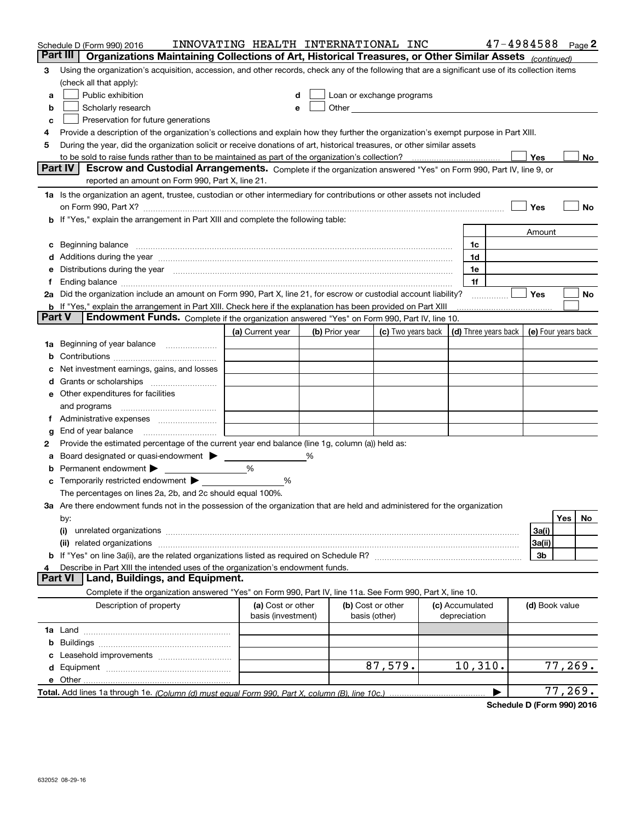|               | Schedule D (Form 990) 2016                                                                                                                                                                                                                  | INNOVATING HEALTH INTERNATIONAL INC     |   |                |                                                                                                                                                                                                                               |  |                                 | $47 - 4984588$ Page 2 |                     |         |    |
|---------------|---------------------------------------------------------------------------------------------------------------------------------------------------------------------------------------------------------------------------------------------|-----------------------------------------|---|----------------|-------------------------------------------------------------------------------------------------------------------------------------------------------------------------------------------------------------------------------|--|---------------------------------|-----------------------|---------------------|---------|----|
|               | Part III<br>Organizations Maintaining Collections of Art, Historical Treasures, or Other Similar Assets (continued)                                                                                                                         |                                         |   |                |                                                                                                                                                                                                                               |  |                                 |                       |                     |         |    |
| з             | Using the organization's acquisition, accession, and other records, check any of the following that are a significant use of its collection items                                                                                           |                                         |   |                |                                                                                                                                                                                                                               |  |                                 |                       |                     |         |    |
|               | (check all that apply):                                                                                                                                                                                                                     |                                         |   |                |                                                                                                                                                                                                                               |  |                                 |                       |                     |         |    |
| a             | Public exhibition                                                                                                                                                                                                                           | d                                       |   |                | Loan or exchange programs                                                                                                                                                                                                     |  |                                 |                       |                     |         |    |
| b             | Scholarly research                                                                                                                                                                                                                          | е                                       |   |                | Other and the contract of the contract of the contract of the contract of the contract of the contract of the contract of the contract of the contract of the contract of the contract of the contract of the contract of the |  |                                 |                       |                     |         |    |
| c             | Preservation for future generations                                                                                                                                                                                                         |                                         |   |                |                                                                                                                                                                                                                               |  |                                 |                       |                     |         |    |
|               | Provide a description of the organization's collections and explain how they further the organization's exempt purpose in Part XIII.                                                                                                        |                                         |   |                |                                                                                                                                                                                                                               |  |                                 |                       |                     |         |    |
| 5             | During the year, did the organization solicit or receive donations of art, historical treasures, or other similar assets                                                                                                                    |                                         |   |                |                                                                                                                                                                                                                               |  |                                 |                       |                     |         |    |
|               | to be sold to raise funds rather than to be maintained as part of the organization's collection?<br>Yes<br>No<br>Part IV<br>Escrow and Custodial Arrangements. Complete if the organization answered "Yes" on Form 990, Part IV, line 9, or |                                         |   |                |                                                                                                                                                                                                                               |  |                                 |                       |                     |         |    |
|               | reported an amount on Form 990, Part X, line 21.                                                                                                                                                                                            |                                         |   |                |                                                                                                                                                                                                                               |  |                                 |                       |                     |         |    |
|               | 1a Is the organization an agent, trustee, custodian or other intermediary for contributions or other assets not included                                                                                                                    |                                         |   |                |                                                                                                                                                                                                                               |  |                                 |                       |                     |         |    |
|               | on Form 990, Part X? [11] matter contracts and contracts and contracts are contracted as a form 990, Part X?                                                                                                                                |                                         |   |                |                                                                                                                                                                                                                               |  |                                 |                       | Yes                 |         | No |
|               | <b>b</b> If "Yes," explain the arrangement in Part XIII and complete the following table:                                                                                                                                                   |                                         |   |                |                                                                                                                                                                                                                               |  |                                 |                       |                     |         |    |
|               |                                                                                                                                                                                                                                             |                                         |   |                |                                                                                                                                                                                                                               |  |                                 |                       | Amount              |         |    |
|               | c Beginning balance measurements and the contract of the contract of the contract of the contract of the contract of the contract of the contract of the contract of the contract of the contract of the contract of the contr              |                                         |   |                |                                                                                                                                                                                                                               |  | 1c                              |                       |                     |         |    |
|               | d Additions during the year measurements are all an according to the year measurement of the year measurement of the state of the state of the state of the state of the state of the state of the state of the state of the s              |                                         |   |                |                                                                                                                                                                                                                               |  | 1d                              |                       |                     |         |    |
|               | e Distributions during the year manufactured and continuum control of the control of the control of the control of the control of the control of the control of the control of the control of the control of the control of th              |                                         |   |                |                                                                                                                                                                                                                               |  | 1e                              |                       |                     |         |    |
|               |                                                                                                                                                                                                                                             |                                         |   |                |                                                                                                                                                                                                                               |  | 1f                              |                       |                     |         |    |
|               | 2a Did the organization include an amount on Form 990, Part X, line 21, for escrow or custodial account liability?                                                                                                                          |                                         |   |                |                                                                                                                                                                                                                               |  |                                 |                       | Yes                 |         | No |
|               | <b>b</b> If "Yes," explain the arrangement in Part XIII. Check here if the explanation has been provided on Part XIII                                                                                                                       |                                         |   |                |                                                                                                                                                                                                                               |  |                                 |                       |                     |         |    |
| <b>Part V</b> | Endowment Funds. Complete if the organization answered "Yes" on Form 990, Part IV, line 10.                                                                                                                                                 |                                         |   |                |                                                                                                                                                                                                                               |  |                                 |                       |                     |         |    |
|               |                                                                                                                                                                                                                                             | (a) Current year                        |   | (b) Prior year | (c) Two years back $\vert$ (d) Three years back $\vert$                                                                                                                                                                       |  |                                 |                       | (e) Four years back |         |    |
|               |                                                                                                                                                                                                                                             |                                         |   |                |                                                                                                                                                                                                                               |  |                                 |                       |                     |         |    |
|               |                                                                                                                                                                                                                                             |                                         |   |                |                                                                                                                                                                                                                               |  |                                 |                       |                     |         |    |
|               | c Net investment earnings, gains, and losses                                                                                                                                                                                                |                                         |   |                |                                                                                                                                                                                                                               |  |                                 |                       |                     |         |    |
|               |                                                                                                                                                                                                                                             |                                         |   |                |                                                                                                                                                                                                                               |  |                                 |                       |                     |         |    |
|               | e Other expenditures for facilities                                                                                                                                                                                                         |                                         |   |                |                                                                                                                                                                                                                               |  |                                 |                       |                     |         |    |
|               | and programs                                                                                                                                                                                                                                |                                         |   |                |                                                                                                                                                                                                                               |  |                                 |                       |                     |         |    |
|               | f Administrative expenses <i>manually communicative</i>                                                                                                                                                                                     |                                         |   |                |                                                                                                                                                                                                                               |  |                                 |                       |                     |         |    |
| g             | Provide the estimated percentage of the current year end balance (line 1g, column (a)) held as:                                                                                                                                             |                                         |   |                |                                                                                                                                                                                                                               |  |                                 |                       |                     |         |    |
| 2<br>а        | Board designated or quasi-endowment                                                                                                                                                                                                         |                                         | % |                |                                                                                                                                                                                                                               |  |                                 |                       |                     |         |    |
|               | <b>b</b> Permanent endowment $\blacktriangleright$                                                                                                                                                                                          | %                                       |   |                |                                                                                                                                                                                                                               |  |                                 |                       |                     |         |    |
|               | <b>c</b> Temporarily restricted endowment $\triangleright$ __________                                                                                                                                                                       | %                                       |   |                |                                                                                                                                                                                                                               |  |                                 |                       |                     |         |    |
|               | The percentages on lines 2a, 2b, and 2c should equal 100%.                                                                                                                                                                                  |                                         |   |                |                                                                                                                                                                                                                               |  |                                 |                       |                     |         |    |
|               | 3a Are there endowment funds not in the possession of the organization that are held and administered for the organization                                                                                                                  |                                         |   |                |                                                                                                                                                                                                                               |  |                                 |                       |                     |         |    |
|               | by:                                                                                                                                                                                                                                         |                                         |   |                |                                                                                                                                                                                                                               |  |                                 |                       |                     | Yes     | No |
|               | (i)                                                                                                                                                                                                                                         |                                         |   |                |                                                                                                                                                                                                                               |  |                                 |                       | 3a(i)               |         |    |
|               |                                                                                                                                                                                                                                             |                                         |   |                |                                                                                                                                                                                                                               |  |                                 |                       | 3a(ii)              |         |    |
|               |                                                                                                                                                                                                                                             |                                         |   |                |                                                                                                                                                                                                                               |  |                                 |                       | 3b                  |         |    |
|               | Describe in Part XIII the intended uses of the organization's endowment funds.                                                                                                                                                              |                                         |   |                |                                                                                                                                                                                                                               |  |                                 |                       |                     |         |    |
|               | Land, Buildings, and Equipment.<br><b>Part VI</b>                                                                                                                                                                                           |                                         |   |                |                                                                                                                                                                                                                               |  |                                 |                       |                     |         |    |
|               | Complete if the organization answered "Yes" on Form 990, Part IV, line 11a. See Form 990, Part X, line 10.                                                                                                                                  |                                         |   |                |                                                                                                                                                                                                                               |  |                                 |                       |                     |         |    |
|               | Description of property                                                                                                                                                                                                                     | (a) Cost or other<br>basis (investment) |   |                | (b) Cost or other<br>basis (other)                                                                                                                                                                                            |  | (c) Accumulated<br>depreciation |                       | (d) Book value      |         |    |
|               |                                                                                                                                                                                                                                             |                                         |   |                |                                                                                                                                                                                                                               |  |                                 |                       |                     |         |    |
|               |                                                                                                                                                                                                                                             |                                         |   |                |                                                                                                                                                                                                                               |  |                                 |                       |                     |         |    |
|               |                                                                                                                                                                                                                                             |                                         |   |                |                                                                                                                                                                                                                               |  |                                 |                       |                     |         |    |
|               |                                                                                                                                                                                                                                             |                                         |   |                | 87,579.                                                                                                                                                                                                                       |  | 10, 310.                        |                       |                     | 77,269. |    |
|               |                                                                                                                                                                                                                                             |                                         |   |                |                                                                                                                                                                                                                               |  |                                 |                       |                     |         |    |
|               |                                                                                                                                                                                                                                             |                                         |   |                |                                                                                                                                                                                                                               |  |                                 | ▶                     |                     | 77,269. |    |

**Schedule D (Form 990) 2016**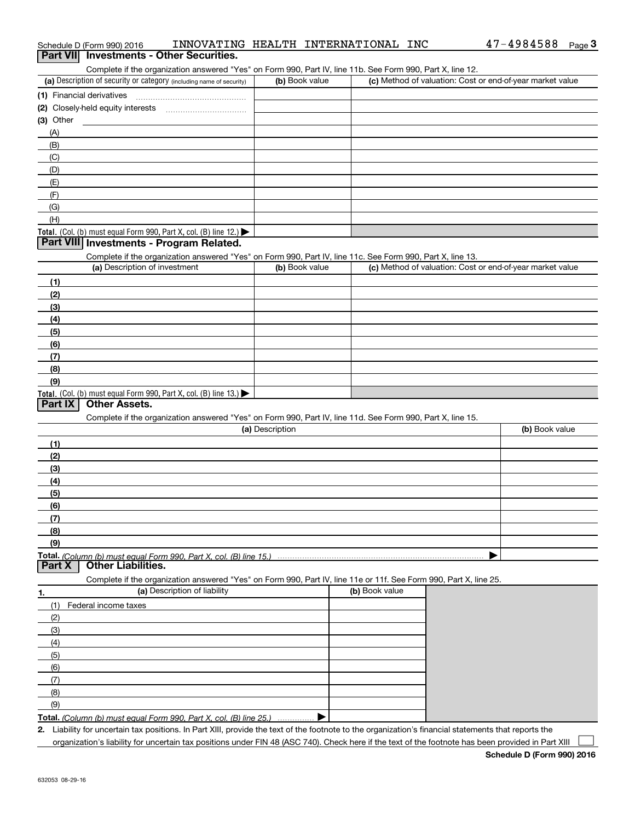| Schedule D (Form 990) 2016                                                                                        | INNOVATING HEALTH INTERNATIONAL INC | 47-4984588<br>Page 3                                      |
|-------------------------------------------------------------------------------------------------------------------|-------------------------------------|-----------------------------------------------------------|
| Part VII Investments - Other Securities.                                                                          |                                     |                                                           |
| Complete if the organization answered "Yes" on Form 990, Part IV, line 11b. See Form 990, Part X, line 12.        |                                     |                                                           |
| (a) Description of security or category (including name of security)                                              | (b) Book value                      | (c) Method of valuation: Cost or end-of-year market value |
| (1) Financial derivatives                                                                                         |                                     |                                                           |
|                                                                                                                   |                                     |                                                           |
| $(3)$ Other                                                                                                       |                                     |                                                           |
| (A)                                                                                                               |                                     |                                                           |
| (B)                                                                                                               |                                     |                                                           |
| (C)                                                                                                               |                                     |                                                           |
| (D)                                                                                                               |                                     |                                                           |
| (E)                                                                                                               |                                     |                                                           |
| (F)                                                                                                               |                                     |                                                           |
| (G)                                                                                                               |                                     |                                                           |
| (H)                                                                                                               |                                     |                                                           |
| Total. (Col. (b) must equal Form 990, Part X, col. (B) line 12.) $\blacktriangleright$                            |                                     |                                                           |
| Part VIII Investments - Program Related.                                                                          |                                     |                                                           |
| Complete if the organization answered "Yes" on Form 990, Part IV, line 11c. See Form 990, Part X, line 13.        |                                     |                                                           |
| (a) Description of investment                                                                                     | (b) Book value                      | (c) Method of valuation: Cost or end-of-year market value |
| (1)                                                                                                               |                                     |                                                           |
| (2)                                                                                                               |                                     |                                                           |
| (3)                                                                                                               |                                     |                                                           |
| (4)                                                                                                               |                                     |                                                           |
| (5)                                                                                                               |                                     |                                                           |
| (6)                                                                                                               |                                     |                                                           |
| (7)                                                                                                               |                                     |                                                           |
| (8)                                                                                                               |                                     |                                                           |
| (9)                                                                                                               |                                     |                                                           |
| Total. (Col. (b) must equal Form 990, Part X, col. (B) line 13.)                                                  |                                     |                                                           |
| <b>Other Assets.</b><br>Part IX                                                                                   |                                     |                                                           |
| Complete if the organization answered "Yes" on Form 990, Part IV, line 11d. See Form 990, Part X, line 15.        |                                     |                                                           |
|                                                                                                                   | (a) Description                     | (b) Book value                                            |
| (1)                                                                                                               |                                     |                                                           |
| (2)                                                                                                               |                                     |                                                           |
| (3)                                                                                                               |                                     |                                                           |
| (4)                                                                                                               |                                     |                                                           |
| (5)                                                                                                               |                                     |                                                           |
| (6)                                                                                                               |                                     |                                                           |
| (7)                                                                                                               |                                     |                                                           |
| (8)                                                                                                               |                                     |                                                           |
| (9)                                                                                                               |                                     |                                                           |
|                                                                                                                   |                                     |                                                           |
| <b>Other Liabilities.</b><br>Part X                                                                               |                                     |                                                           |
| Complete if the organization answered "Yes" on Form 990, Part IV, line 11e or 11f. See Form 990, Part X, line 25. |                                     |                                                           |

|     | (a) Description of liability                                       | (b) Book value |
|-----|--------------------------------------------------------------------|----------------|
|     | Federal income taxes                                               |                |
| (2) |                                                                    |                |
| (3) |                                                                    |                |
| (4) |                                                                    |                |
| (5) |                                                                    |                |
| (6) |                                                                    |                |
| (7) |                                                                    |                |
| (8) |                                                                    |                |
| (9) |                                                                    |                |
|     | Total. (Column (b) must equal Form 990, Part X, col. (B) line 25.) |                |

**2.** Liability for uncertain tax positions. In Part XIII, provide the text of the footnote to the organization's financial statements that reports the organization's liability for uncertain tax positions under FIN 48 (ASC 740). Check here if the text of the footnote has been provided in Part XIII  $\mathcal{L}^{\text{max}}$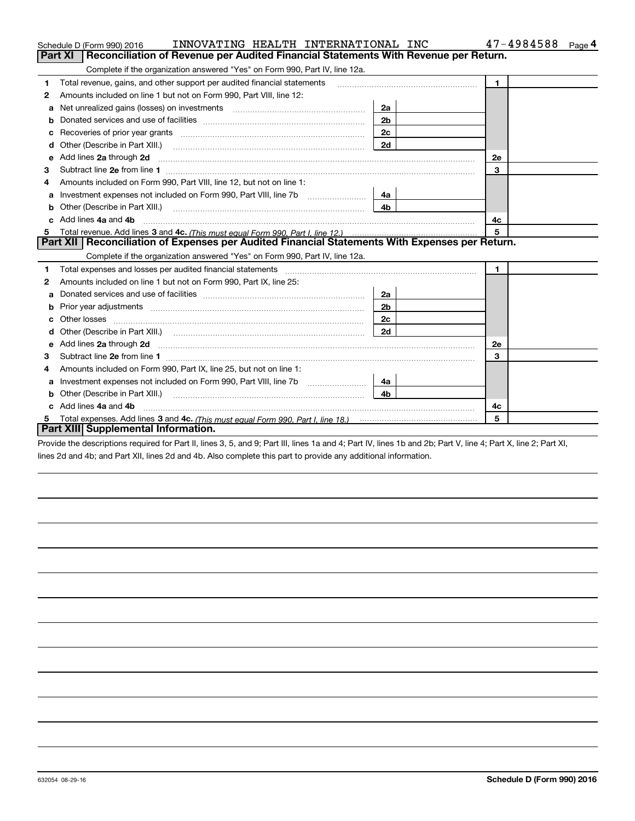|    | INNOVATING HEALTH INTERNATIONAL INC<br>Schedule D (Form 990) 2016                                                                                                                                                              |                | 47-4984588<br>Page 4 |
|----|--------------------------------------------------------------------------------------------------------------------------------------------------------------------------------------------------------------------------------|----------------|----------------------|
|    | <b>Part XI</b><br>Reconciliation of Revenue per Audited Financial Statements With Revenue per Return.                                                                                                                          |                |                      |
|    | Complete if the organization answered "Yes" on Form 990, Part IV, line 12a.                                                                                                                                                    |                |                      |
| 1  | Total revenue, gains, and other support per audited financial statements                                                                                                                                                       |                | $\blacksquare$       |
| 2  | Amounts included on line 1 but not on Form 990, Part VIII, line 12:                                                                                                                                                            |                |                      |
| a  | Net unrealized gains (losses) on investments [11] matter matter was not all the unrealized matter was not all t                                                                                                                | 2a             |                      |
|    |                                                                                                                                                                                                                                | 2 <sub>b</sub> |                      |
| с  | Recoveries of prior year grants [11,111] Recoveries of prior year grants [11,111] Recoveries of prior year grants                                                                                                              | 2c             |                      |
| d  | Other (Describe in Part XIII.) <b>Construction Contract Construction</b> Chern Construction Construction Construction                                                                                                          | 2d             |                      |
| е  | Add lines 2a through 2d                                                                                                                                                                                                        |                | 2e                   |
| з  |                                                                                                                                                                                                                                |                | 3                    |
| 4  | Amounts included on Form 990, Part VIII, line 12, but not on line 1:                                                                                                                                                           |                |                      |
|    | Investment expenses not included on Form 990, Part VIII, line 7b [                                                                                                                                                             | - 4а           |                      |
| b  |                                                                                                                                                                                                                                | 4 <sub>b</sub> |                      |
| c. | Add lines 4a and 4b                                                                                                                                                                                                            | 4c             |                      |
|    |                                                                                                                                                                                                                                |                | 5                    |
|    | Part XII   Reconciliation of Expenses per Audited Financial Statements With Expenses per Return.                                                                                                                               |                |                      |
|    | Complete if the organization answered "Yes" on Form 990, Part IV, line 12a.                                                                                                                                                    |                |                      |
| 1  | Total expenses and losses per audited financial statements [11] [11] contain the control of the statements [11] [11] and the statements [11] and the statements [11] and the statements and the statements and the statements  |                | $\mathbf{1}$         |
| 2  | Amounts included on line 1 but not on Form 990, Part IX, line 25:                                                                                                                                                              |                |                      |
| a  |                                                                                                                                                                                                                                | 2a             |                      |
| b  |                                                                                                                                                                                                                                | 2 <sub>b</sub> |                      |
| с  |                                                                                                                                                                                                                                | 2c             |                      |
| d  | Other (Describe in Part XIII.) (Contract and Contract and Chern Contract) (Chern Chern Chern Chern Chern Chern                                                                                                                 | 2d             |                      |
| е  | Add lines 2a through 2d <b>must be a constructed as the constant of the State of Add</b> lines 2a through 2d                                                                                                                   |                | 2e                   |
| 3  |                                                                                                                                                                                                                                |                | 3                    |
| 4  | Amounts included on Form 990, Part IX, line 25, but not on line 1:                                                                                                                                                             |                |                      |
| а  | Investment expenses not included on Form 990, Part VIII, line 7b [111] [11] [12]                                                                                                                                               | 4a l           |                      |
| b  | Other (Describe in Part XIII.) [2000] [2010] [2010] [2010] [2010] [2010] [2010] [2010] [2010] [2010] [2010] [2010] [2010] [2010] [2010] [2010] [2010] [2010] [2010] [2010] [2010] [2010] [2010] [2010] [2010] [2010] [2010] [2 | 4b             |                      |
|    | Add lines 4a and 4b                                                                                                                                                                                                            |                | 4c                   |
|    |                                                                                                                                                                                                                                |                | 5                    |
|    | Part XIII Supplemental Information.                                                                                                                                                                                            |                |                      |

Provide the descriptions required for Part II, lines 3, 5, and 9; Part III, lines 1a and 4; Part IV, lines 1b and 2b; Part V, line 4; Part X, line 2; Part XI, lines 2d and 4b; and Part XII, lines 2d and 4b. Also complete this part to provide any additional information.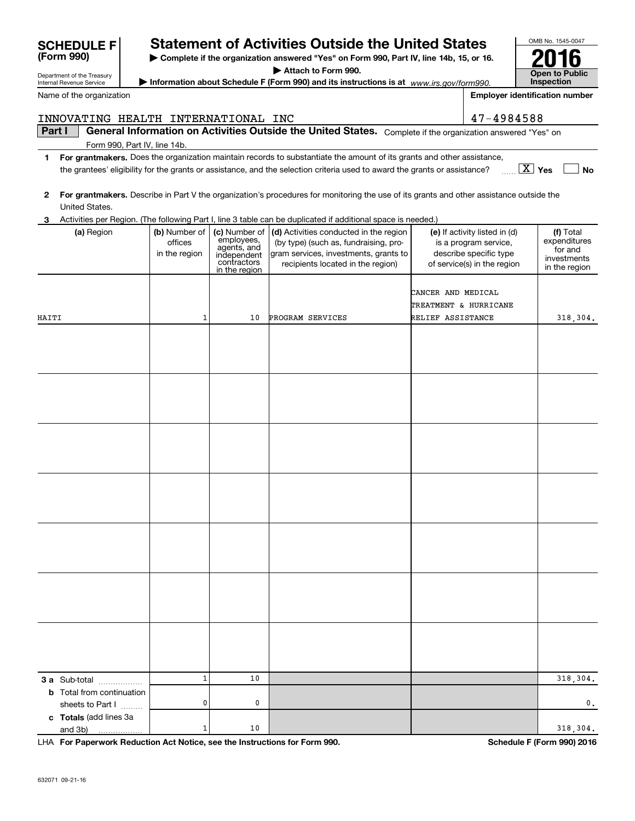| General Information on Activities Outside the United States. Complete if the organization answered "Yes" on<br>Form 990, Part IV, line 14b.<br>For grantmakers. Does the organization maintain records to substantiate the amount of its grants and other assistance,<br>1<br>$\boxed{\text{X}}$ Yes<br>the grantees' eligibility for the grants or assistance, and the selection criteria used to award the grants or assistance?<br><b>No</b><br>For grantmakers. Describe in Part V the organization's procedures for monitoring the use of its grants and other assistance outside the<br>2<br>United States.<br>Activities per Region. (The following Part I, line 3 table can be duplicated if additional space is needed.)<br>3<br>(b) Number of<br>(c) Number of<br>(d) Activities conducted in the region<br>(e) If activity listed in (d)<br>(f) Total<br>(a) Region<br>employees,<br>agents, and<br>expenditures<br>offices<br>(by type) (such as, fundraising, pro-<br>is a program service,<br>for and<br>gram services, investments, grants to<br>describe specific type<br>in the region<br>independent<br>contractors<br>investments<br>recipients located in the region)<br>of service(s) in the region<br>in the region<br>in the region<br>CANCER AND MEDICAL<br>TREATMENT & HURRICANE<br>1<br>PROGRAM SERVICES<br>RELIEF ASSISTANCE<br>HAITI<br>10<br>318,304.<br>$\mathbf 1$<br>10<br>318,304.<br>3 a Sub-total<br><b>b</b> Total from continuation<br>0<br>0<br>0,<br>sheets to Part I<br>c Totals (add lines 3a<br>1<br>10<br>318,304.<br>and 3b)<br>. | INNOVATING HEALTH INTERNATIONAL INC |  | 47-4984588 |  |
|-------------------------------------------------------------------------------------------------------------------------------------------------------------------------------------------------------------------------------------------------------------------------------------------------------------------------------------------------------------------------------------------------------------------------------------------------------------------------------------------------------------------------------------------------------------------------------------------------------------------------------------------------------------------------------------------------------------------------------------------------------------------------------------------------------------------------------------------------------------------------------------------------------------------------------------------------------------------------------------------------------------------------------------------------------------------------------------------------------------------------------------------------------------------------------------------------------------------------------------------------------------------------------------------------------------------------------------------------------------------------------------------------------------------------------------------------------------------------------------------------------------------------------------------------------------------------------|-------------------------------------|--|------------|--|
|                                                                                                                                                                                                                                                                                                                                                                                                                                                                                                                                                                                                                                                                                                                                                                                                                                                                                                                                                                                                                                                                                                                                                                                                                                                                                                                                                                                                                                                                                                                                                                               | Part I                              |  |            |  |
|                                                                                                                                                                                                                                                                                                                                                                                                                                                                                                                                                                                                                                                                                                                                                                                                                                                                                                                                                                                                                                                                                                                                                                                                                                                                                                                                                                                                                                                                                                                                                                               |                                     |  |            |  |
|                                                                                                                                                                                                                                                                                                                                                                                                                                                                                                                                                                                                                                                                                                                                                                                                                                                                                                                                                                                                                                                                                                                                                                                                                                                                                                                                                                                                                                                                                                                                                                               |                                     |  |            |  |
|                                                                                                                                                                                                                                                                                                                                                                                                                                                                                                                                                                                                                                                                                                                                                                                                                                                                                                                                                                                                                                                                                                                                                                                                                                                                                                                                                                                                                                                                                                                                                                               |                                     |  |            |  |
|                                                                                                                                                                                                                                                                                                                                                                                                                                                                                                                                                                                                                                                                                                                                                                                                                                                                                                                                                                                                                                                                                                                                                                                                                                                                                                                                                                                                                                                                                                                                                                               |                                     |  |            |  |
|                                                                                                                                                                                                                                                                                                                                                                                                                                                                                                                                                                                                                                                                                                                                                                                                                                                                                                                                                                                                                                                                                                                                                                                                                                                                                                                                                                                                                                                                                                                                                                               |                                     |  |            |  |
|                                                                                                                                                                                                                                                                                                                                                                                                                                                                                                                                                                                                                                                                                                                                                                                                                                                                                                                                                                                                                                                                                                                                                                                                                                                                                                                                                                                                                                                                                                                                                                               |                                     |  |            |  |
|                                                                                                                                                                                                                                                                                                                                                                                                                                                                                                                                                                                                                                                                                                                                                                                                                                                                                                                                                                                                                                                                                                                                                                                                                                                                                                                                                                                                                                                                                                                                                                               |                                     |  |            |  |
|                                                                                                                                                                                                                                                                                                                                                                                                                                                                                                                                                                                                                                                                                                                                                                                                                                                                                                                                                                                                                                                                                                                                                                                                                                                                                                                                                                                                                                                                                                                                                                               |                                     |  |            |  |
|                                                                                                                                                                                                                                                                                                                                                                                                                                                                                                                                                                                                                                                                                                                                                                                                                                                                                                                                                                                                                                                                                                                                                                                                                                                                                                                                                                                                                                                                                                                                                                               |                                     |  |            |  |
|                                                                                                                                                                                                                                                                                                                                                                                                                                                                                                                                                                                                                                                                                                                                                                                                                                                                                                                                                                                                                                                                                                                                                                                                                                                                                                                                                                                                                                                                                                                                                                               |                                     |  |            |  |
|                                                                                                                                                                                                                                                                                                                                                                                                                                                                                                                                                                                                                                                                                                                                                                                                                                                                                                                                                                                                                                                                                                                                                                                                                                                                                                                                                                                                                                                                                                                                                                               |                                     |  |            |  |
|                                                                                                                                                                                                                                                                                                                                                                                                                                                                                                                                                                                                                                                                                                                                                                                                                                                                                                                                                                                                                                                                                                                                                                                                                                                                                                                                                                                                                                                                                                                                                                               |                                     |  |            |  |
|                                                                                                                                                                                                                                                                                                                                                                                                                                                                                                                                                                                                                                                                                                                                                                                                                                                                                                                                                                                                                                                                                                                                                                                                                                                                                                                                                                                                                                                                                                                                                                               |                                     |  |            |  |
|                                                                                                                                                                                                                                                                                                                                                                                                                                                                                                                                                                                                                                                                                                                                                                                                                                                                                                                                                                                                                                                                                                                                                                                                                                                                                                                                                                                                                                                                                                                                                                               |                                     |  |            |  |
|                                                                                                                                                                                                                                                                                                                                                                                                                                                                                                                                                                                                                                                                                                                                                                                                                                                                                                                                                                                                                                                                                                                                                                                                                                                                                                                                                                                                                                                                                                                                                                               |                                     |  |            |  |
|                                                                                                                                                                                                                                                                                                                                                                                                                                                                                                                                                                                                                                                                                                                                                                                                                                                                                                                                                                                                                                                                                                                                                                                                                                                                                                                                                                                                                                                                                                                                                                               |                                     |  |            |  |
|                                                                                                                                                                                                                                                                                                                                                                                                                                                                                                                                                                                                                                                                                                                                                                                                                                                                                                                                                                                                                                                                                                                                                                                                                                                                                                                                                                                                                                                                                                                                                                               |                                     |  |            |  |
|                                                                                                                                                                                                                                                                                                                                                                                                                                                                                                                                                                                                                                                                                                                                                                                                                                                                                                                                                                                                                                                                                                                                                                                                                                                                                                                                                                                                                                                                                                                                                                               |                                     |  |            |  |
|                                                                                                                                                                                                                                                                                                                                                                                                                                                                                                                                                                                                                                                                                                                                                                                                                                                                                                                                                                                                                                                                                                                                                                                                                                                                                                                                                                                                                                                                                                                                                                               |                                     |  |            |  |
|                                                                                                                                                                                                                                                                                                                                                                                                                                                                                                                                                                                                                                                                                                                                                                                                                                                                                                                                                                                                                                                                                                                                                                                                                                                                                                                                                                                                                                                                                                                                                                               |                                     |  |            |  |
|                                                                                                                                                                                                                                                                                                                                                                                                                                                                                                                                                                                                                                                                                                                                                                                                                                                                                                                                                                                                                                                                                                                                                                                                                                                                                                                                                                                                                                                                                                                                                                               |                                     |  |            |  |
|                                                                                                                                                                                                                                                                                                                                                                                                                                                                                                                                                                                                                                                                                                                                                                                                                                                                                                                                                                                                                                                                                                                                                                                                                                                                                                                                                                                                                                                                                                                                                                               |                                     |  |            |  |
|                                                                                                                                                                                                                                                                                                                                                                                                                                                                                                                                                                                                                                                                                                                                                                                                                                                                                                                                                                                                                                                                                                                                                                                                                                                                                                                                                                                                                                                                                                                                                                               |                                     |  |            |  |
|                                                                                                                                                                                                                                                                                                                                                                                                                                                                                                                                                                                                                                                                                                                                                                                                                                                                                                                                                                                                                                                                                                                                                                                                                                                                                                                                                                                                                                                                                                                                                                               |                                     |  |            |  |
|                                                                                                                                                                                                                                                                                                                                                                                                                                                                                                                                                                                                                                                                                                                                                                                                                                                                                                                                                                                                                                                                                                                                                                                                                                                                                                                                                                                                                                                                                                                                                                               |                                     |  |            |  |
|                                                                                                                                                                                                                                                                                                                                                                                                                                                                                                                                                                                                                                                                                                                                                                                                                                                                                                                                                                                                                                                                                                                                                                                                                                                                                                                                                                                                                                                                                                                                                                               |                                     |  |            |  |
|                                                                                                                                                                                                                                                                                                                                                                                                                                                                                                                                                                                                                                                                                                                                                                                                                                                                                                                                                                                                                                                                                                                                                                                                                                                                                                                                                                                                                                                                                                                                                                               |                                     |  |            |  |
|                                                                                                                                                                                                                                                                                                                                                                                                                                                                                                                                                                                                                                                                                                                                                                                                                                                                                                                                                                                                                                                                                                                                                                                                                                                                                                                                                                                                                                                                                                                                                                               |                                     |  |            |  |
|                                                                                                                                                                                                                                                                                                                                                                                                                                                                                                                                                                                                                                                                                                                                                                                                                                                                                                                                                                                                                                                                                                                                                                                                                                                                                                                                                                                                                                                                                                                                                                               |                                     |  |            |  |
|                                                                                                                                                                                                                                                                                                                                                                                                                                                                                                                                                                                                                                                                                                                                                                                                                                                                                                                                                                                                                                                                                                                                                                                                                                                                                                                                                                                                                                                                                                                                                                               |                                     |  |            |  |
|                                                                                                                                                                                                                                                                                                                                                                                                                                                                                                                                                                                                                                                                                                                                                                                                                                                                                                                                                                                                                                                                                                                                                                                                                                                                                                                                                                                                                                                                                                                                                                               |                                     |  |            |  |
|                                                                                                                                                                                                                                                                                                                                                                                                                                                                                                                                                                                                                                                                                                                                                                                                                                                                                                                                                                                                                                                                                                                                                                                                                                                                                                                                                                                                                                                                                                                                                                               |                                     |  |            |  |
|                                                                                                                                                                                                                                                                                                                                                                                                                                                                                                                                                                                                                                                                                                                                                                                                                                                                                                                                                                                                                                                                                                                                                                                                                                                                                                                                                                                                                                                                                                                                                                               |                                     |  |            |  |
|                                                                                                                                                                                                                                                                                                                                                                                                                                                                                                                                                                                                                                                                                                                                                                                                                                                                                                                                                                                                                                                                                                                                                                                                                                                                                                                                                                                                                                                                                                                                                                               |                                     |  |            |  |
|                                                                                                                                                                                                                                                                                                                                                                                                                                                                                                                                                                                                                                                                                                                                                                                                                                                                                                                                                                                                                                                                                                                                                                                                                                                                                                                                                                                                                                                                                                                                                                               |                                     |  |            |  |
|                                                                                                                                                                                                                                                                                                                                                                                                                                                                                                                                                                                                                                                                                                                                                                                                                                                                                                                                                                                                                                                                                                                                                                                                                                                                                                                                                                                                                                                                                                                                                                               |                                     |  |            |  |
|                                                                                                                                                                                                                                                                                                                                                                                                                                                                                                                                                                                                                                                                                                                                                                                                                                                                                                                                                                                                                                                                                                                                                                                                                                                                                                                                                                                                                                                                                                                                                                               |                                     |  |            |  |
|                                                                                                                                                                                                                                                                                                                                                                                                                                                                                                                                                                                                                                                                                                                                                                                                                                                                                                                                                                                                                                                                                                                                                                                                                                                                                                                                                                                                                                                                                                                                                                               |                                     |  |            |  |
|                                                                                                                                                                                                                                                                                                                                                                                                                                                                                                                                                                                                                                                                                                                                                                                                                                                                                                                                                                                                                                                                                                                                                                                                                                                                                                                                                                                                                                                                                                                                                                               |                                     |  |            |  |
|                                                                                                                                                                                                                                                                                                                                                                                                                                                                                                                                                                                                                                                                                                                                                                                                                                                                                                                                                                                                                                                                                                                                                                                                                                                                                                                                                                                                                                                                                                                                                                               |                                     |  |            |  |
|                                                                                                                                                                                                                                                                                                                                                                                                                                                                                                                                                                                                                                                                                                                                                                                                                                                                                                                                                                                                                                                                                                                                                                                                                                                                                                                                                                                                                                                                                                                                                                               |                                     |  |            |  |
|                                                                                                                                                                                                                                                                                                                                                                                                                                                                                                                                                                                                                                                                                                                                                                                                                                                                                                                                                                                                                                                                                                                                                                                                                                                                                                                                                                                                                                                                                                                                                                               |                                     |  |            |  |
|                                                                                                                                                                                                                                                                                                                                                                                                                                                                                                                                                                                                                                                                                                                                                                                                                                                                                                                                                                                                                                                                                                                                                                                                                                                                                                                                                                                                                                                                                                                                                                               |                                     |  |            |  |
|                                                                                                                                                                                                                                                                                                                                                                                                                                                                                                                                                                                                                                                                                                                                                                                                                                                                                                                                                                                                                                                                                                                                                                                                                                                                                                                                                                                                                                                                                                                                                                               |                                     |  |            |  |
|                                                                                                                                                                                                                                                                                                                                                                                                                                                                                                                                                                                                                                                                                                                                                                                                                                                                                                                                                                                                                                                                                                                                                                                                                                                                                                                                                                                                                                                                                                                                                                               |                                     |  |            |  |
|                                                                                                                                                                                                                                                                                                                                                                                                                                                                                                                                                                                                                                                                                                                                                                                                                                                                                                                                                                                                                                                                                                                                                                                                                                                                                                                                                                                                                                                                                                                                                                               |                                     |  |            |  |
|                                                                                                                                                                                                                                                                                                                                                                                                                                                                                                                                                                                                                                                                                                                                                                                                                                                                                                                                                                                                                                                                                                                                                                                                                                                                                                                                                                                                                                                                                                                                                                               |                                     |  |            |  |

**For Paperwork Reduction Act Notice, see the Instructions for Form 990. Schedule F (Form 990) 2016** LHA

| SCHEDULE F                        | <b>Statement of Activities Outside the United States</b> |  |  |  |
|-----------------------------------|----------------------------------------------------------|--|--|--|
| $(T_{\text{max}} \cap \cap \cap)$ |                                                          |  |  |  |

**| Complete if the organization answered "Yes" on Form 990, Part IV, line 14b, 15, or 16. | Attach to Form 990.**

**| Information about Schedule F (Form 990) and its instructions is at**  *www.irs.gov/form990.*

OMB No. 1545-0047 **Open to Public Inspection2016**

Name of the organization

Department of the Treasury Internal Revenue Service

| <u>JUHLDULL I</u><br>(Form 990) |
|---------------------------------|
|---------------------------------|

| $1\sigma$ $1\sigma$ $1\sigma$ |  |
|-------------------------------|--|

**Employer identification number**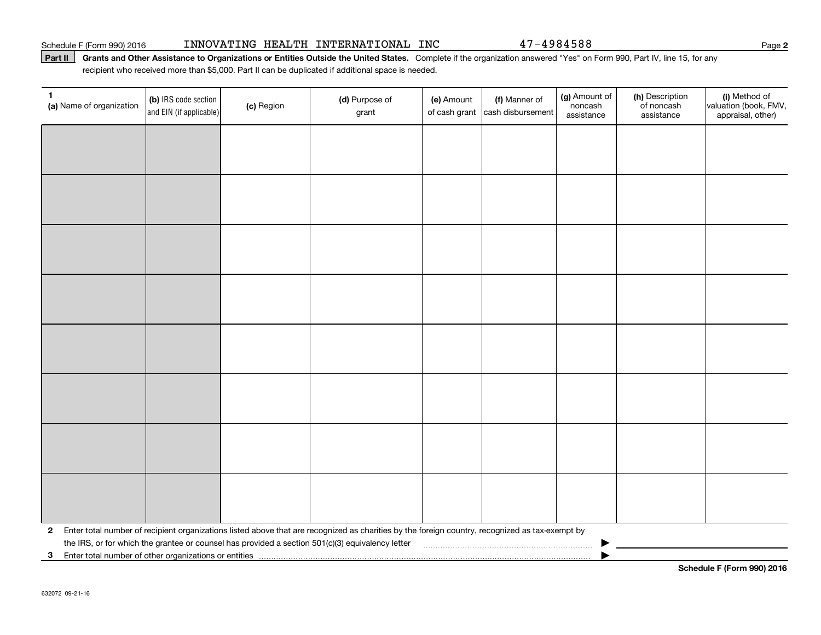#### Schedule F (Form 990) 2016 INNOVATING HEALTH INTERNATIONAL INC 47-4984588 Page

#### Part II | Grants and Other Assistance to Organizations or Entities Outside the United States. Complete if the organization answered "Yes" on Form 990, Part IV, line 15, for any recipient who received more than \$5,000. Part II can be duplicated if additional space is needed.

| 1.<br>(a) Name of organization                             | (b) IRS code section<br>and EIN (if applicable) | (c) Region | (d) Purpose of<br>grant                                                                                                                         | (e) Amount<br>of cash grant | (f) Manner of<br>cash disbursement | (g) Amount of<br>noncash<br>assistance | (h) Description<br>of noncash<br>assistance | (i) Method of<br>valuation (book, FMV,<br>appraisal, other) |
|------------------------------------------------------------|-------------------------------------------------|------------|-------------------------------------------------------------------------------------------------------------------------------------------------|-----------------------------|------------------------------------|----------------------------------------|---------------------------------------------|-------------------------------------------------------------|
|                                                            |                                                 |            |                                                                                                                                                 |                             |                                    |                                        |                                             |                                                             |
|                                                            |                                                 |            |                                                                                                                                                 |                             |                                    |                                        |                                             |                                                             |
|                                                            |                                                 |            |                                                                                                                                                 |                             |                                    |                                        |                                             |                                                             |
|                                                            |                                                 |            |                                                                                                                                                 |                             |                                    |                                        |                                             |                                                             |
|                                                            |                                                 |            |                                                                                                                                                 |                             |                                    |                                        |                                             |                                                             |
|                                                            |                                                 |            |                                                                                                                                                 |                             |                                    |                                        |                                             |                                                             |
|                                                            |                                                 |            |                                                                                                                                                 |                             |                                    |                                        |                                             |                                                             |
|                                                            |                                                 |            |                                                                                                                                                 |                             |                                    |                                        |                                             |                                                             |
|                                                            |                                                 |            |                                                                                                                                                 |                             |                                    |                                        |                                             |                                                             |
|                                                            |                                                 |            |                                                                                                                                                 |                             |                                    |                                        |                                             |                                                             |
|                                                            |                                                 |            |                                                                                                                                                 |                             |                                    |                                        |                                             |                                                             |
|                                                            |                                                 |            |                                                                                                                                                 |                             |                                    |                                        |                                             |                                                             |
|                                                            |                                                 |            |                                                                                                                                                 |                             |                                    |                                        |                                             |                                                             |
|                                                            |                                                 |            |                                                                                                                                                 |                             |                                    |                                        |                                             |                                                             |
|                                                            |                                                 |            |                                                                                                                                                 |                             |                                    |                                        |                                             |                                                             |
|                                                            |                                                 |            |                                                                                                                                                 |                             |                                    |                                        |                                             |                                                             |
| 2                                                          |                                                 |            | Enter total number of recipient organizations listed above that are recognized as charities by the foreign country, recognized as tax-exempt by |                             |                                    |                                        |                                             |                                                             |
| Enter total number of other organizations or entities<br>3 |                                                 |            | the IRS, or for which the grantee or counsel has provided a section 501(c)(3) equivalency letter                                                |                             |                                    |                                        |                                             |                                                             |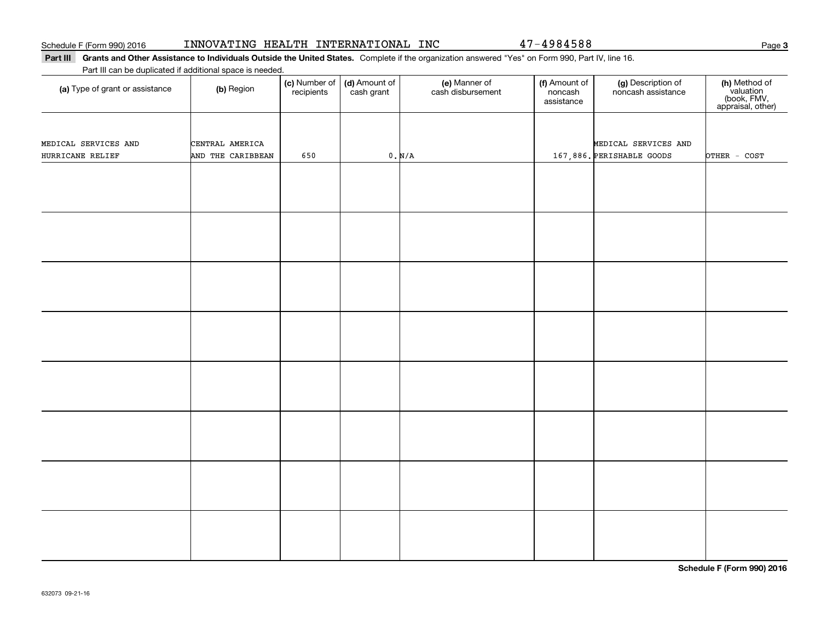## Part III Grants and Other Assistance to Individuals Outside the United States. Complete if the organization answered "Yes" on Form 990, Part IV, line 16.

### Part III can be duplicated if additional space is needed.

| (a) Type of grant or assistance          | (b) Region                           | (c) Number of<br>recipients | (d) Amount of<br>cash grant | (e) Manner of<br>cash disbursement | (f) Amount of<br>noncash<br>assistance | (g) Description of<br>noncash assistance          | (h) Method of<br>valuation<br>(book, FMV,<br>appraisal, other) |
|------------------------------------------|--------------------------------------|-----------------------------|-----------------------------|------------------------------------|----------------------------------------|---------------------------------------------------|----------------------------------------------------------------|
| MEDICAL SERVICES AND<br>HURRICANE RELIEF | CENTRAL AMERICA<br>AND THE CARIBBEAN | 650                         |                             | 0. N/A                             |                                        | MEDICAL SERVICES AND<br>167,886. PERISHABLE GOODS | OTHER - COST                                                   |
|                                          |                                      |                             |                             |                                    |                                        |                                                   |                                                                |
|                                          |                                      |                             |                             |                                    |                                        |                                                   |                                                                |
|                                          |                                      |                             |                             |                                    |                                        |                                                   |                                                                |
|                                          |                                      |                             |                             |                                    |                                        |                                                   |                                                                |
|                                          |                                      |                             |                             |                                    |                                        |                                                   |                                                                |
|                                          |                                      |                             |                             |                                    |                                        |                                                   |                                                                |
|                                          |                                      |                             |                             |                                    |                                        |                                                   |                                                                |
|                                          |                                      |                             |                             |                                    |                                        |                                                   |                                                                |

**Schedule F (Form 990) 2016**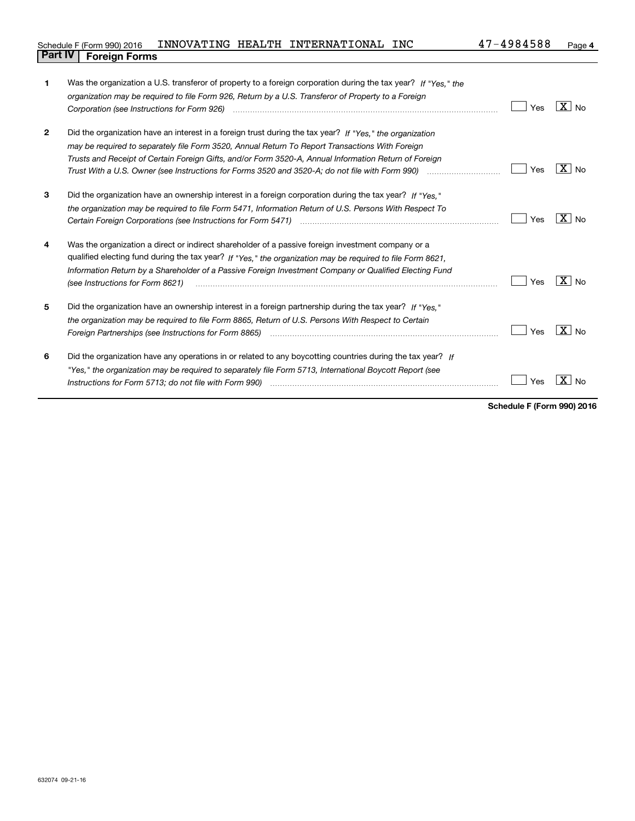| Schedule F (Form 990) 2016     |  | INNOVATING HEALTH INTERNATIONAL INC | 47-4984588 | Page |
|--------------------------------|--|-------------------------------------|------------|------|
| <b>Part IV   Foreign Forms</b> |  |                                     |            |      |

| 1            | Was the organization a U.S. transferor of property to a foreign corporation during the tax year? If "Yes." the                                                                                                                 |     |                     |
|--------------|--------------------------------------------------------------------------------------------------------------------------------------------------------------------------------------------------------------------------------|-----|---------------------|
|              | organization may be required to file Form 926, Return by a U.S. Transferor of Property to a Foreign                                                                                                                            |     |                     |
|              | Corporation (see Instructions for Form 926) <i>manual content content corporation (see Instructions</i> of Form                                                                                                                | Yes | $\overline{X}$ No   |
| $\mathbf{2}$ | Did the organization have an interest in a foreign trust during the tax year? If "Yes," the organization                                                                                                                       |     |                     |
|              | may be required to separately file Form 3520, Annual Return To Report Transactions With Foreign                                                                                                                                |     |                     |
|              | Trusts and Receipt of Certain Foreign Gifts, and/or Form 3520-A, Annual Information Return of Foreign                                                                                                                          |     |                     |
|              | Trust With a U.S. Owner (see Instructions for Forms 3520 and 3520-A; do not file with Form 990) manu-communition                                                                                                               | Yes | $X \mid N_{\Omega}$ |
| 3            | Did the organization have an ownership interest in a foreign corporation during the tax year? If "Yes."                                                                                                                        |     |                     |
|              | the organization may be required to file Form 5471, Information Return of U.S. Persons With Respect To                                                                                                                         |     |                     |
|              |                                                                                                                                                                                                                                | Yes | $X \mid N_{\Omega}$ |
| 4            | Was the organization a direct or indirect shareholder of a passive foreign investment company or a                                                                                                                             |     |                     |
|              | qualified electing fund during the tax year? If "Yes," the organization may be required to file Form 8621,                                                                                                                     |     |                     |
|              | Information Return by a Shareholder of a Passive Foreign Investment Company or Qualified Electing Fund<br>(see Instructions for Form 8621)                                                                                     | Yes | $X \mid N_{0}$      |
| 5            | Did the organization have an ownership interest in a foreign partnership during the tax year? If "Yes."                                                                                                                        |     |                     |
|              | the organization may be required to file Form 8865, Return of U.S. Persons With Respect to Certain                                                                                                                             |     |                     |
|              |                                                                                                                                                                                                                                | Yes | $X \mid N_{0}$      |
| 6            | Did the organization have any operations in or related to any boycotting countries during the tax year? If                                                                                                                     |     |                     |
|              | "Yes," the organization may be reguired to separately file Form 5713, International Boycott Report (see                                                                                                                        |     |                     |
|              | Instructions for Form 5713; do not file with Form 990) [11] manufactured manufactured in the manufactured in the manufactured in the manufactured in the manufactured in the manufactured in the manufactured in the manufactu | Yes | x.<br><b>No</b>     |
|              |                                                                                                                                                                                                                                |     |                     |

**Schedule F (Form 990) 2016**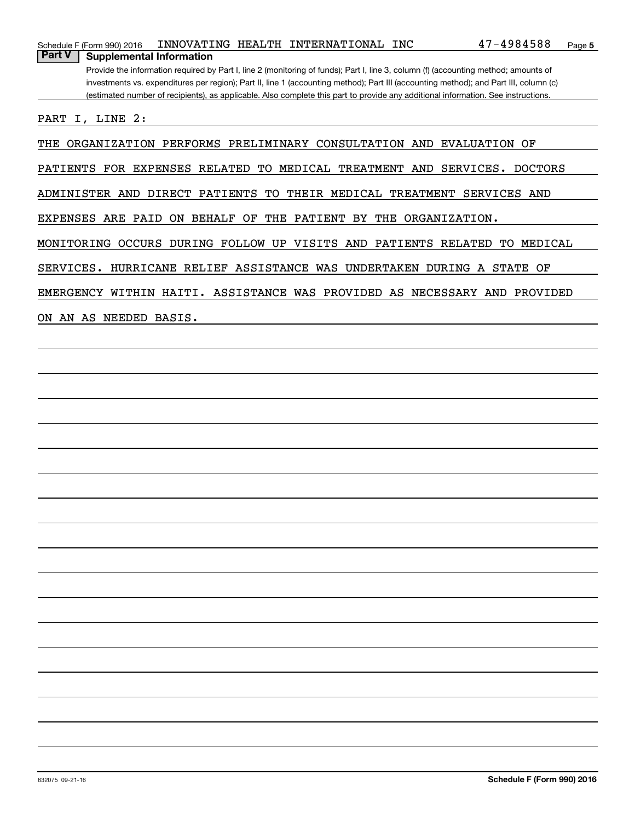| Schedule F (Form 990) 2016                                           |                     |    | INNOVATING HEALTH INTERNATIONAL INC |           | $47 - 4984588$                                                                                                                        | Page 5 |
|----------------------------------------------------------------------|---------------------|----|-------------------------------------|-----------|---------------------------------------------------------------------------------------------------------------------------------------|--------|
| <b>Part V</b><br><b>Supplemental Information</b>                     |                     |    |                                     |           |                                                                                                                                       |        |
|                                                                      |                     |    |                                     |           | Provide the information required by Part I, line 2 (monitoring of funds); Part I, line 3, column (f) (accounting method; amounts of   |        |
|                                                                      |                     |    |                                     |           | investments vs. expenditures per region); Part II, line 1 (accounting method); Part III (accounting method); and Part III, column (c) |        |
|                                                                      |                     |    |                                     |           | (estimated number of recipients), as applicable. Also complete this part to provide any additional information. See instructions.     |        |
| PART I, LINE 2:                                                      |                     |    |                                     |           |                                                                                                                                       |        |
| THE ORGANIZATION PERFORMS PRELIMINARY CONSULTATION AND EVALUATION OF |                     |    |                                     |           |                                                                                                                                       |        |
| <b>FOR</b><br>PATIENTS                                               | EXPENSES RELATED TO |    | TREATMENT AND<br>MEDICAL            |           | SERVICES.<br>DOCTORS                                                                                                                  |        |
| ADMINISTER<br>AND                                                    | PATIENTS<br>DIRECT  | TО | THEIR<br>MEDICAL                    | TREATMENT | <b>SERVICES</b><br>AND                                                                                                                |        |

EXPENSES ARE PAID ON BEHALF OF THE PATIENT BY THE ORGANIZATION.

MONITORING OCCURS DURING FOLLOW UP VISITS AND PATIENTS RELATED TO MEDICAL

SERVICES. HURRICANE RELIEF ASSISTANCE WAS UNDERTAKEN DURING A STATE OF

EMERGENCY WITHIN HAITI. ASSISTANCE WAS PROVIDED AS NECESSARY AND PROVIDED

ON AN AS NEEDED BASIS.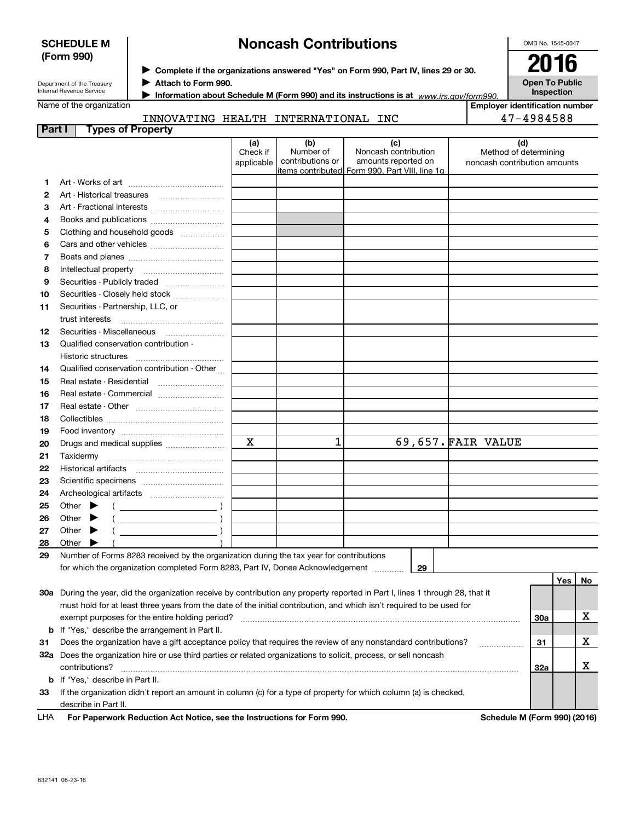|        | <b>SCHEDULE M</b>                                                                                                                                                         | <b>Noncash Contributions</b>  |                                                                                            |  |                                                    |  |                                                       |     |    |  |
|--------|---------------------------------------------------------------------------------------------------------------------------------------------------------------------------|-------------------------------|--------------------------------------------------------------------------------------------|--|----------------------------------------------------|--|-------------------------------------------------------|-----|----|--|
|        | (Form 990)                                                                                                                                                                |                               |                                                                                            |  |                                                    |  | 2016                                                  |     |    |  |
|        |                                                                                                                                                                           |                               | > Complete if the organizations answered "Yes" on Form 990, Part IV, lines 29 or 30.       |  |                                                    |  |                                                       |     |    |  |
|        | Attach to Form 990.<br>Department of the Treasury<br>Internal Revenue Service                                                                                             |                               | <b>Open To Public</b><br>Inspection                                                        |  |                                                    |  |                                                       |     |    |  |
|        | Name of the organization                                                                                                                                                  |                               | Information about Schedule M (Form 990) and its instructions is at $www.irs.gov/form990$ . |  |                                                    |  | <b>Emplover identification number</b>                 |     |    |  |
|        |                                                                                                                                                                           |                               |                                                                                            |  |                                                    |  |                                                       |     |    |  |
| Part I | <b>Types of Property</b>                                                                                                                                                  |                               | INNOVATING HEALTH INTERNATIONAL INC                                                        |  |                                                    |  | 47-4984588                                            |     |    |  |
|        |                                                                                                                                                                           |                               |                                                                                            |  |                                                    |  | (d)                                                   |     |    |  |
|        |                                                                                                                                                                           | (a)<br>Check if<br>applicable | (b)<br>Number of<br>contributions or<br>items contributed Form 990, Part VIII, line 1q     |  | (c)<br>Noncash contribution<br>amounts reported on |  | Method of determining<br>noncash contribution amounts |     |    |  |
| 1.     |                                                                                                                                                                           |                               |                                                                                            |  |                                                    |  |                                                       |     |    |  |
| 2      |                                                                                                                                                                           |                               |                                                                                            |  |                                                    |  |                                                       |     |    |  |
| 3      | Art - Fractional interests                                                                                                                                                |                               |                                                                                            |  |                                                    |  |                                                       |     |    |  |
| 4      |                                                                                                                                                                           |                               |                                                                                            |  |                                                    |  |                                                       |     |    |  |
| 5      | Clothing and household goods                                                                                                                                              |                               |                                                                                            |  |                                                    |  |                                                       |     |    |  |
| 6      |                                                                                                                                                                           |                               |                                                                                            |  |                                                    |  |                                                       |     |    |  |
| 7      |                                                                                                                                                                           |                               |                                                                                            |  |                                                    |  |                                                       |     |    |  |
| 8      |                                                                                                                                                                           |                               |                                                                                            |  |                                                    |  |                                                       |     |    |  |
| 9      |                                                                                                                                                                           |                               |                                                                                            |  |                                                    |  |                                                       |     |    |  |
| 10     | Securities - Closely held stock                                                                                                                                           |                               |                                                                                            |  |                                                    |  |                                                       |     |    |  |
| 11     | Securities - Partnership, LLC, or                                                                                                                                         |                               |                                                                                            |  |                                                    |  |                                                       |     |    |  |
|        | trust interests                                                                                                                                                           |                               |                                                                                            |  |                                                    |  |                                                       |     |    |  |
| 12     |                                                                                                                                                                           |                               |                                                                                            |  |                                                    |  |                                                       |     |    |  |
| 13     | Qualified conservation contribution -                                                                                                                                     |                               |                                                                                            |  |                                                    |  |                                                       |     |    |  |
|        | Historic structures                                                                                                                                                       |                               |                                                                                            |  |                                                    |  |                                                       |     |    |  |
| 14     | Qualified conservation contribution - Other                                                                                                                               |                               |                                                                                            |  |                                                    |  |                                                       |     |    |  |
| 15     | Real estate - Residential                                                                                                                                                 |                               |                                                                                            |  |                                                    |  |                                                       |     |    |  |
| 16     | Real estate - Commercial                                                                                                                                                  |                               |                                                                                            |  |                                                    |  |                                                       |     |    |  |
| 17     |                                                                                                                                                                           |                               |                                                                                            |  |                                                    |  |                                                       |     |    |  |
| 18     |                                                                                                                                                                           |                               |                                                                                            |  |                                                    |  |                                                       |     |    |  |
| 19     |                                                                                                                                                                           |                               |                                                                                            |  |                                                    |  |                                                       |     |    |  |
| 20     | Drugs and medical supplies                                                                                                                                                | $\mathbf X$                   | 1                                                                                          |  | 69,657. FAIR VALUE                                 |  |                                                       |     |    |  |
| 21     | Taxidermy                                                                                                                                                                 |                               |                                                                                            |  |                                                    |  |                                                       |     |    |  |
| 22     |                                                                                                                                                                           |                               |                                                                                            |  |                                                    |  |                                                       |     |    |  |
| 23     |                                                                                                                                                                           |                               |                                                                                            |  |                                                    |  |                                                       |     |    |  |
| 24     |                                                                                                                                                                           |                               |                                                                                            |  |                                                    |  |                                                       |     |    |  |
| 25     | Other                                                                                                                                                                     |                               |                                                                                            |  |                                                    |  |                                                       |     |    |  |
| 26     | Other<br>$\overline{\phantom{a}}$ , and the contract of $\overline{\phantom{a}}$                                                                                          |                               |                                                                                            |  |                                                    |  |                                                       |     |    |  |
| 27     | Other                                                                                                                                                                     |                               |                                                                                            |  |                                                    |  |                                                       |     |    |  |
| 28     | Other                                                                                                                                                                     |                               |                                                                                            |  |                                                    |  |                                                       |     |    |  |
| 29     | Number of Forms 8283 received by the organization during the tax year for contributions<br>for which the organization completed Form 8283, Part IV, Donee Acknowledgement |                               |                                                                                            |  | 29                                                 |  |                                                       |     |    |  |
|        | 30a During the year, did the organization receive by contribution any property reported in Part I, lines 1 through 28, that it                                            |                               |                                                                                            |  |                                                    |  |                                                       | Yes | No |  |
|        | must hold for at least three years from the date of the initial contribution, and which isn't required to be used for                                                     |                               |                                                                                            |  |                                                    |  |                                                       |     |    |  |
|        |                                                                                                                                                                           |                               |                                                                                            |  |                                                    |  | 30a                                                   |     | х  |  |
| b      | If "Yes," describe the arrangement in Part II.                                                                                                                            |                               |                                                                                            |  |                                                    |  |                                                       |     |    |  |
| 31     | Does the organization have a gift acceptance policy that requires the review of any nonstandard contributions?                                                            |                               |                                                                                            |  |                                                    |  | 31                                                    |     | х  |  |
|        | 32a Does the organization hire or use third parties or related organizations to solicit, process, or sell noncash                                                         |                               |                                                                                            |  |                                                    |  |                                                       |     |    |  |
|        | contributions?                                                                                                                                                            |                               |                                                                                            |  |                                                    |  | 32a                                                   |     | X  |  |

For Paperwork Reduction Act Notice, see the Instructions for Form 990. Schedule M (Form 990) (2016) describe in Part II. LHA

**33**If the organization didn't report an amount in column (c) for a type of property for which column (a) is checked,

**b**If "Yes," describe in Part II.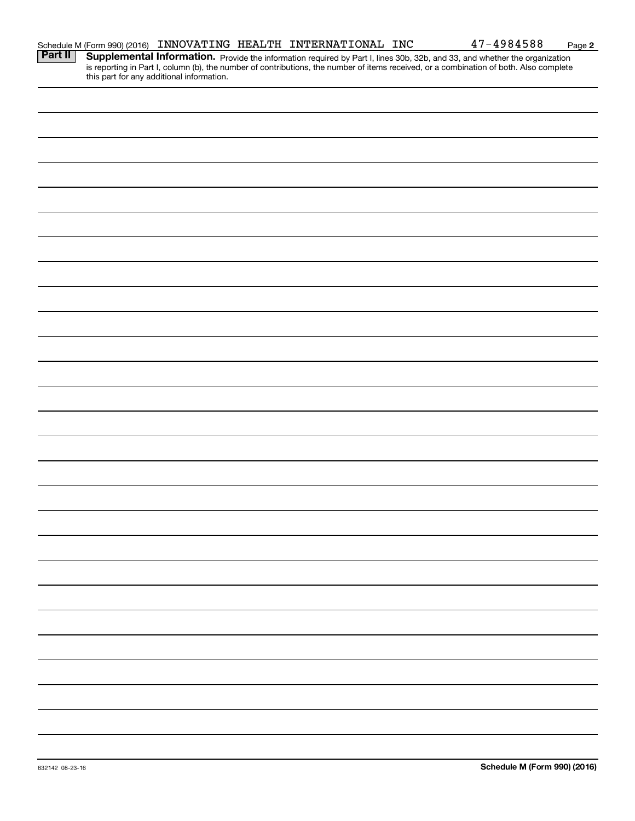|  |                                                                                                                                                                                                                  |  |  | 47-4984588                                                                                                                                                                                                                          | Page 2 |
|--|------------------------------------------------------------------------------------------------------------------------------------------------------------------------------------------------------------------|--|--|-------------------------------------------------------------------------------------------------------------------------------------------------------------------------------------------------------------------------------------|--------|
|  | Schedule M (Form 990) (2016) INNOVATING HEALTH INTERNATIONAL INC<br><b>Part II</b> Supplemental Information. Provide the information required by Part Llince 20b is<br>this part for any additional information. |  |  | <b>Supplemental Information.</b> Provide the information required by Part I, lines 30b, 32b, and 33, and whether the organization is reporting in Part I, column (b), the number of contributions, the number of items received, or |        |
|  |                                                                                                                                                                                                                  |  |  |                                                                                                                                                                                                                                     |        |
|  |                                                                                                                                                                                                                  |  |  |                                                                                                                                                                                                                                     |        |
|  |                                                                                                                                                                                                                  |  |  |                                                                                                                                                                                                                                     |        |
|  |                                                                                                                                                                                                                  |  |  |                                                                                                                                                                                                                                     |        |
|  |                                                                                                                                                                                                                  |  |  |                                                                                                                                                                                                                                     |        |
|  |                                                                                                                                                                                                                  |  |  |                                                                                                                                                                                                                                     |        |
|  |                                                                                                                                                                                                                  |  |  |                                                                                                                                                                                                                                     |        |
|  |                                                                                                                                                                                                                  |  |  |                                                                                                                                                                                                                                     |        |
|  |                                                                                                                                                                                                                  |  |  |                                                                                                                                                                                                                                     |        |
|  |                                                                                                                                                                                                                  |  |  |                                                                                                                                                                                                                                     |        |
|  |                                                                                                                                                                                                                  |  |  |                                                                                                                                                                                                                                     |        |
|  |                                                                                                                                                                                                                  |  |  |                                                                                                                                                                                                                                     |        |
|  |                                                                                                                                                                                                                  |  |  |                                                                                                                                                                                                                                     |        |
|  |                                                                                                                                                                                                                  |  |  |                                                                                                                                                                                                                                     |        |
|  |                                                                                                                                                                                                                  |  |  |                                                                                                                                                                                                                                     |        |
|  |                                                                                                                                                                                                                  |  |  |                                                                                                                                                                                                                                     |        |
|  |                                                                                                                                                                                                                  |  |  |                                                                                                                                                                                                                                     |        |
|  |                                                                                                                                                                                                                  |  |  |                                                                                                                                                                                                                                     |        |
|  |                                                                                                                                                                                                                  |  |  |                                                                                                                                                                                                                                     |        |
|  |                                                                                                                                                                                                                  |  |  |                                                                                                                                                                                                                                     |        |
|  |                                                                                                                                                                                                                  |  |  |                                                                                                                                                                                                                                     |        |
|  |                                                                                                                                                                                                                  |  |  |                                                                                                                                                                                                                                     |        |
|  |                                                                                                                                                                                                                  |  |  |                                                                                                                                                                                                                                     |        |
|  |                                                                                                                                                                                                                  |  |  |                                                                                                                                                                                                                                     |        |
|  |                                                                                                                                                                                                                  |  |  |                                                                                                                                                                                                                                     |        |
|  |                                                                                                                                                                                                                  |  |  |                                                                                                                                                                                                                                     |        |
|  |                                                                                                                                                                                                                  |  |  |                                                                                                                                                                                                                                     |        |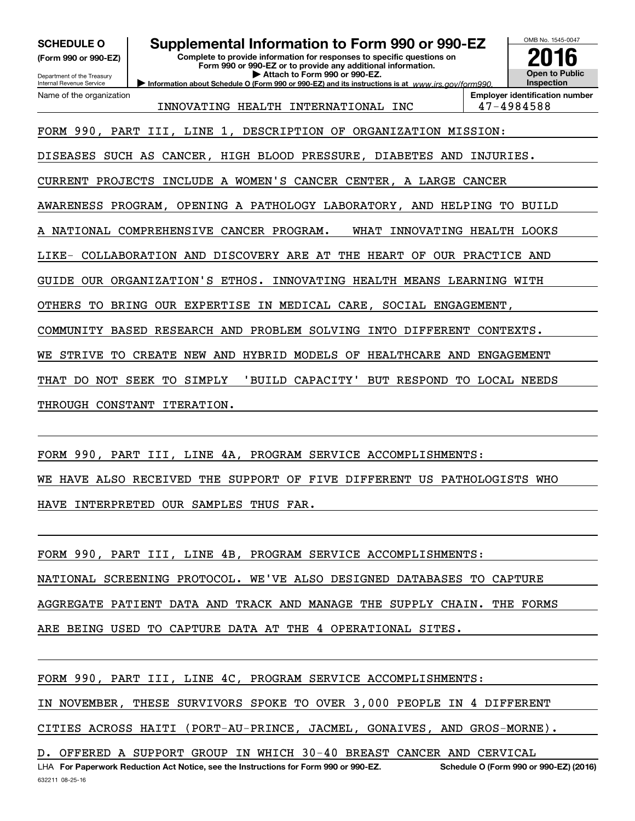**(Form 990 or 990-EZ)**

Department of the Treasury Internal Revenue Service

Name of the organization

## **SCHEDULE O Supplemental Information to Form 990 or 990-EZ**

**Complete to provide information for responses to specific questions on Form 990 or 990-EZ or to provide any additional information. | Attach to Form 990 or 990-EZ.**





INNOVATING HEALTH INTERNATIONAL INC 47-4984588

FORM 990, PART III, LINE 1, DESCRIPTION OF ORGANIZATION MISSION:

DISEASES SUCH AS CANCER, HIGH BLOOD PRESSURE, DIABETES AND INJURIES.

CURRENT PROJECTS INCLUDE A WOMEN'S CANCER CENTER, A LARGE CANCER

AWARENESS PROGRAM, OPENING A PATHOLOGY LABORATORY, AND HELPING TO BUILD

A NATIONAL COMPREHENSIVE CANCER PROGRAM. WHAT INNOVATING HEALTH LOOKS

LIKE- COLLABORATION AND DISCOVERY ARE AT THE HEART OF OUR PRACTICE AND

GUIDE OUR ORGANIZATION'S ETHOS. INNOVATING HEALTH MEANS LEARNING WITH

OTHERS TO BRING OUR EXPERTISE IN MEDICAL CARE, SOCIAL ENGAGEMENT,

COMMUNITY BASED RESEARCH AND PROBLEM SOLVING INTO DIFFERENT CONTEXTS.

WE STRIVE TO CREATE NEW AND HYBRID MODELS OF HEALTHCARE AND ENGAGEMENT

THAT DO NOT SEEK TO SIMPLY 'BUILD CAPACITY' BUT RESPOND TO LOCAL NEEDS

THROUGH CONSTANT ITERATION.

FORM 990, PART III, LINE 4A, PROGRAM SERVICE ACCOMPLISHMENTS: WE HAVE ALSO RECEIVED THE SUPPORT OF FIVE DIFFERENT US PATHOLOGISTS WHO HAVE INTERPRETED OUR SAMPLES THUS FAR.

FORM 990, PART III, LINE 4B, PROGRAM SERVICE ACCOMPLISHMENTS: NATIONAL SCREENING PROTOCOL. WE'VE ALSO DESIGNED DATABASES TO CAPTURE AGGREGATE PATIENT DATA AND TRACK AND MANAGE THE SUPPLY CHAIN. THE FORMS ARE BEING USED TO CAPTURE DATA AT THE 4 OPERATIONAL SITES.

FORM 990, PART III, LINE 4C, PROGRAM SERVICE ACCOMPLISHMENTS: IN NOVEMBER, THESE SURVIVORS SPOKE TO OVER 3,000 PEOPLE IN 4 DIFFERENT CITIES ACROSS HAITI (PORT-AU-PRINCE, JACMEL, GONAIVES, AND GROS-MORNE). D. OFFERED A SUPPORT GROUP IN WHICH 30-40 BREAST CANCER AND CERVICAL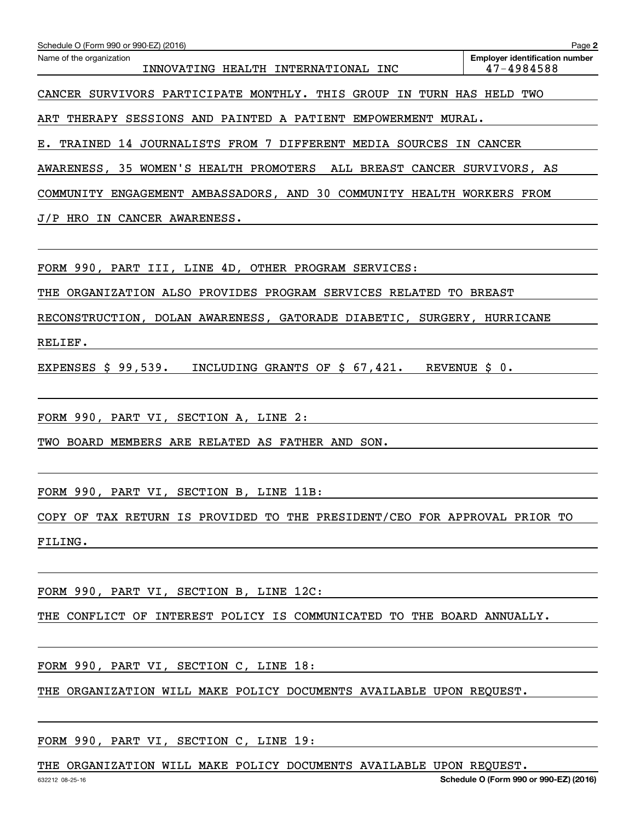| Schedule O (Form 990 or 990-EZ) (2016)<br>Name of the organization<br>INNOVATING HEALTH INTERNATIONAL INC | Page 2<br><b>Employer identification number</b><br>47-4984588 |
|-----------------------------------------------------------------------------------------------------------|---------------------------------------------------------------|
| CANCER SURVIVORS PARTICIPATE MONTHLY. THIS GROUP IN TURN HAS HELD TWO                                     |                                                               |
| ART THERAPY SESSIONS AND PAINTED A PATIENT EMPOWERMENT MURAL.                                             |                                                               |
| E. TRAINED 14 JOURNALISTS FROM 7 DIFFERENT MEDIA SOURCES IN CANCER                                        |                                                               |
| AWARENESS, 35 WOMEN'S HEALTH PROMOTERS ALL BREAST CANCER SURVIVORS, AS                                    |                                                               |
| COMMUNITY ENGAGEMENT AMBASSADORS, AND 30 COMMUNITY HEALTH WORKERS FROM                                    |                                                               |
| J/P HRO IN CANCER AWARENESS.                                                                              |                                                               |
|                                                                                                           |                                                               |
| FORM 990, PART III, LINE 4D, OTHER PROGRAM SERVICES:                                                      |                                                               |
| THE ORGANIZATION ALSO PROVIDES PROGRAM SERVICES RELATED TO BREAST                                         |                                                               |
| RECONSTRUCTION, DOLAN AWARENESS, GATORADE DIABETIC, SURGERY, HURRICANE                                    |                                                               |
| RELIEF.                                                                                                   |                                                               |
| EXPENSES \$ 99,539. INCLUDING GRANTS OF \$ 67,421. REVENUE \$ 0.                                          |                                                               |
|                                                                                                           |                                                               |
| FORM 990, PART VI, SECTION A, LINE 2:                                                                     |                                                               |
| TWO BOARD MEMBERS ARE RELATED AS FATHER AND SON.                                                          |                                                               |
|                                                                                                           |                                                               |
| FORM 990, PART VI, SECTION B, LINE 11B:                                                                   |                                                               |
| COPY OF TAX RETURN IS PROVIDED TO THE PRESIDENT/CEO FOR APPROVAL PRIOR TO                                 |                                                               |
| FILING.                                                                                                   |                                                               |
|                                                                                                           |                                                               |
| FORM 990, PART VI, SECTION B, LINE 12C:                                                                   |                                                               |
| THE CONFLICT OF INTEREST POLICY IS COMMUNICATED TO THE BOARD ANNUALLY.                                    |                                                               |
|                                                                                                           |                                                               |

FORM 990, PART VI, SECTION C, LINE 18:

THE ORGANIZATION WILL MAKE POLICY DOCUMENTS AVAILABLE UPON REQUEST.

FORM 990, PART VI, SECTION C, LINE 19:

THE ORGANIZATION WILL MAKE POLICY DOCUMENTS AVAILABLE UPON REQUEST.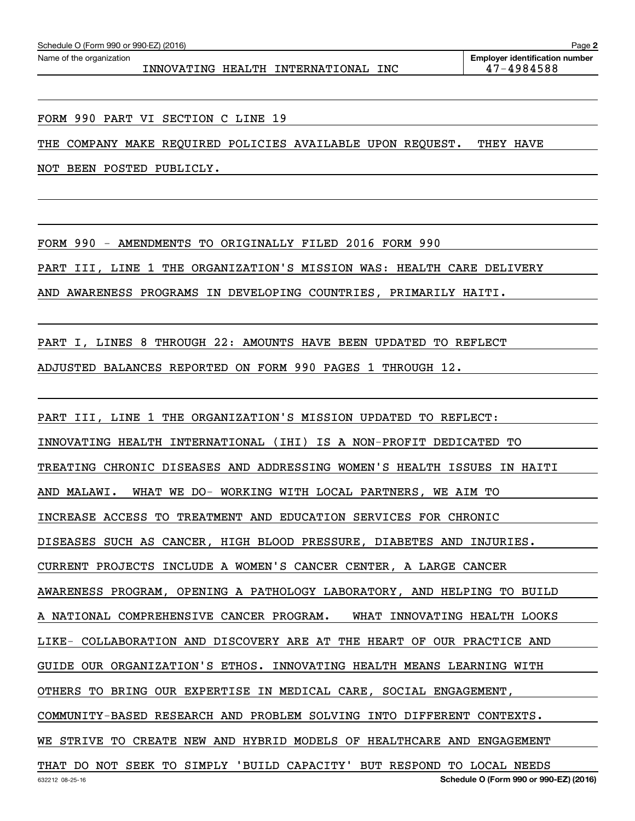INNOVATING HEALTH INTERNATIONAL INC 47-4984588

**2**

FORM 990 PART VI SECTION C LINE 19

THE COMPANY MAKE REQUIRED POLICIES AVAILABLE UPON REQUEST. THEY HAVE

NOT BEEN POSTED PUBLICLY.

FORM 990 - AMENDMENTS TO ORIGINALLY FILED 2016 FORM 990

PART III, LINE 1 THE ORGANIZATION'S MISSION WAS: HEALTH CARE DELIVERY

AND AWARENESS PROGRAMS IN DEVELOPING COUNTRIES, PRIMARILY HAITI.

PART I, LINES 8 THROUGH 22: AMOUNTS HAVE BEEN UPDATED TO REFLECT

ADJUSTED BALANCES REPORTED ON FORM 990 PAGES 1 THROUGH 12.

PART III, LINE 1 THE ORGANIZATION'S MISSION UPDATED TO REFLECT:

INNOVATING HEALTH INTERNATIONAL (IHI) IS A NON-PROFIT DEDICATED TO

TREATING CHRONIC DISEASES AND ADDRESSING WOMEN'S HEALTH ISSUES IN HAITI

AND MALAWI. WHAT WE DO- WORKING WITH LOCAL PARTNERS, WE AIM TO

INCREASE ACCESS TO TREATMENT AND EDUCATION SERVICES FOR CHRONIC

DISEASES SUCH AS CANCER, HIGH BLOOD PRESSURE, DIABETES AND INJURIES.

CURRENT PROJECTS INCLUDE A WOMEN'S CANCER CENTER, A LARGE CANCER

AWARENESS PROGRAM, OPENING A PATHOLOGY LABORATORY, AND HELPING TO BUILD

A NATIONAL COMPREHENSIVE CANCER PROGRAM. WHAT INNOVATING HEALTH LOOKS

LIKE- COLLABORATION AND DISCOVERY ARE AT THE HEART OF OUR PRACTICE AND

GUIDE OUR ORGANIZATION'S ETHOS. INNOVATING HEALTH MEANS LEARNING WITH

OTHERS TO BRING OUR EXPERTISE IN MEDICAL CARE, SOCIAL ENGAGEMENT,

COMMUNITY-BASED RESEARCH AND PROBLEM SOLVING INTO DIFFERENT CONTEXTS.

WE STRIVE TO CREATE NEW AND HYBRID MODELS OF HEALTHCARE AND ENGAGEMENT

THAT DO NOT SEEK TO SIMPLY 'BUILD CAPACITY' BUT RESPOND TO LOCAL NEEDS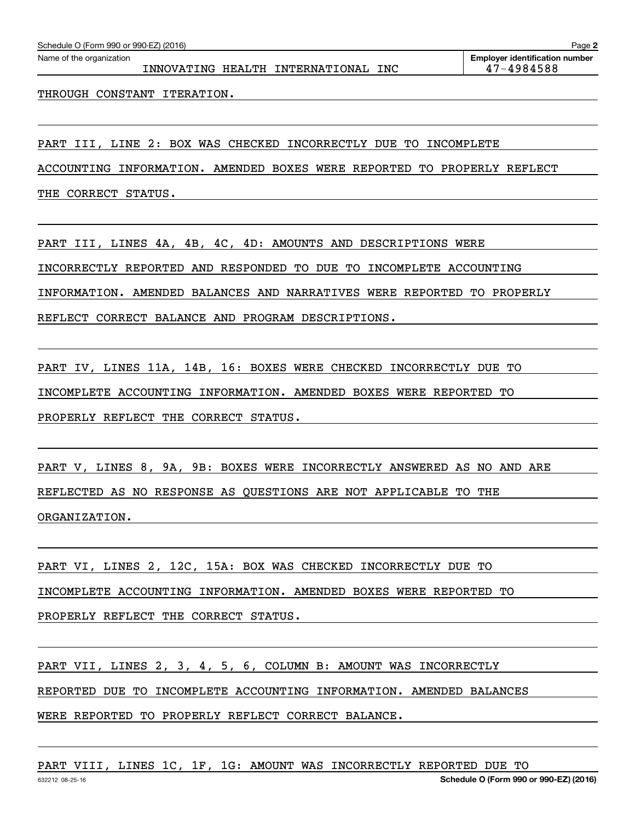THROUGH CONSTANT ITERATION.

PART III, LINE 2: BOX WAS CHECKED INCORRECTLY DUE TO INCOMPLETE

ACCOUNTING INFORMATION. AMENDED BOXES WERE REPORTED TO PROPERLY REFLECT

THE CORRECT STATUS.

PART III, LINES 4A, 4B, 4C, 4D: AMOUNTS AND DESCRIPTIONS WERE INCORRECTLY REPORTED AND RESPONDED TO DUE TO INCOMPLETE ACCOUNTING INFORMATION. AMENDED BALANCES AND NARRATIVES WERE REPORTED TO PROPERLY REFLECT CORRECT BALANCE AND PROGRAM DESCRIPTIONS.

PART IV, LINES 11A, 14B, 16: BOXES WERE CHECKED INCORRECTLY DUE TO INCOMPLETE ACCOUNTING INFORMATION. AMENDED BOXES WERE REPORTED TO PROPERLY REFLECT THE CORRECT STATUS.

PART V, LINES 8, 9A, 9B: BOXES WERE INCORRECTLY ANSWERED AS NO AND ARE REFLECTED AS NO RESPONSE AS QUESTIONS ARE NOT APPLICABLE TO THE ORGANIZATION.

PART VI, LINES 2, 12C, 15A: BOX WAS CHECKED INCORRECTLY DUE TO INCOMPLETE ACCOUNTING INFORMATION. AMENDED BOXES WERE REPORTED TO PROPERLY REFLECT THE CORRECT STATUS.

PART VII, LINES 2, 3, 4, 5, 6, COLUMN B: AMOUNT WAS INCORRECTLY REPORTED DUE TO INCOMPLETE ACCOUNTING INFORMATION. AMENDED BALANCES WERE REPORTED TO PROPERLY REFLECT CORRECT BALANCE.

PART VIII, LINES 1C, 1F, 1G: AMOUNT WAS INCORRECTLY REPORTED DUE TO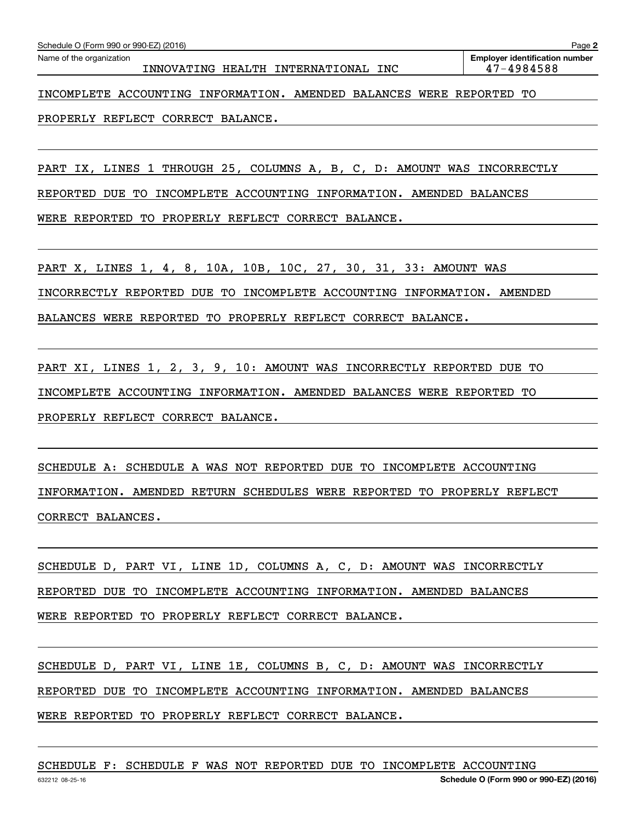| Schedule O (Form 990 or 990-EZ) (2016)<br>Page 2                     |                                       |  |  |  |  |  |  |  |
|----------------------------------------------------------------------|---------------------------------------|--|--|--|--|--|--|--|
| Name of the organization                                             | <b>Employer identification number</b> |  |  |  |  |  |  |  |
| INNOVATING HEALTH INTERNATIONAL INC                                  | 47-4984588                            |  |  |  |  |  |  |  |
|                                                                      |                                       |  |  |  |  |  |  |  |
| INCOMPLETE ACCOUNTING INFORMATION. AMENDED BALANCES WERE REPORTED TO |                                       |  |  |  |  |  |  |  |
|                                                                      |                                       |  |  |  |  |  |  |  |

PROPERLY REFLECT CORRECT BALANCE.

PART IX, LINES 1 THROUGH 25, COLUMNS A, B, C, D: AMOUNT WAS INCORRECTLY

REPORTED DUE TO INCOMPLETE ACCOUNTING INFORMATION. AMENDED BALANCES

WERE REPORTED TO PROPERLY REFLECT CORRECT BALANCE.

PART X, LINES 1, 4, 8, 10A, 10B, 10C, 27, 30, 31, 33: AMOUNT WAS INCORRECTLY REPORTED DUE TO INCOMPLETE ACCOUNTING INFORMATION. AMENDED BALANCES WERE REPORTED TO PROPERLY REFLECT CORRECT BALANCE.

PART XI, LINES 1, 2, 3, 9, 10: AMOUNT WAS INCORRECTLY REPORTED DUE TO INCOMPLETE ACCOUNTING INFORMATION. AMENDED BALANCES WERE REPORTED TO PROPERLY REFLECT CORRECT BALANCE.

SCHEDULE A: SCHEDULE A WAS NOT REPORTED DUE TO INCOMPLETE ACCOUNTING INFORMATION. AMENDED RETURN SCHEDULES WERE REPORTED TO PROPERLY REFLECT CORRECT BALANCES.

SCHEDULE D, PART VI, LINE 1D, COLUMNS A, C, D: AMOUNT WAS INCORRECTLY REPORTED DUE TO INCOMPLETE ACCOUNTING INFORMATION. AMENDED BALANCES WERE REPORTED TO PROPERLY REFLECT CORRECT BALANCE.

SCHEDULE D, PART VI, LINE 1E, COLUMNS B, C, D: AMOUNT WAS INCORRECTLY REPORTED DUE TO INCOMPLETE ACCOUNTING INFORMATION. AMENDED BALANCES WERE REPORTED TO PROPERLY REFLECT CORRECT BALANCE.

SCHEDULE F: SCHEDULE F WAS NOT REPORTED DUE TO INCOMPLETE ACCOUNTING